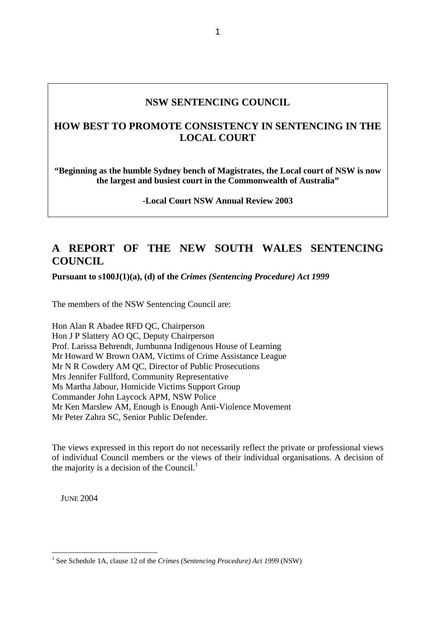# **NSW SENTENCING COUNCIL**

# **HOW BEST TO PROMOTE CONSISTENCY IN SENTENCING IN THE LOCAL COURT**

**"Beginning as the humble Sydney bench of Magistrates, the Local court of NSW is now the largest and busiest court in the Commonwealth of Australia"** 

**-Local Court NSW Annual Review 2003** 

# **A REPORT OF THE NEW SOUTH WALES SENTENCING COUNCIL**

**Pursuant to s100J(1)(a), (d) of the** *Crimes (Sentencing Procedure) Act 1999*

The members of the NSW Sentencing Council are:

Hon Alan R Abadee RFD QC, Chairperson Hon J P Slattery AO QC, Deputy Chairperson Prof. Larissa Behrendt, Jumbunna Indigenous House of Learning Mr Howard W Brown OAM, Victims of Crime Assistance League Mr N R Cowdery AM QC, Director of Public Prosecutions Mrs Jennifer Fullford, Community Representative Ms Martha Jabour, Homicide Victims Support Group Commander John Laycock APM, NSW Police Mr Ken Marslew AM, Enough is Enough Anti-Violence Movement Mr Peter Zahra SC, Senior Public Defender.

The views expressed in this report do not necessarily reflect the private or professional views of individual Council members or the views of their individual organisations. A decision of the majority is a decision of the Council.<sup>1</sup>

JUNE 2004

<span id="page-0-0"></span><sup>&</sup>lt;sup>1</sup> See Schedule 1A, clause 12 of the *Crimes (Sentencing Procedure) Act 1999* (NSW)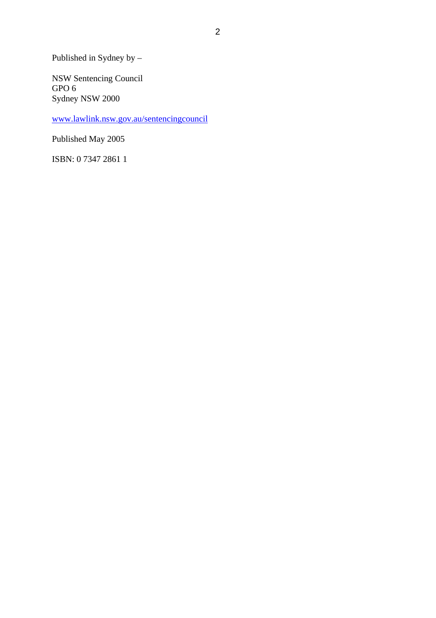Published in Sydney by –

NSW Sentencing Council GPO 6 Sydney NSW 2000

[www.lawlink.nsw.gov.au/sentencingcouncil](http://www.lawlink.nsw.gov.au/sentencingcouncil)

Published May 2005

ISBN: 0 7347 2861 1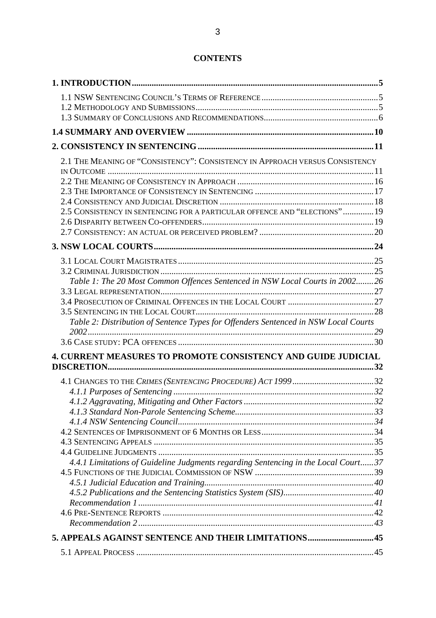# **CONTENTS**

| 2.1 THE MEANING OF "CONSISTENCY": CONSISTENCY IN APPROACH VERSUS CONSISTENCY        |  |
|-------------------------------------------------------------------------------------|--|
|                                                                                     |  |
|                                                                                     |  |
|                                                                                     |  |
|                                                                                     |  |
| 2.5 CONSISTENCY IN SENTENCING FOR A PARTICULAR OFFENCE AND "ELECTIONS" 19           |  |
|                                                                                     |  |
|                                                                                     |  |
|                                                                                     |  |
|                                                                                     |  |
|                                                                                     |  |
| Table 1: The 20 Most Common Offences Sentenced in NSW Local Courts in 200226        |  |
|                                                                                     |  |
|                                                                                     |  |
|                                                                                     |  |
| Table 2: Distribution of Sentence Types for Offenders Sentenced in NSW Local Courts |  |
|                                                                                     |  |
|                                                                                     |  |
| 4. CURRENT MEASURES TO PROMOTE CONSISTENCY AND GUIDE JUDICIAL                       |  |
|                                                                                     |  |
|                                                                                     |  |
|                                                                                     |  |
|                                                                                     |  |
|                                                                                     |  |
|                                                                                     |  |
|                                                                                     |  |
|                                                                                     |  |
|                                                                                     |  |
| 4.4.1 Limitations of Guideline Judgments regarding Sentencing in the Local Court37  |  |
|                                                                                     |  |
|                                                                                     |  |
|                                                                                     |  |
|                                                                                     |  |
|                                                                                     |  |
|                                                                                     |  |
| 5. APPEALS AGAINST SENTENCE AND THEIR LIMITATIONS45                                 |  |
|                                                                                     |  |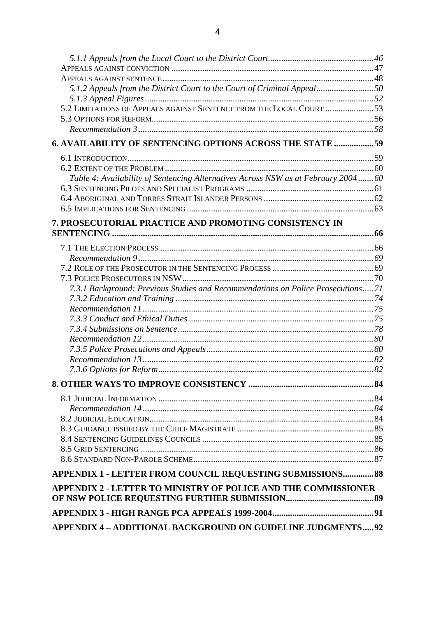| 5.1.2 Appeals from the District Court to the Court of Criminal Appeal50            |  |
|------------------------------------------------------------------------------------|--|
|                                                                                    |  |
| 5.2 LIMITATIONS OF APPEALS AGAINST SENTENCE FROM THE LOCAL COURT 53                |  |
|                                                                                    |  |
|                                                                                    |  |
| <b>6. AVAILABILITY OF SENTENCING OPTIONS ACROSS THE STATE 59</b>                   |  |
|                                                                                    |  |
|                                                                                    |  |
| Table 4: Availability of Sentencing Alternatives Across NSW as at February 2004 60 |  |
|                                                                                    |  |
|                                                                                    |  |
|                                                                                    |  |
| 7. PROSECUTORIAL PRACTICE AND PROMOTING CONSISTENCY IN                             |  |
|                                                                                    |  |
|                                                                                    |  |
|                                                                                    |  |
|                                                                                    |  |
|                                                                                    |  |
| 7.3.1 Background: Previous Studies and Recommendations on Police Prosecutions71    |  |
|                                                                                    |  |
|                                                                                    |  |
|                                                                                    |  |
|                                                                                    |  |
|                                                                                    |  |
|                                                                                    |  |
|                                                                                    |  |
|                                                                                    |  |
|                                                                                    |  |
|                                                                                    |  |
|                                                                                    |  |
|                                                                                    |  |
|                                                                                    |  |
|                                                                                    |  |
|                                                                                    |  |
|                                                                                    |  |
| APPENDIX 1 - LETTER FROM COUNCIL REQUESTING SUBMISSIONS 88                         |  |
| <b>APPENDIX 2 - LETTER TO MINISTRY OF POLICE AND THE COMMISSIONER</b>              |  |
|                                                                                    |  |
|                                                                                    |  |
| <b>APPENDIX 4 - ADDITIONAL BACKGROUND ON GUIDELINE JUDGMENTS92</b>                 |  |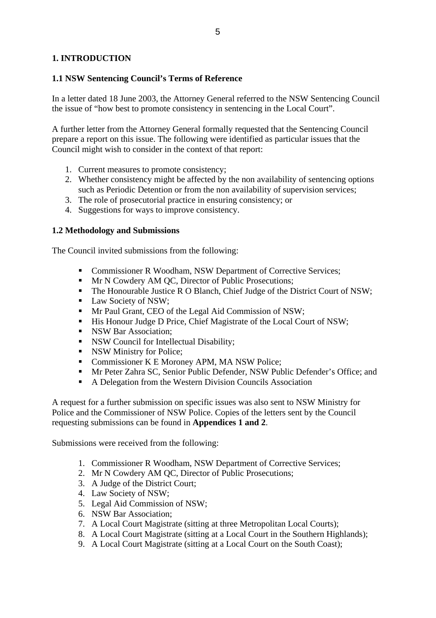# <span id="page-4-0"></span>**1. INTRODUCTION**

## **1.1 NSW Sentencing Council's Terms of Reference**

In a letter dated 18 June 2003, the Attorney General referred to the NSW Sentencing Council the issue of "how best to promote consistency in sentencing in the Local Court".

A further letter from the Attorney General formally requested that the Sentencing Council prepare a report on this issue. The following were identified as particular issues that the Council might wish to consider in the context of that report:

- 1. Current measures to promote consistency;
- 2. Whether consistency might be affected by the non availability of sentencing options such as Periodic Detention or from the non availability of supervision services;
- 3. The role of prosecutorial practice in ensuring consistency; or
- 4. Suggestions for ways to improve consistency.

## **1.2 Methodology and Submissions**

The Council invited submissions from the following:

- Commissioner R Woodham, NSW Department of Corrective Services;
- **Mr N Cowdery AM QC, Director of Public Prosecutions;**
- The Honourable Justice R O Blanch, Chief Judge of the District Court of NSW;
- Law Society of NSW;
- Mr Paul Grant, CEO of the Legal Aid Commission of NSW;
- His Honour Judge D Price, Chief Magistrate of the Local Court of NSW;
- **NSW Bar Association:**
- NSW Council for Intellectual Disability;
- NSW Ministry for Police;
- **Commissioner K E Moroney APM, MA NSW Police;**
- Mr Peter Zahra SC, Senior Public Defender, NSW Public Defender's Office; and
- A Delegation from the Western Division Councils Association

A request for a further submission on specific issues was also sent to NSW Ministry for Police and the Commissioner of NSW Police. Copies of the letters sent by the Council requesting submissions can be found in **Appendices 1 and 2**.

Submissions were received from the following:

- 1. Commissioner R Woodham, NSW Department of Corrective Services;
- 2. Mr N Cowdery AM QC, Director of Public Prosecutions;
- 3. A Judge of the District Court;
- 4. Law Society of NSW;
- 5. Legal Aid Commission of NSW;
- 6. NSW Bar Association;
- 7. A Local Court Magistrate (sitting at three Metropolitan Local Courts);
- 8. A Local Court Magistrate (sitting at a Local Court in the Southern Highlands);
- 9. A Local Court Magistrate (sitting at a Local Court on the South Coast);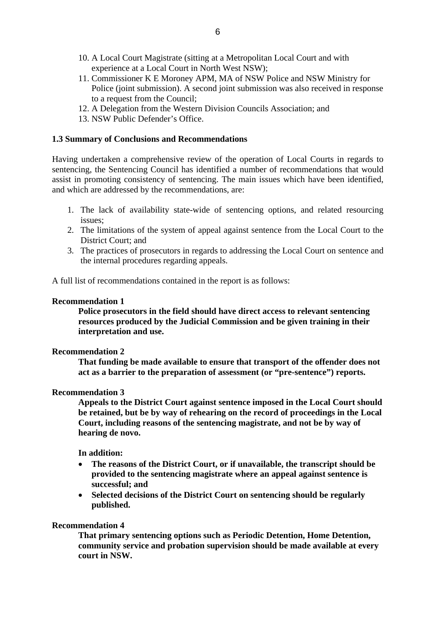- <span id="page-5-0"></span>10. A Local Court Magistrate (sitting at a Metropolitan Local Court and with experience at a Local Court in North West NSW);
- 11. Commissioner K E Moroney APM, MA of NSW Police and NSW Ministry for Police (joint submission). A second joint submission was also received in response to a request from the Council;
- 12. A Delegation from the Western Division Councils Association; and
- 13. NSW Public Defender's Office.

## **1.3 Summary of Conclusions and Recommendations**

Having undertaken a comprehensive review of the operation of Local Courts in regards to sentencing, the Sentencing Council has identified a number of recommendations that would assist in promoting consistency of sentencing. The main issues which have been identified, and which are addressed by the recommendations, are:

- 1. The lack of availability state-wide of sentencing options, and related resourcing issues;
- 2. The limitations of the system of appeal against sentence from the Local Court to the District Court; and
- 3. The practices of prosecutors in regards to addressing the Local Court on sentence and the internal procedures regarding appeals.

A full list of recommendations contained in the report is as follows:

## **Recommendation 1**

**Police prosecutors in the field should have direct access to relevant sentencing resources produced by the Judicial Commission and be given training in their interpretation and use.** 

## **Recommendation 2**

**That funding be made available to ensure that transport of the offender does not act as a barrier to the preparation of assessment (or "pre-sentence") reports.** 

## **Recommendation 3**

**Appeals to the District Court against sentence imposed in the Local Court should be retained, but be by way of rehearing on the record of proceedings in the Local Court, including reasons of the sentencing magistrate, and not be by way of hearing de novo.** 

## **In addition:**

- **The reasons of the District Court, or if unavailable, the transcript should be provided to the sentencing magistrate where an appeal against sentence is successful; and**
- **Selected decisions of the District Court on sentencing should be regularly published.**

## **Recommendation 4**

**That primary sentencing options such as Periodic Detention, Home Detention, community service and probation supervision should be made available at every court in NSW.**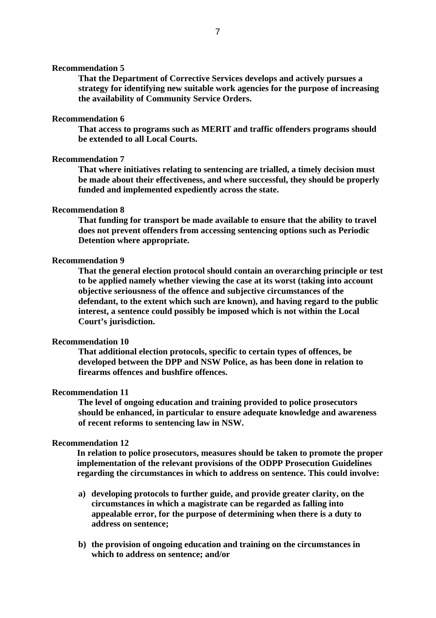#### **Recommendation 5**

**That the Department of Corrective Services develops and actively pursues a strategy for identifying new suitable work agencies for the purpose of increasing the availability of Community Service Orders.** 

#### **Recommendation 6**

**That access to programs such as MERIT and traffic offenders programs should be extended to all Local Courts.** 

#### **Recommendation 7**

**That where initiatives relating to sentencing are trialled, a timely decision must be made about their effectiveness, and where successful, they should be properly funded and implemented expediently across the state.** 

## **Recommendation 8**

**That funding for transport be made available to ensure that the ability to travel does not prevent offenders from accessing sentencing options such as Periodic Detention where appropriate.** 

#### **Recommendation 9**

**That the general election protocol should contain an overarching principle or test to be applied namely whether viewing the case at its worst (taking into account objective seriousness of the offence and subjective circumstances of the defendant, to the extent which such are known), and having regard to the public interest, a sentence could possibly be imposed which is not within the Local Court's jurisdiction.** 

#### **Recommendation 10**

**That additional election protocols, specific to certain types of offences, be developed between the DPP and NSW Police, as has been done in relation to firearms offences and bushfire offences.** 

#### **Recommendation 11**

**The level of ongoing education and training provided to police prosecutors should be enhanced, in particular to ensure adequate knowledge and awareness of recent reforms to sentencing law in NSW.** 

#### **Recommendation 12**

**In relation to police prosecutors, measures should be taken to promote the proper implementation of the relevant provisions of the ODPP Prosecution Guidelines regarding the circumstances in which to address on sentence. This could involve:** 

- **a) developing protocols to further guide, and provide greater clarity, on the circumstances in which a magistrate can be regarded as falling into appealable error, for the purpose of determining when there is a duty to address on sentence;**
- **b) the provision of ongoing education and training on the circumstances in which to address on sentence; and/or**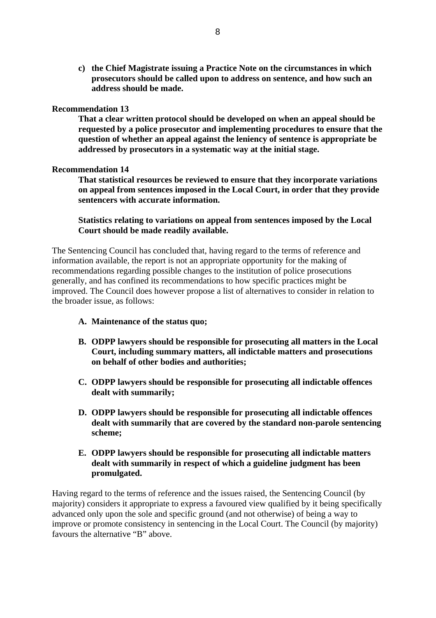**c) the Chief Magistrate issuing a Practice Note on the circumstances in which prosecutors should be called upon to address on sentence, and how such an address should be made.** 

#### **Recommendation 13**

**That a clear written protocol should be developed on when an appeal should be requested by a police prosecutor and implementing procedures to ensure that the question of whether an appeal against the leniency of sentence is appropriate be addressed by prosecutors in a systematic way at the initial stage.** 

#### **Recommendation 14**

**That statistical resources be reviewed to ensure that they incorporate variations on appeal from sentences imposed in the Local Court, in order that they provide sentencers with accurate information.** 

## **Statistics relating to variations on appeal from sentences imposed by the Local Court should be made readily available.**

The Sentencing Council has concluded that, having regard to the terms of reference and information available, the report is not an appropriate opportunity for the making of recommendations regarding possible changes to the institution of police prosecutions generally, and has confined its recommendations to how specific practices might be improved. The Council does however propose a list of alternatives to consider in relation to the broader issue, as follows:

- **A. Maintenance of the status quo;**
- **B. ODPP lawyers should be responsible for prosecuting all matters in the Local Court, including summary matters, all indictable matters and prosecutions on behalf of other bodies and authorities;**
- **C. ODPP lawyers should be responsible for prosecuting all indictable offences dealt with summarily;**
- **D. ODPP lawyers should be responsible for prosecuting all indictable offences dealt with summarily that are covered by the standard non-parole sentencing scheme;**
- **E. ODPP lawyers should be responsible for prosecuting all indictable matters dealt with summarily in respect of which a guideline judgment has been promulgated.**

Having regard to the terms of reference and the issues raised, the Sentencing Council (by majority) considers it appropriate to express a favoured view qualified by it being specifically advanced only upon the sole and specific ground (and not otherwise) of being a way to improve or promote consistency in sentencing in the Local Court. The Council (by majority) favours the alternative "B" above.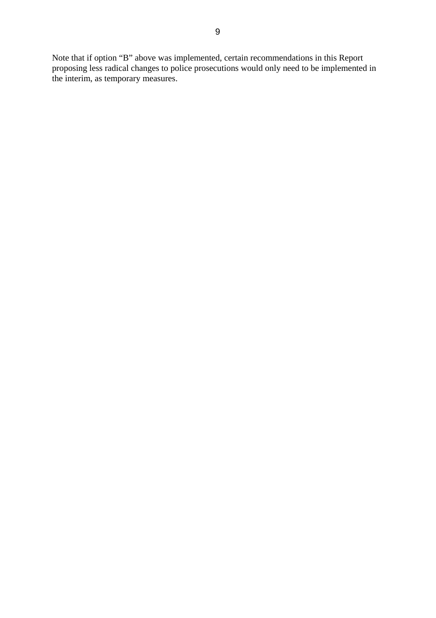Note that if option "B" above was implemented, certain recommendations in this Report proposing less radical changes to police prosecutions would only need to be implemented in the interim, as temporary measures.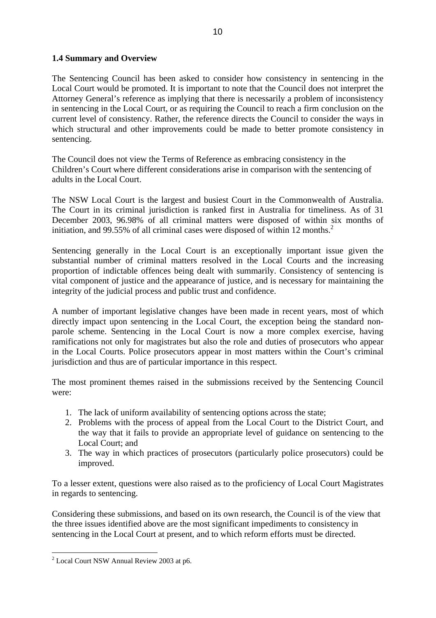## <span id="page-9-0"></span>**1.4 Summary and Overview**

The Sentencing Council has been asked to consider how consistency in sentencing in the Local Court would be promoted. It is important to note that the Council does not interpret the Attorney General's reference as implying that there is necessarily a problem of inconsistency in sentencing in the Local Court, or as requiring the Council to reach a firm conclusion on the current level of consistency. Rather, the reference directs the Council to consider the ways in which structural and other improvements could be made to better promote consistency in sentencing.

The Council does not view the Terms of Reference as embracing consistency in the Children's Court where different considerations arise in comparison with the sentencing of adults in the Local Court.

The NSW Local Court is the largest and busiest Court in the Commonwealth of Australia. The Court in its criminal jurisdiction is ranked first in Australia for timeliness. As of 31 December 2003, 96.98% of all criminal matters were disposed of within six months of initiation, and 99.55% of all criminal cases were disposed of within 1[2](#page-9-1) months.<sup>2</sup>

Sentencing generally in the Local Court is an exceptionally important issue given the substantial number of criminal matters resolved in the Local Courts and the increasing proportion of indictable offences being dealt with summarily. Consistency of sentencing is vital component of justice and the appearance of justice, and is necessary for maintaining the integrity of the judicial process and public trust and confidence.

A number of important legislative changes have been made in recent years, most of which directly impact upon sentencing in the Local Court, the exception being the standard nonparole scheme. Sentencing in the Local Court is now a more complex exercise, having ramifications not only for magistrates but also the role and duties of prosecutors who appear in the Local Courts. Police prosecutors appear in most matters within the Court's criminal jurisdiction and thus are of particular importance in this respect.

The most prominent themes raised in the submissions received by the Sentencing Council were:

- 1. The lack of uniform availability of sentencing options across the state;
- 2. Problems with the process of appeal from the Local Court to the District Court, and the way that it fails to provide an appropriate level of guidance on sentencing to the Local Court; and
- 3. The way in which practices of prosecutors (particularly police prosecutors) could be improved.

To a lesser extent, questions were also raised as to the proficiency of Local Court Magistrates in regards to sentencing.

Considering these submissions, and based on its own research, the Council is of the view that the three issues identified above are the most significant impediments to consistency in sentencing in the Local Court at present, and to which reform efforts must be directed.

<span id="page-9-1"></span> 2 Local Court NSW Annual Review 2003 at p6.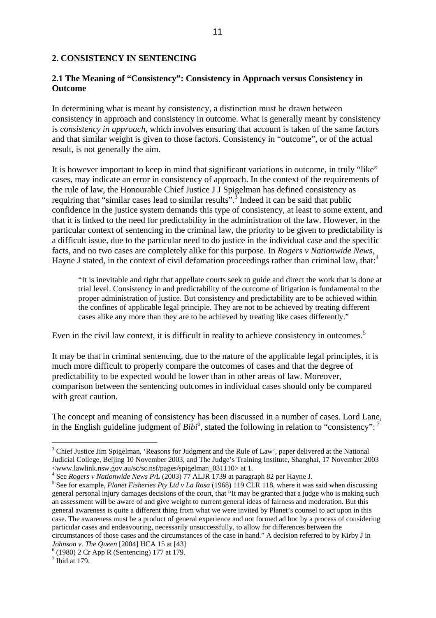#### <span id="page-10-0"></span>**2. CONSISTENCY IN SENTENCING**

## **2.1 The Meaning of "Consistency": Consistency in Approach versus Consistency in Outcome**

In determining what is meant by consistency, a distinction must be drawn between consistency in approach and consistency in outcome. What is generally meant by consistency is *consistency in approach*, which involves ensuring that account is taken of the same factors and that similar weight is given to those factors. Consistency in "outcome", or of the actual result, is not generally the aim.

It is however important to keep in mind that significant variations in outcome, in truly "like" cases, may indicate an error in consistency of approach. In the context of the requirements of the rule of law, the Honourable Chief Justice J J Spigelman has defined consistency as requiring that "similar cases lead to similar results".<sup>[3](#page-10-1)</sup> Indeed it can be said that public confidence in the justice system demands this type of consistency, at least to some extent, and that it is linked to the need for predictability in the administration of the law. However, in the particular context of sentencing in the criminal law, the priority to be given to predictability is a difficult issue, due to the particular need to do justice in the individual case and the specific facts, and no two cases are completely alike for this purpose. In *Rogers v Nationwide News*, Hayne J stated, in the context of civil defamation proceedings rather than criminal law, that:<sup>[4](#page-10-2)</sup>

"It is inevitable and right that appellate courts seek to guide and direct the work that is done at trial level. Consistency in and predictability of the outcome of litigation is fundamental to the proper administration of justice. But consistency and predictability are to be achieved within the confines of applicable legal principle. They are not to be achieved by treating different cases alike any more than they are to be achieved by treating like cases differently."

Even in the civil law context, it is difficult in reality to achieve consistency in outcomes.<sup>[5](#page-10-3)</sup>

It may be that in criminal sentencing, due to the nature of the applicable legal principles, it is much more difficult to properly compare the outcomes of cases and that the degree of predictability to be expected would be lower than in other areas of law. Moreover, comparison between the sentencing outcomes in individual cases should only be compared with great caution.

The concept and meaning of consistency has been discussed in a number of cases. Lord Lane, in the English guideline judgment of *Bibi*<sup>[6](#page-10-4)</sup>, stated the following in relation to "consistency": <sup>[7](#page-10-5)</sup>

<span id="page-10-1"></span><sup>&</sup>lt;sup>3</sup> Chief Justice Jim Spigelman, 'Reasons for Judgment and the Rule of Law', paper delivered at the National Judicial College, Beijing 10 November 2003, and The Judge's Training Institute, Shanghai, 17 November 2003 <www.lawlink.nsw.gov.au/sc/sc.nsf/pages/spigelman\_031110> at 1.

<span id="page-10-2"></span><sup>&</sup>lt;sup>4</sup> See *Rogers v Nationwide News P/L* (2003) 77 ALJR 1739 at paragraph 82 per Hayne J.<br><sup>5</sup> See for example, *Planet Eigherias Ptv Ltd.y La Pease* (1968) 119 CLB 118, where it west

<span id="page-10-3"></span><sup>&</sup>lt;sup>5</sup> See for example, *Planet Fisheries Pty Ltd v La Rosa* (1968) 119 CLR 118, where it was said when discussing general personal injury damages decisions of the court, that "It may be granted that a judge who is making such an assessment will be aware of and give weight to current general ideas of fairness and moderation. But this general awareness is quite a different thing from what we were invited by Planet's counsel to act upon in this case. The awareness must be a product of general experience and not formed ad hoc by a process of considering particular cases and endeavouring, necessarily unsuccessfully, to allow for differences between the circumstances of those cases and the circumstances of the case in hand." A decision referred to by Kirby J in *Johnson v. The Queen* [2004] HCA 15 at [43]

<span id="page-10-4"></span> $(1980)$  2 Cr App R (Sentencing) 177 at 179.

<span id="page-10-5"></span> $<sup>7</sup>$  Ibid at 179.</sup>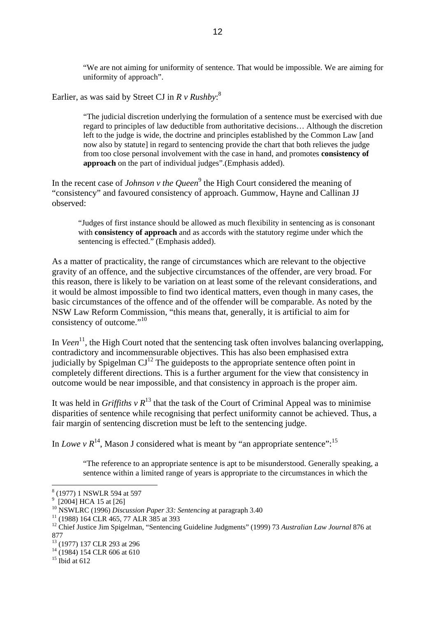"We are not aiming for uniformity of sentence. That would be impossible. We are aiming for uniformity of approach".

Earlier, as was said by Street CJ in *R v Rushby*: [8](#page-11-0)

"The judicial discretion underlying the formulation of a sentence must be exercised with due regard to principles of law deductible from authoritative decisions… Although the discretion left to the judge is wide, the doctrine and principles established by the Common Law [and now also by statute] in regard to sentencing provide the chart that both relieves the judge from too close personal involvement with the case in hand, and promotes **consistency of approach** on the part of individual judges".(Emphasis added).

In the recent case of *Johnson v the Queen*<sup>[9](#page-11-1)</sup> the High Court considered the meaning of "consistency" and favoured consistency of approach. Gummow, Hayne and Callinan JJ observed:

"Judges of first instance should be allowed as much flexibility in sentencing as is consonant with **consistency of approach** and as accords with the statutory regime under which the sentencing is effected." (Emphasis added).

As a matter of practicality, the range of circumstances which are relevant to the objective gravity of an offence, and the subjective circumstances of the offender, are very broad. For this reason, there is likely to be variation on at least some of the relevant considerations, and it would be almost impossible to find two identical matters, even though in many cases, the basic circumstances of the offence and of the offender will be comparable. As noted by the NSW Law Reform Commission, "this means that, generally, it is artificial to aim for consistency of outcome."<sup>[10](#page-11-2)</sup>

In *Veen*<sup>11</sup>, the High Court noted that the sentencing task often involves balancing overlapping, contradictory and incommensurable objectives. This has also been emphasised extra judicially by Spigelman  $\text{CI}^{12}$  The guideposts to the appropriate sentence often point in completely different directions. This is a further argument for the view that consistency in outcome would be near impossible, and that consistency in approach is the proper aim.

It was held in *Griffiths v*  $R^{13}$  that the task of the Court of Criminal Appeal was to minimise disparities of sentence while recognising that perfect uniformity cannot be achieved. Thus, a fair margin of sentencing discretion must be left to the sentencing judge.

In *Lowe*  $v R^{14}$ , Mason J considered what is meant by "an appropriate sentence":<sup>[15](#page-11-7)</sup>

"The reference to an appropriate sentence is apt to be misunderstood. Generally speaking, a sentence within a limited range of years is appropriate to the circumstances in which the

<span id="page-11-0"></span><sup>8</sup> (1977) 1 NSWLR 594 at 597

<span id="page-11-1"></span><sup>&</sup>lt;sup>9</sup> [2004] HCA 15 at [26]

<span id="page-11-2"></span><sup>&</sup>lt;sup>10</sup> NSWLRC (1996) *Discussion Paper 33: Sentencing* at paragraph 3.40<sup>11</sup> (1988) 164 CLR 465, 77 ALR 385 at 393

<span id="page-11-3"></span>

<span id="page-11-4"></span><sup>&</sup>lt;sup>12</sup> Chief Justice Jim Spigelman, "Sentencing Guideline Judgments" (1999) 73 Australian Law Journal 876 at 877

<span id="page-11-5"></span><sup>&</sup>lt;sup>13</sup> (1977) 137 CLR 293 at 296

<span id="page-11-6"></span> $14$  (1984) 154 CLR 606 at 610

<span id="page-11-7"></span> $15$  Ibid at 612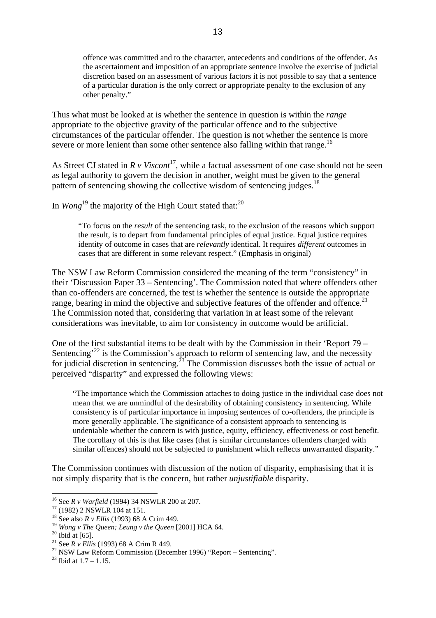offence was committed and to the character, antecedents and conditions of the offender. As the ascertainment and imposition of an appropriate sentence involve the exercise of judicial discretion based on an assessment of various factors it is not possible to say that a sentence of a particular duration is the only correct or appropriate penalty to the exclusion of any other penalty."

Thus what must be looked at is whether the sentence in question is within the *range* appropriate to the objective gravity of the particular offence and to the subjective circumstances of the particular offender. The question is not whether the sentence is more severe or more lenient than some other sentence also falling within that range.<sup>[16](#page-12-0)</sup>

As Street CJ stated in  $R v Viscont<sup>17</sup>$  $R v Viscont<sup>17</sup>$  $R v Viscont<sup>17</sup>$ , while a factual assessment of one case should not be seen as legal authority to govern the decision in another, weight must be given to the general pattern of sentencing showing the collective wisdom of sentencing judges.<sup>[18](#page-12-2)</sup>

In *Wong*<sup>19</sup> the majority of the High Court stated that:<sup>[20](#page-12-4)</sup>

"To focus on the *result* of the sentencing task, to the exclusion of the reasons which support the result, is to depart from fundamental principles of equal justice. Equal justice requires identity of outcome in cases that are *relevantly* identical. It requires *different* outcomes in cases that are different in some relevant respect." (Emphasis in original)

The NSW Law Reform Commission considered the meaning of the term "consistency" in their 'Discussion Paper 33 – Sentencing'. The Commission noted that where offenders other than co-offenders are concerned, the test is whether the sentence is outside the appropriate range, bearing in mind the objective and subjective features of the offender and offence.<sup>[21](#page-12-5)</sup> The Commission noted that, considering that variation in at least some of the relevant considerations was inevitable, to aim for consistency in outcome would be artificial.

One of the first substantial items to be dealt with by the Commission in their 'Report 79 – Sentencing<sup> $22$ </sup> is the Commission's approach to reform of sentencing law, and the necessity for judicial discretion in sentencing.<sup>23</sup> The Commission discusses both the issue of actual or perceived "disparity" and expressed the following views:

"The importance which the Commission attaches to doing justice in the individual case does not mean that we are unmindful of the desirability of obtaining consistency in sentencing. While consistency is of particular importance in imposing sentences of co-offenders, the principle is more generally applicable. The significance of a consistent approach to sentencing is undeniable whether the concern is with justice, equity, efficiency, effectiveness or cost benefit. The corollary of this is that like cases (that is similar circumstances offenders charged with similar offences) should not be subjected to punishment which reflects unwarranted disparity."

The Commission continues with discussion of the notion of disparity, emphasising that it is not simply disparity that is the concern, but rather *unjustifiable* disparity.

<span id="page-12-0"></span><sup>&</sup>lt;sup>16</sup> See *R v Warfield* (1994) 34 NSWLR 200 at 207.<br><sup>17</sup> (1982) 2 NSWLR 104 at 151.

<span id="page-12-1"></span>

<span id="page-12-2"></span><sup>18</sup> See also *R v Ellis* (1993) 68 A Crim 449.

<span id="page-12-3"></span><sup>&</sup>lt;sup>19</sup> *Wong v The Queen; Leung v the Queen* [2001] HCA 64.<br><sup>20</sup> Ibid at [65].<br><sup>21</sup> See *R v Ellis* (1993) 68 A Crim R 449.

<span id="page-12-4"></span>

<span id="page-12-5"></span>

<span id="page-12-6"></span><sup>&</sup>lt;sup>22</sup> NSW Law Reform Commission (December 1996) "Report – Sentencing".<br><sup>23</sup> Ibid at  $1.7 - 1.15$ .

<span id="page-12-7"></span>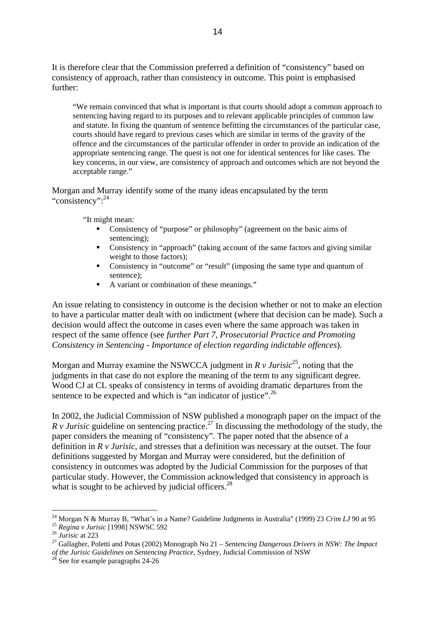It is therefore clear that the Commission preferred a definition of "consistency" based on consistency of approach, rather than consistency in outcome. This point is emphasised further:

"We remain convinced that what is important is that courts should adopt a common approach to sentencing having regard to its purposes and to relevant applicable principles of common law and statute. In fixing the quantum of sentence befitting the circumstances of the particular case, courts should have regard to previous cases which are similar in terms of the gravity of the offence and the circumstances of the particular offender in order to provide an indication of the appropriate sentencing range. The quest is not one for identical sentences for like cases. The key concerns, in our view, are consistency of approach and outcomes which are not beyond the acceptable range."

Morgan and Murray identify some of the many ideas encapsulated by the term "consistency": <sup>[24](#page-13-0)</sup>

"It might mean:

- Consistency of "purpose" or philosophy" (agreement on the basic aims of sentencing);
- Consistency in "approach" (taking account of the same factors and giving similar weight to those factors);
- Consistency in "outcome" or "result" (imposing the same type and quantum of sentence);
- A variant or combination of these meanings."

An issue relating to consistency in outcome is the decision whether or not to make an election to have a particular matter dealt with on indictment (where that decision can be made). Such a decision would affect the outcome in cases even where the same approach was taken in respect of the same offence (see *further Part 7, Prosecutorial Practice and Promoting Consistency in Sentencing - Importance of election regarding indictable offences*).

Morgan and Murray examine the NSWCCA judgment in  $R \nu$  *Jurisic*<sup>25</sup>, noting that the judgments in that case do not explore the meaning of the term to any significant degree. Wood CJ at CL speaks of consistency in terms of avoiding dramatic departures from the sentence to be expected and which is "an indicator of justice".<sup>26</sup>

In 2002, the Judicial Commission of NSW published a monograph paper on the impact of the *R v Jurisic* guideline on sentencing practice.<sup>27</sup> In discussing the methodology of the study, the paper considers the meaning of "consistency". The paper noted that the absence of a definition in *R v Jurisic*, and stresses that a definition was necessary at the outset. The four definitions suggested by Morgan and Murray were considered, but the definition of consistency in outcomes was adopted by the Judicial Commission for the purposes of that particular study. However, the Commission acknowledged that consistency in approach is what is sought to be achieved by judicial officers.<sup>[28](#page-13-4)</sup>

<span id="page-13-0"></span><sup>&</sup>lt;sup>24</sup> Morgan N & Murray B, "What's in a Name? Guideline Judgments in Australia" (1999) 23 *Crim LJ* 90 at 95<br><sup>25</sup> *Regina v Jurisic* [1998] NSWSC 592<br><sup>26</sup> *Jurisic* at 223<br><sup>27</sup> Gallagher. Poletti and Potas (2002) Monograph

<span id="page-13-1"></span>

<span id="page-13-2"></span>

<span id="page-13-3"></span>*of the Jurisic Guidelines on Sentencing Practice*, Sydney, Judicial Commission of NSW <sup>28</sup> See for example paragraphs 24-26

<span id="page-13-4"></span>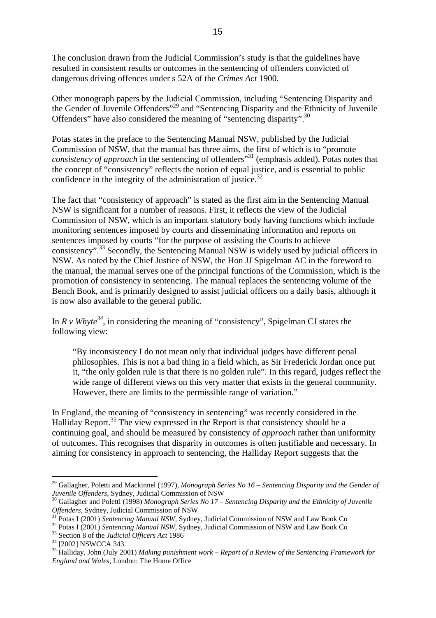The conclusion drawn from the Judicial Commission's study is that the guidelines have resulted in consistent results or outcomes in the sentencing of offenders convicted of dangerous driving offences under s 52A of the *Crimes Act* 1900.

Other monograph papers by the Judicial Commission, including "Sentencing Disparity and the Gender of Juvenile Offenders"[29](#page-14-0) and "Sentencing Disparity and the Ethnicity of Juvenile Offenders" have also considered the meaning of "sentencing disparity".<sup>30</sup>

Potas states in the preface to the Sentencing Manual NSW, published by the Judicial Commission of NSW, that the manual has three aims, the first of which is to "promote *consistency of approach* in the sentencing of offenders<sup>331</sup> (emphasis added). Potas notes that the concept of "consistency" reflects the notion of equal justice, and is essential to public confidence in the integrity of the administration of justice.<sup>32</sup>

The fact that "consistency of approach" is stated as the first aim in the Sentencing Manual NSW is significant for a number of reasons. First, it reflects the view of the Judicial Commission of NSW, which is an important statutory body having functions which include monitoring sentences imposed by courts and disseminating information and reports on sentences imposed by courts "for the purpose of assisting the Courts to achieve consistency".[33](#page-14-4) Secondly, the Sentencing Manual NSW is widely used by judicial officers in NSW. As noted by the Chief Justice of NSW, the Hon JJ Spigelman AC in the foreword to the manual, the manual serves one of the principal functions of the Commission, which is the promotion of consistency in sentencing. The manual replaces the sentencing volume of the Bench Book, and is primarily designed to assist judicial officers on a daily basis, although it is now also available to the general public.

In  $R \nu W \wedge h$  *i* considering the meaning of "consistency", Spigelman CJ states the following view:

"By inconsistency I do not mean only that individual judges have different penal philosophies. This is not a bad thing in a field which, as Sir Frederick Jordan once put it, "the only golden rule is that there is no golden rule". In this regard, judges reflect the wide range of different views on this very matter that exists in the general community. However, there are limits to the permissible range of variation."

In England, the meaning of "consistency in sentencing" was recently considered in the Halliday Report.<sup>35</sup> The view expressed in the Report is that consistency should be a continuing goal, and should be measured by consistency of *approach* rather than uniformity of outcomes. This recognises that disparity in outcomes is often justifiable and necessary. In aiming for consistency in approach to sentencing, the Halliday Report suggests that the

<span id="page-14-0"></span><sup>&</sup>lt;sup>29</sup> Gallagher, Poletti and Mackinnel (1997), *Monograph Series No 16 – Sentencing Disparity and the Gender of* 

<span id="page-14-1"></span>*Juvenile Offenders*, Sydney, Judicial Commission of NSW<br><sup>30</sup> Gallagher and Poletti (1998) *Monograph Series No 17 – Sentencing Disparity and the Ethnicity of Juvenile*<br>*Offenders*, Sydney, Judicial Commission of NSW

<span id="page-14-3"></span><span id="page-14-2"></span>

<sup>&</sup>lt;sup>31</sup> Potas I (2001) *Sentencing Manual NSW*, Sydney, Judicial Commission of NSW and Law Book Co<br><sup>32</sup> Potas I (2001) *Sentencing Manual NSW*, Sydney, Judicial Commission of NSW and Law Book Co<br><sup>33</sup> Section 8 of the *Judici* 

<span id="page-14-4"></span>

<span id="page-14-5"></span>

<span id="page-14-6"></span><sup>35</sup> Halliday, John (July 2001) *Making punishment work – Report of a Review of the Sentencing Framework for England and Wales*, London: The Home Office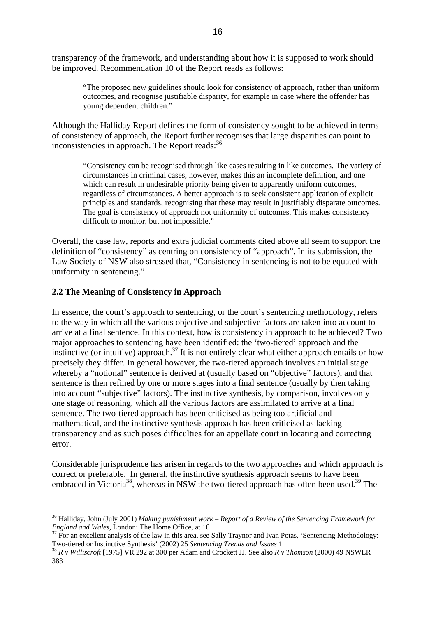<span id="page-15-0"></span>transparency of the framework, and understanding about how it is supposed to work should be improved. Recommendation 10 of the Report reads as follows:

"The proposed new guidelines should look for consistency of approach, rather than uniform outcomes, and recognise justifiable disparity, for example in case where the offender has young dependent children."

Although the Halliday Report defines the form of consistency sought to be achieved in terms of consistency of approach, the Report further recognises that large disparities can point to inconsistencies in approach. The Report reads:<sup>[36](#page-15-1)</sup>

"Consistency can be recognised through like cases resulting in like outcomes. The variety of circumstances in criminal cases, however, makes this an incomplete definition, and one which can result in undesirable priority being given to apparently uniform outcomes, regardless of circumstances. A better approach is to seek consistent application of explicit principles and standards, recognising that these may result in justifiably disparate outcomes. The goal is consistency of approach not uniformity of outcomes. This makes consistency difficult to monitor, but not impossible."

Overall, the case law, reports and extra judicial comments cited above all seem to support the definition of "consistency" as centring on consistency of "approach". In its submission, the Law Society of NSW also stressed that, "Consistency in sentencing is not to be equated with uniformity in sentencing."

#### **2.2 The Meaning of Consistency in Approach**

 $\overline{a}$ 

In essence, the court's approach to sentencing, or the court's sentencing methodology, refers to the way in which all the various objective and subjective factors are taken into account to arrive at a final sentence. In this context, how is consistency in approach to be achieved? Two major approaches to sentencing have been identified: the 'two-tiered' approach and the instinctive (or intuitive) approach.<sup>37</sup> It is not entirely clear what either approach entails or how precisely they differ. In general however, the two-tiered approach involves an initial stage whereby a "notional" sentence is derived at (usually based on "objective" factors), and that sentence is then refined by one or more stages into a final sentence (usually by then taking into account "subjective" factors). The instinctive synthesis, by comparison, involves only one stage of reasoning, which all the various factors are assimilated to arrive at a final sentence. The two-tiered approach has been criticised as being too artificial and mathematical, and the instinctive synthesis approach has been criticised as lacking transparency and as such poses difficulties for an appellate court in locating and correcting error.

<span id="page-15-4"></span>Considerable jurisprudence has arisen in regards to the two approaches and which approach is correct or preferable. In general, the instinctive synthesis approach seems to have been embraced in Victoria<sup>38</sup>, whereas in NSW the two-tiered approach has often been used.<sup>39</sup> The

<span id="page-15-1"></span><sup>&</sup>lt;sup>36</sup> Halliday, John (July 2001) *Making punishment work – Report of a Review of the Sentencing Framework for England and Wales*. London: The Home Office. at 16

<span id="page-15-2"></span><sup>&</sup>lt;sup>37</sup> For an excellent analysis of the law in this area, see Sally Traynor and Ivan Potas, 'Sentencing Methodology:<br>Two-tiered or Instinctive Synthesis' (2002) 25 Sentencing Trends and Issues 1

<span id="page-15-3"></span>Two-tiered or Instinctive Synthesis' (2002) 25 *Sentencing Trends and Issues* 1 38 *R v Williscroft* [1975] VR 292 at 300 per Adam and Crockett JJ. See also *R v Thomson* (2000) 49 NSWLR 383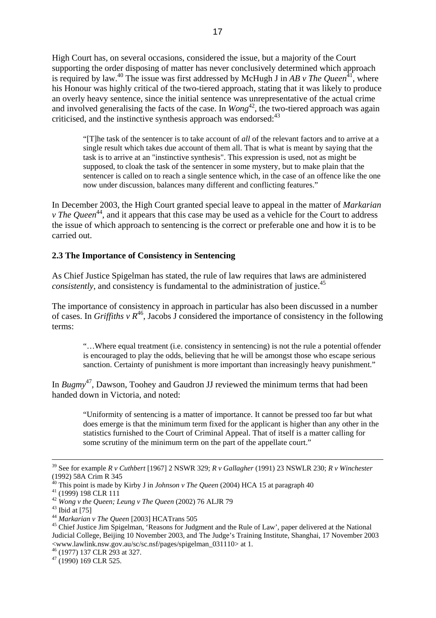<span id="page-16-0"></span>High Court has, on several occasions, considered the issue, but a majority of the Court supporting the order disposing of matter has never conclusively determined which approach is required by law.<sup>40</sup> The issue was first addressed by McHugh J in *AB v The Queen*<sup>41</sup>, where his Honour was highly critical of the two-tiered approach, stating that it was likely to produce an overly heavy sentence, since the initial sentence was unrepresentative of the actual crime and involved generalising the facts of the case. In *Wong*<sup>42</sup>, the two-tiered approach was again criticised, and the instinctive synthesis approach was endorsed:<sup>[43](#page-16-4)</sup>

"[T]he task of the sentencer is to take account of *all* of the relevant factors and to arrive at a single result which takes due account of them all. That is what is meant by saying that the task is to arrive at an "instinctive synthesis". This expression is used, not as might be supposed, to cloak the task of the sentencer in some mystery, but to make plain that the sentencer is called on to reach a single sentence which, in the case of an offence like the one now under discussion, balances many different and conflicting features."

In December 2003, the High Court granted special leave to appeal in the matter of *Markarian v* The Queen<sup>44</sup>, and it appears that this case may be used as a vehicle for the Court to address the issue of which approach to sentencing is the correct or preferable one and how it is to be carried out.

#### **2.3 The Importance of Consistency in Sentencing**

As Chief Justice Spigelman has stated, the rule of law requires that laws are administered *consistently*, and consistency is fundamental to the administration of justice.<sup>45</sup>

The importance of consistency in approach in particular has also been discussed in a number of cases. In *Griffiths v R*<sup>46</sup>, Jacobs J considered the importance of consistency in the following terms:

"…Where equal treatment (i.e. consistency in sentencing) is not the rule a potential offender is encouraged to play the odds, believing that he will be amongst those who escape serious sanction. Certainty of punishment is more important than increasingly heavy punishment."

In *Bugmy*[47,](#page-16-8) Dawson, Toohey and Gaudron JJ reviewed the minimum terms that had been handed down in Victoria, and noted:

"Uniformity of sentencing is a matter of importance. It cannot be pressed too far but what does emerge is that the minimum term fixed for the applicant is higher than any other in the statistics furnished to the Court of Criminal Appeal. That of itself is a matter calling for some scrutiny of the minimum term on the part of the appellate court."

 <sup>39</sup> See for example *R v Cuthbert* [1967] 2 NSWR 329; *R v Gallagher* (1991) 23 NSWLR 230; *R v Winchester*  (1992) 58A Crim R 345

<span id="page-16-1"></span><sup>&</sup>lt;sup>40</sup> This point is made by Kirby J in *Johnson v The Queen* (2004) HCA 15 at paragraph 40<sup>41</sup> (1999) 198 CLR 111

<span id="page-16-2"></span>

<span id="page-16-3"></span><sup>&</sup>lt;sup>42</sup> *Wong v the Queen; Leung v The Queen* (2002) 76 ALJR 79<br><sup>43</sup> Ibid at [75]<br><sup>44</sup> *Markarian v The Queen* [2003] HCATrans 505

<span id="page-16-4"></span>

<span id="page-16-5"></span>

<span id="page-16-6"></span><sup>&</sup>lt;sup>45</sup> Chief Justice Jim Spigelman, 'Reasons for Judgment and the Rule of Law', paper delivered at the National Judicial College, Beijing 10 November 2003, and The Judge's Training Institute, Shanghai, 17 November 2003 <www.lawlink.nsw.gov.au/sc/sc.nsf/pages/spigelman\_031110> at 1.

<span id="page-16-7"></span><sup>46 (1977) 137</sup> CLR 293 at 327.

<span id="page-16-8"></span> $47$  (1990) 169 CLR 525.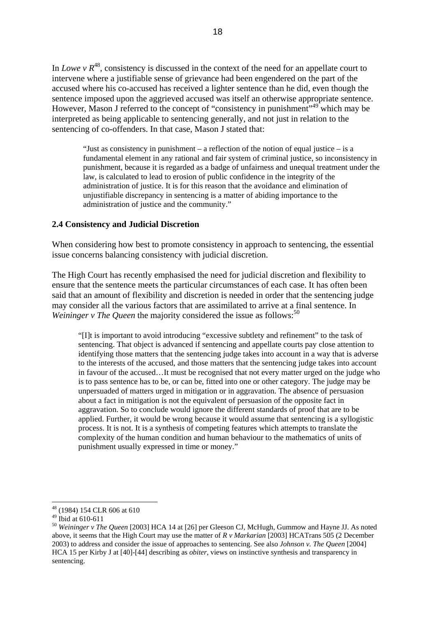<span id="page-17-0"></span>In *Lowe* v  $R^{48}$ , consistency is discussed in the context of the need for an appellate court to intervene where a justifiable sense of grievance had been engendered on the part of the accused where his co-accused has received a lighter sentence than he did, even though the sentence imposed upon the aggrieved accused was itself an otherwise appropriate sentence. However, Mason J referred to the concept of "consistency in punishment", <sup>49</sup> which may be interpreted as being applicable to sentencing generally, and not just in relation to the sentencing of co-offenders. In that case, Mason J stated that:

"Just as consistency in punishment – a reflection of the notion of equal justice – is a fundamental element in any rational and fair system of criminal justice, so inconsistency in punishment, because it is regarded as a badge of unfairness and unequal treatment under the law, is calculated to lead to erosion of public confidence in the integrity of the administration of justice. It is for this reason that the avoidance and elimination of unjustifiable discrepancy in sentencing is a matter of abiding importance to the administration of justice and the community."

#### **2.4 Consistency and Judicial Discretion**

When considering how best to promote consistency in approach to sentencing, the essential issue concerns balancing consistency with judicial discretion.

The High Court has recently emphasised the need for judicial discretion and flexibility to ensure that the sentence meets the particular circumstances of each case. It has often been said that an amount of flexibility and discretion is needed in order that the sentencing judge may consider all the various factors that are assimilated to arrive at a final sentence. In *Weininger v The Queen* the majority considered the issue as follows:<sup>[50](#page-17-3)</sup>

"[I]t is important to avoid introducing "excessive subtlety and refinement" to the task of sentencing. That object is advanced if sentencing and appellate courts pay close attention to identifying those matters that the sentencing judge takes into account in a way that is adverse to the interests of the accused, and those matters that the sentencing judge takes into account in favour of the accused…It must be recognised that not every matter urged on the judge who is to pass sentence has to be, or can be, fitted into one or other category. The judge may be unpersuaded of matters urged in mitigation or in aggravation. The absence of persuasion about a fact in mitigation is not the equivalent of persuasion of the opposite fact in aggravation. So to conclude would ignore the different standards of proof that are to be applied. Further, it would be wrong because it would assume that sentencing is a syllogistic process. It is not. It is a synthesis of competing features which attempts to translate the complexity of the human condition and human behaviour to the mathematics of units of punishment usually expressed in time or money."

<span id="page-17-1"></span><sup>48 (1984) 154</sup> CLR 606 at 610

<span id="page-17-2"></span> $49$  Ibid at 610-611

<span id="page-17-3"></span><sup>50</sup> *Weininger v The Queen* [2003] HCA 14 at [26] per Gleeson CJ, McHugh, Gummow and Hayne JJ. As noted above, it seems that the High Court may use the matter of *R v Markarian* [2003] HCATrans 505 (2 December 2003) to address and consider the issue of approaches to sentencing. See also *Johnson v. The Queen* [2004] HCA 15 per Kirby J at [40]-[44] describing as *obiter*, views on instinctive synthesis and transparency in sentencing.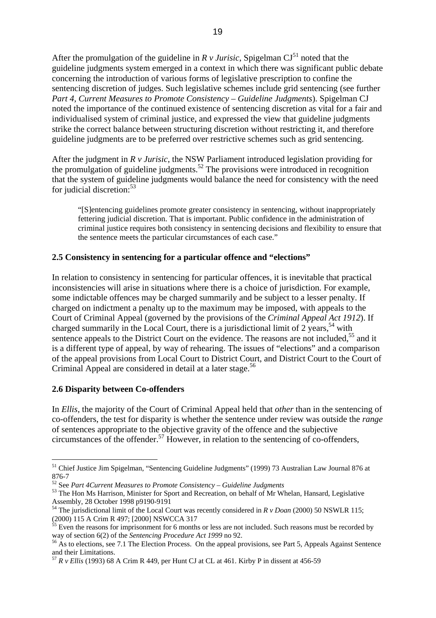<span id="page-18-0"></span>After the promulgation of the guideline in  $R \, v$  *Jurisic*, Spigelman CJ<sup>51</sup> noted that the guideline judgments system emerged in a context in which there was significant public debate concerning the introduction of various forms of legislative prescription to confine the sentencing discretion of judges. Such legislative schemes include grid sentencing (see further *Part 4, Current Measures to Promote Consistency – Guideline Judgments*). Spigelman CJ noted the importance of the continued existence of sentencing discretion as vital for a fair and individualised system of criminal justice, and expressed the view that guideline judgments strike the correct balance between structuring discretion without restricting it, and therefore guideline judgments are to be preferred over restrictive schemes such as grid sentencing.

After the judgment in *R v Jurisic*, the NSW Parliament introduced legislation providing for the promulgation of guideline judgments.<sup>52</sup> The provisions were introduced in recognition that the system of guideline judgments would balance the need for consistency with the need for judicial discretion:  $53$ 

"[S]entencing guidelines promote greater consistency in sentencing, without inappropriately fettering judicial discretion. That is important. Public confidence in the administration of criminal justice requires both consistency in sentencing decisions and flexibility to ensure that the sentence meets the particular circumstances of each case."

## **2.5 Consistency in sentencing for a particular offence and "elections"**

In relation to consistency in sentencing for particular offences, it is inevitable that practical inconsistencies will arise in situations where there is a choice of jurisdiction. For example, some indictable offences may be charged summarily and be subject to a lesser penalty. If charged on indictment a penalty up to the maximum may be imposed, with appeals to the Court of Criminal Appeal (governed by the provisions of the *Criminal Appeal Act 1912*). If charged summarily in the Local Court, there is a jurisdictional limit of  $2$  years,<sup>54</sup> with sentence appeals to the District Court on the evidence. The reasons are not included,<sup>55</sup> and it is a different type of appeal, by way of rehearing. The issues of "elections" and a comparison of the appeal provisions from Local Court to District Court, and District Court to the Court of Criminal Appeal are considered in detail at a later stage.<sup>56</sup>

#### **2.6 Disparity between Co-offenders**

 $\overline{a}$ 

In *Ellis*, the majority of the Court of Criminal Appeal held that *other* than in the sentencing of co-offenders, the test for disparity is whether the sentence under review was outside the *range* of sentences appropriate to the objective gravity of the offence and the subjective circumstances of the offender.<sup>57</sup> However, in relation to the sentencing of co-offenders,

<span id="page-18-1"></span><sup>51</sup> Chief Justice Jim Spigelman, "Sentencing Guideline Judgments" (1999) 73 Australian Law Journal 876 at 876-7<br><sup>52</sup> See Part 4 Current Measures to Promote Consistency – Guideline Judgments

<span id="page-18-2"></span>

<span id="page-18-3"></span><sup>&</sup>lt;sup>53</sup> The Hon Ms Harrison, Minister for Sport and Recreation, on behalf of Mr Whelan, Hansard, Legislative Assembly, 28 October 1998 p9190-9191

<span id="page-18-4"></span><sup>54</sup> The jurisdictional limit of the Local Court was recently considered in *R v Doan* (2000) 50 NSWLR 115; (2000) 115 A Crim R 497; [2000] NSWCCA 317

<span id="page-18-5"></span> $55$  Even the reasons for imprisonment for 6 months or less are not included. Such reasons must be recorded by

<span id="page-18-6"></span>way of section 6(2) of the *Sentencing Procedure Act 1999* no 92.<br><sup>56</sup> As to elections, see 7.1 The Election Process. On the appeal provisions, see Part 5, Appeals Against Sentence and their Limitations.

<span id="page-18-7"></span><sup>57</sup> *R v Ellis* (1993) 68 A Crim R 449, per Hunt CJ at CL at 461. Kirby P in dissent at 456-59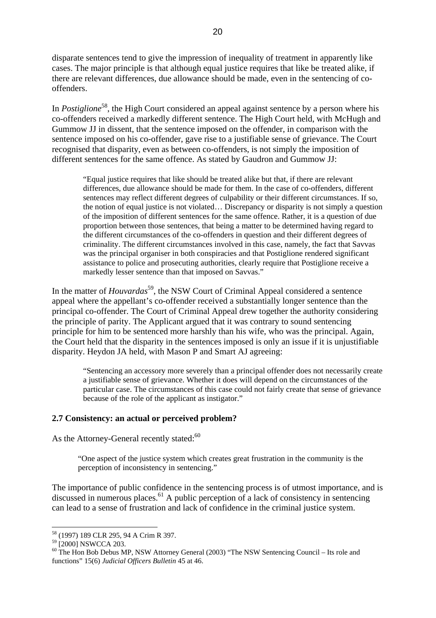<span id="page-19-0"></span>disparate sentences tend to give the impression of inequality of treatment in apparently like cases. The major principle is that although equal justice requires that like be treated alike, if there are relevant differences, due allowance should be made, even in the sentencing of cooffenders.

In *Postiglione*<sup>58</sup>, the High Court considered an appeal against sentence by a person where his co-offenders received a markedly different sentence. The High Court held, with McHugh and Gummow JJ in dissent, that the sentence imposed on the offender, in comparison with the sentence imposed on his co-offender, gave rise to a justifiable sense of grievance. The Court recognised that disparity, even as between co-offenders, is not simply the imposition of different sentences for the same offence. As stated by Gaudron and Gummow JJ:

"Equal justice requires that like should be treated alike but that, if there are relevant differences, due allowance should be made for them. In the case of co-offenders, different sentences may reflect different degrees of culpability or their different circumstances. If so, the notion of equal justice is not violated… Discrepancy or disparity is not simply a question of the imposition of different sentences for the same offence. Rather, it is a question of due proportion between those sentences, that being a matter to be determined having regard to the different circumstances of the co-offenders in question and their different degrees of criminality. The different circumstances involved in this case, namely, the fact that Savvas was the principal organiser in both conspiracies and that Postiglione rendered significant assistance to police and prosecuting authorities, clearly require that Postiglione receive a markedly lesser sentence than that imposed on Savvas."

In the matter of *Houvardas*<sup>59</sup>, the NSW Court of Criminal Appeal considered a sentence appeal where the appellant's co-offender received a substantially longer sentence than the principal co-offender. The Court of Criminal Appeal drew together the authority considering the principle of parity. The Applicant argued that it was contrary to sound sentencing principle for him to be sentenced more harshly than his wife, who was the principal. Again, the Court held that the disparity in the sentences imposed is only an issue if it is unjustifiable disparity. Heydon JA held, with Mason P and Smart AJ agreeing:

"Sentencing an accessory more severely than a principal offender does not necessarily create a justifiable sense of grievance. Whether it does will depend on the circumstances of the particular case. The circumstances of this case could not fairly create that sense of grievance because of the role of the applicant as instigator."

## **2.7 Consistency: an actual or perceived problem?**

As the Attorney-General recently stated:<sup>[60](#page-19-3)</sup>

"One aspect of the justice system which creates great frustration in the community is the perception of inconsistency in sentencing."

<span id="page-19-4"></span>The importance of public confidence in the sentencing process is of utmost importance, and is discussed in numerous places.<sup>61</sup> A public perception of a lack of consistency in sentencing can lead to a sense of frustration and lack of confidence in the criminal justice system.

<span id="page-19-1"></span><sup>58 (1997) 189</sup> CLR 295, 94 A Crim R 397.

<span id="page-19-2"></span> $59$  [2000] NSWCCA 203.

<span id="page-19-3"></span><sup>&</sup>lt;sup>60</sup> The Hon Bob Debus MP, NSW Attorney General (2003) "The NSW Sentencing Council – Its role and functions" 15(6) *Judicial Officers Bulletin* 45 at 46.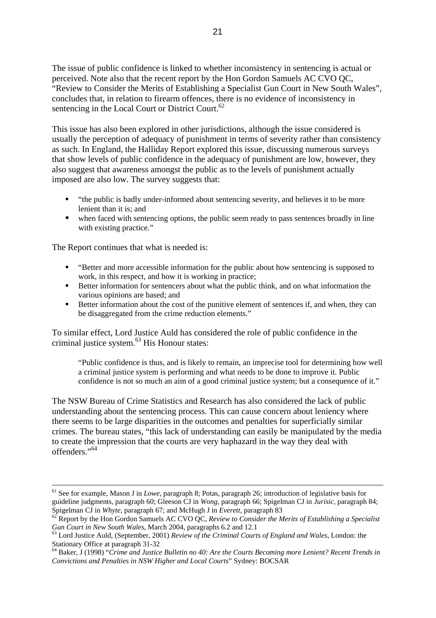The issue of public confidence is linked to whether inconsistency in sentencing is actual or perceived. Note also that the recent report by the Hon Gordon Samuels AC CVO QC, "Review to Consider the Merits of Establishing a Specialist Gun Court in New South Wales", concludes that, in relation to firearm offences, there is no evidence of inconsistency in sentencing in the Local Court or District Court.<sup>[62](#page-20-0)</sup>

This issue has also been explored in other jurisdictions, although the issue considered is usually the perception of adequacy of punishment in terms of severity rather than consistency as such. In England, the Halliday Report explored this issue, discussing numerous surveys that show levels of public confidence in the adequacy of punishment are low, however, they also suggest that awareness amongst the public as to the levels of punishment actually imposed are also low. The survey suggests that:

- "the public is badly under-informed about sentencing severity, and believes it to be more lenient than it is; and
- when faced with sentencing options, the public seem ready to pass sentences broadly in line with existing practice."

The Report continues that what is needed is:

- "Better and more accessible information for the public about how sentencing is supposed to work, in this respect, and how it is working in practice;
- Better information for sentencers about what the public think, and on what information the various opinions are based; and
- Better information about the cost of the punitive element of sentences if, and when, they can be disaggregated from the crime reduction elements."

To similar effect, Lord Justice Auld has considered the role of public confidence in the criminal justice system.[63](#page-20-1) His Honour states:

"Public confidence is thus, and is likely to remain, an imprecise tool for determining how well a criminal justice system is performing and what needs to be done to improve it. Public confidence is not so much an aim of a good criminal justice system; but a consequence of it."

The NSW Bureau of Crime Statistics and Research has also considered the lack of public understanding about the sentencing process. This can cause concern about leniency where there seems to be large disparities in the outcomes and penalties for superficially similar crimes. The bureau states, "this lack of understanding can easily be manipulated by the media to create the impression that the courts are very haphazard in the way they deal with offenders."[64](#page-20-2)

<span id="page-20-2"></span>64 Baker, J (1998) "*Crime and Justice Bulletin no 40: Are the Courts Becoming more Lenient? Recent Trends in Convictions and Penalties in NSW Higher and Local Courts*" Sydney: BOCSAR

 <sup>61</sup> See for example, Mason J in *Lowe*, paragraph 8; Potas, paragraph 26; introduction of legislative basis for guideline judgments, paragraph 60; Gleeson CJ in *Wong*, paragraph 66; Spigelman CJ in *Jurisic*, paragraph 84;

<span id="page-20-0"></span>Spigelman CJ in *Whyte*, paragraph 67; and McHugh J in *Everett*, paragraph 83<br><sup>62</sup> Report by the Hon Gordon Samuels AC CVO QC, *Review to Consider the Merits of Establishing a Specialist Gun Court in New South Wales. Marc* 

<span id="page-20-1"></span><sup>&</sup>lt;sup>63</sup> Lord Justice Auld, (September, 2001) *Review of the Criminal Courts of England and Wales*, London: the Stationary Office at paragraph 31-32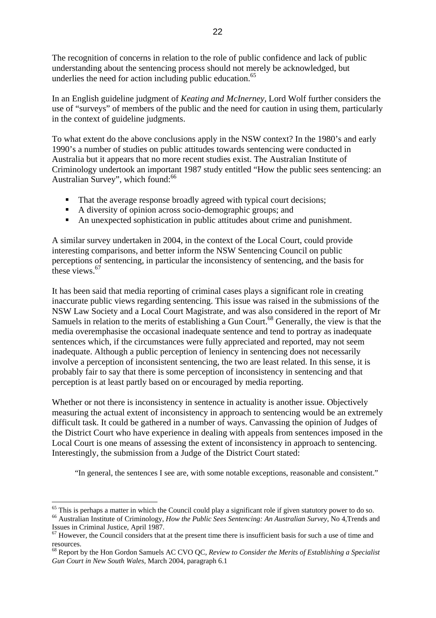The recognition of concerns in relation to the role of public confidence and lack of public understanding about the sentencing process should not merely be acknowledged, but underlies the need for action including public education.<sup>65</sup>

In an English guideline judgment of *Keating and McInerney,* Lord Wolf further considers the use of "surveys" of members of the public and the need for caution in using them, particularly in the context of guideline judgments.

To what extent do the above conclusions apply in the NSW context? In the 1980's and early 1990's a number of studies on public attitudes towards sentencing were conducted in Australia but it appears that no more recent studies exist. The Australian Institute of Criminology undertook an important 1987 study entitled "How the public sees sentencing: an Australian Survey", which found:<sup>[66](#page-21-1)</sup>

- That the average response broadly agreed with typical court decisions;
- A diversity of opinion across socio-demographic groups; and
- An unexpected sophistication in public attitudes about crime and punishment.

A similar survey undertaken in 2004, in the context of the Local Court, could provide interesting comparisons, and better inform the NSW Sentencing Council on public perceptions of sentencing, in particular the inconsistency of sentencing, and the basis for these views  $67$ 

It has been said that media reporting of criminal cases plays a significant role in creating inaccurate public views regarding sentencing. This issue was raised in the submissions of the NSW Law Society and a Local Court Magistrate, and was also considered in the report of Mr Samuels in relation to the merits of establishing a Gun Court.<sup>68</sup> Generally, the view is that the media overemphasise the occasional inadequate sentence and tend to portray as inadequate sentences which, if the circumstances were fully appreciated and reported, may not seem inadequate. Although a public perception of leniency in sentencing does not necessarily involve a perception of inconsistent sentencing, the two are least related. In this sense, it is probably fair to say that there is some perception of inconsistency in sentencing and that perception is at least partly based on or encouraged by media reporting.

Whether or not there is inconsistency in sentence in actuality is another issue. Objectively measuring the actual extent of inconsistency in approach to sentencing would be an extremely difficult task. It could be gathered in a number of ways. Canvassing the opinion of Judges of the District Court who have experience in dealing with appeals from sentences imposed in the Local Court is one means of assessing the extent of inconsistency in approach to sentencing. Interestingly, the submission from a Judge of the District Court stated:

"In general, the sentences I see are, with some notable exceptions, reasonable and consistent."

<span id="page-21-1"></span><span id="page-21-0"></span> $65$  This is perhaps a matter in which the Council could play a significant role if given statutory power to do so. 66 Australian Institute of Criminology, *How the Public Sees Sentencing: An Australian Survey*, No 4,Trends and Issues in Criminal Justice, April 1987.

<span id="page-21-2"></span> $67$  However, the Council considers that at the present time there is insufficient basis for such a use of time and resources.

<span id="page-21-3"></span><sup>68</sup> Report by the Hon Gordon Samuels AC CVO QC, *Review to Consider the Merits of Establishing a Specialist Gun Court in New South Wales,* March 2004, paragraph 6.1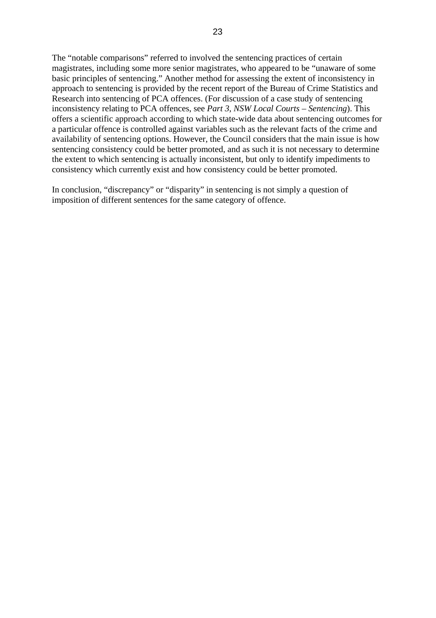The "notable comparisons" referred to involved the sentencing practices of certain magistrates, including some more senior magistrates, who appeared to be "unaware of some basic principles of sentencing." Another method for assessing the extent of inconsistency in approach to sentencing is provided by the recent report of the Bureau of Crime Statistics and Research into sentencing of PCA offences. (For discussion of a case study of sentencing inconsistency relating to PCA offences, see *Part 3, NSW Local Courts – Sentencing*). This offers a scientific approach according to which state-wide data about sentencing outcomes for a particular offence is controlled against variables such as the relevant facts of the crime and availability of sentencing options. However, the Council considers that the main issue is how sentencing consistency could be better promoted, and as such it is not necessary to determine the extent to which sentencing is actually inconsistent, but only to identify impediments to consistency which currently exist and how consistency could be better promoted.

In conclusion, "discrepancy" or "disparity" in sentencing is not simply a question of imposition of different sentences for the same category of offence.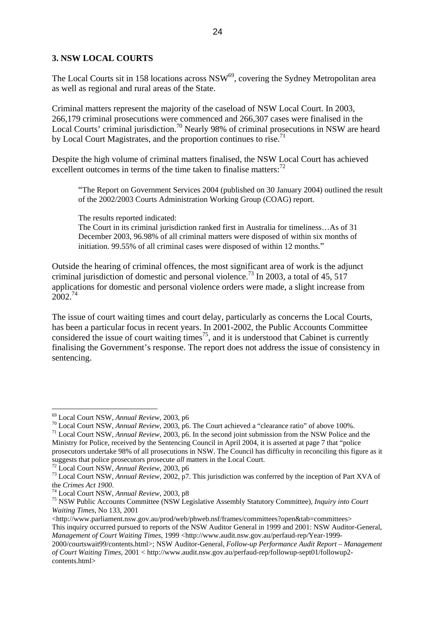## <span id="page-23-0"></span>**3. NSW LOCAL COURTS**

The Local Courts sit in 158 locations across  $\text{NSW}^{69}$ , covering the Sydney Metropolitan area as well as regional and rural areas of the State.

Criminal matters represent the majority of the caseload of NSW Local Court. In 2003, 266,179 criminal prosecutions were commenced and 266,307 cases were finalised in the Local Courts' criminal jurisdiction.<sup>70</sup> Nearly 98% of criminal prosecutions in NSW are heard by Local Court Magistrates, and the proportion continues to rise.<sup>71</sup>

Despite the high volume of criminal matters finalised, the NSW Local Court has achieved excellent outcomes in terms of the time taken to finalise matters: $<sup>72</sup>$  $<sup>72</sup>$  $<sup>72</sup>$ </sup>

"The Report on Government Services 2004 (published on 30 January 2004) outlined the result of the 2002/2003 Courts Administration Working Group (COAG) report.

The results reported indicated:

The Court in its criminal jurisdiction ranked first in Australia for timeliness…As of 31 December 2003, 96.98% of all criminal matters were disposed of within six months of initiation. 99.55% of all criminal cases were disposed of within 12 months."

Outside the hearing of criminal offences, the most significant area of work is the adjunct criminal jurisdiction of domestic and personal violence.<sup>73</sup> In 2003, a total of 45, 517 applications for domestic and personal violence orders were made, a slight increase from 2002.<sup>[74](#page-23-6)</sup>

The issue of court waiting times and court delay, particularly as concerns the Local Courts, has been a particular focus in recent years. In 2001-2002, the Public Accounts Committee considered the issue of court waiting times<sup>75</sup>, and it is understood that Cabinet is currently finalising the Government's response. The report does not address the issue of consistency in sentencing.

<span id="page-23-1"></span><sup>&</sup>lt;sup>69</sup> Local Court NSW, Annual Review, 2003, p6

<span id="page-23-2"></span><sup>&</sup>lt;sup>70</sup> Local Court NSW, *Annual Review*, 2003, p6. The Court achieved a "clearance ratio" of above 100%.<br><sup>71</sup> Local Court NSW, *Annual Review*, 2003, p6. In the second joint submission from the NSW Police and the

<span id="page-23-3"></span>Ministry for Police, received by the Sentencing Council in April 2004, it is asserted at page 7 that "police prosecutors undertake 98% of all prosecutions in NSW. The Council has difficulty in reconciling this figure as it suggests that police prosecutors prosecute *all* matters in the Local Court.

<span id="page-23-5"></span><span id="page-23-4"></span>

<sup>&</sup>lt;sup>72</sup> Local Court NSW, Annual Review, 2003, p6<br><sup>73</sup> Local Court NSW, Annual Review, 2002, p7. This jurisdiction was conferred by the inception of Part XVA of<br>the Crimes Act 1900.

<span id="page-23-7"></span><span id="page-23-6"></span>

the *Crimes Act <sup>1900</sup>*. 74 Local Court NSW, *Annual Review*, 2003, p8 75 NSW Public Accounts Committee (NSW Legislative Assembly Statutory Committee), *Inquiry into Court Waiting Times*, No 133, 2001

<sup>&</sup>lt;http://www.parliament.nsw.gov.au/prod/web/phweb.nsf/frames/committees?open&tab=committees> This inquiry occurred pursued to reports of the NSW Auditor General in 1999 and 2001: NSW Auditor-General,

*Management of Court Waiting Times, 1999 <http://www.audit.nsw.gov.au/perfaud-rep/Year-1999-*

<sup>2000/</sup>courtswait99/contents.html>; NSW Auditor-General, *Follow-up Performance Audit Report – Management of Court Waiting Times*, 2001 < http://www.audit.nsw.gov.au/perfaud-rep/followup-sept01/followup2 contents.html>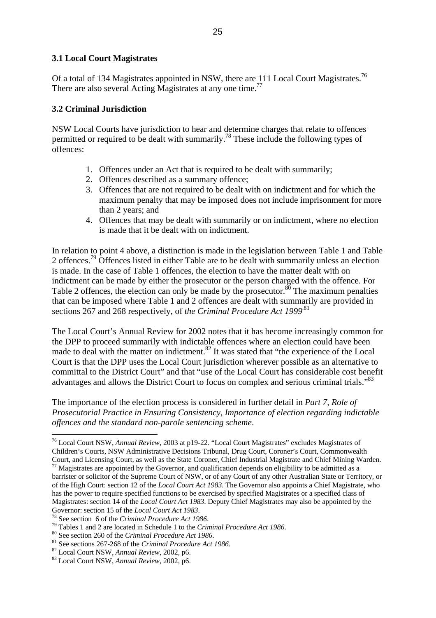## <span id="page-24-0"></span>**3.1 Local Court Magistrates**

Of a total of 134 Magistrates appointed in NSW, there are 111 Local Court Magistrates.<sup>76</sup> There are also several Acting Magistrates at any one time.<sup>77</sup>

## **3.2 Criminal Jurisdiction**

NSW Local Courts have jurisdiction to hear and determine charges that relate to offences permitted or required to be dealt with summarily.[78](#page-24-3) These include the following types of offences:

- 1. Offences under an Act that is required to be dealt with summarily;
- 2. Offences described as a summary offence;
- 3. Offences that are not required to be dealt with on indictment and for which the maximum penalty that may be imposed does not include imprisonment for more than 2 years; and
- 4. Offences that may be dealt with summarily or on indictment, where no election is made that it be dealt with on indictment.

In relation to point 4 above, a distinction is made in the legislation between Table 1 and Table 2 offences.<sup>79</sup> Offences listed in either Table are to be dealt with summarily unless an election is made. In the case of Table 1 offences, the election to have the matter dealt with on indictment can be made by either the prosecutor or the person charged with the offence. For Table 2 offences, the election can only be made by the prosecutor.<sup>80</sup> The maximum penalties that can be imposed where Table 1 and 2 offences are dealt with summarily are provided in sections 267 and 268 respectively, of *the Criminal Procedure Act* 1999<sup>[81](#page-24-6)</sup>

The Local Court's Annual Review for 2002 notes that it has become increasingly common for the DPP to proceed summarily with indictable offences where an election could have been made to deal with the matter on indictment.<sup>82</sup> It was stated that "the experience of the Local Court is that the DPP uses the Local Court jurisdiction wherever possible as an alternative to committal to the District Court" and that "use of the Local Court has considerable cost benefit advantages and allows the District Court to focus on complex and serious criminal trials."<sup>83</sup>

The importance of the election process is considered in further detail in *Part 7, Role of Prosecutorial Practice in Ensuring Consistency, Importance of election regarding indictable offences and the standard non-parole sentencing scheme*.

<span id="page-24-1"></span> $\overline{a}$ 76 Local Court NSW, *Annual Review*, 2003 at p19-22. "Local Court Magistrates" excludes Magistrates of Children's Courts, NSW Administrative Decisions Tribunal, Drug Court, Coroner's Court, Commonwealth

<span id="page-24-2"></span>Court, and Licensing Court, as well as the State Coroner, Chief Industrial Magistrate and Chief Mining Warden. 77 Magistrates are appointed by the Governor, and qualification depends on eligibility to be admitted as a barrister or solicitor of the Supreme Court of NSW, or of any Court of any other Australian State or Territory, or of the High Court: section 12 of the *Local Court Act 1983*. The Governor also appoints a Chief Magistrate, who has the power to require specified functions to be exercised by specified Magistrates or a specified class of Magistrates: section 14 of the *Local Court Act 1983*. Deputy Chief Magistrates may also be appointed by the

<span id="page-24-4"></span><span id="page-24-3"></span>

Governor: section 15 of the *Local Court Act 1983*.<br><sup>78</sup> See section 6 of the *Criminal Procedure Act 1986*.<br><sup>79</sup> Tables 1 and 2 are located in Schedule 1 to the *Criminal Procedure Act 1986*.<br><sup>80</sup> See section 260 of the

<span id="page-24-5"></span>

<span id="page-24-6"></span>

<span id="page-24-7"></span>

<span id="page-24-8"></span>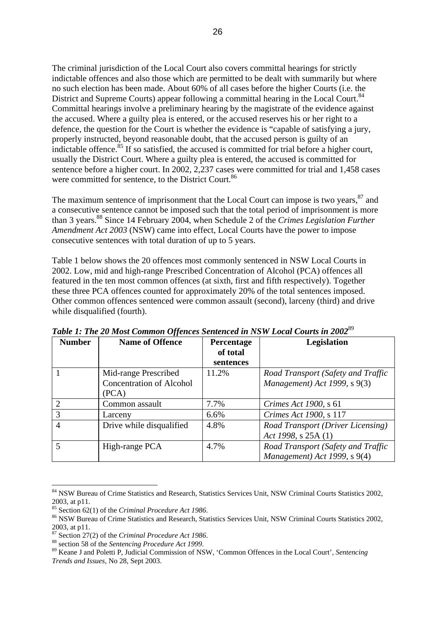<span id="page-25-0"></span>The criminal jurisdiction of the Local Court also covers committal hearings for strictly indictable offences and also those which are permitted to be dealt with summarily but where no such election has been made. About 60% of all cases before the higher Courts (i.e. the District and Supreme Courts) appear following a committal hearing in the Local Court.<sup>[84](#page-25-1)</sup> Committal hearings involve a preliminary hearing by the magistrate of the evidence against the accused. Where a guilty plea is entered, or the accused reserves his or her right to a defence, the question for the Court is whether the evidence is "capable of satisfying a jury, properly instructed, beyond reasonable doubt, that the accused person is guilty of an indictable offence.<sup>85</sup> If so satisfied, the accused is committed for trial before a higher court, usually the District Court. Where a guilty plea is entered, the accused is committed for sentence before a higher court. In 2002, 2,237 cases were committed for trial and 1,458 cases were committed for sentence, to the District Court.<sup>[86](#page-25-3)</sup>

The maximum sentence of imprisonment that the Local Court can impose is two years, <sup>87</sup> and a consecutive sentence cannot be imposed such that the total period of imprisonment is more than 3 years.<sup>88</sup> Since 14 February 2004, when Schedule 2 of the *Crimes Legislation Further Amendment Act 2003* (NSW) came into effect, Local Courts have the power to impose consecutive sentences with total duration of up to 5 years.

Table 1 below shows the 20 offences most commonly sentenced in NSW Local Courts in 2002. Low, mid and high-range Prescribed Concentration of Alcohol (PCA) offences all featured in the ten most common offences (at sixth, first and fifth respectively). Together these three PCA offences counted for approximately 20% of the total sentences imposed. Other common offences sentenced were common assault (second), larceny (third) and drive while disqualified (fourth).

| <b>Number</b> | <b>Name of Offence</b>          | Percentage | <b>Legislation</b>                 |
|---------------|---------------------------------|------------|------------------------------------|
|               |                                 | of total   |                                    |
|               |                                 | sentences  |                                    |
|               | Mid-range Prescribed            | 11.2%      | Road Transport (Safety and Traffic |
|               | <b>Concentration of Alcohol</b> |            | Management) Act 1999, s 9(3)       |
|               | (PCA)                           |            |                                    |
|               | Common assault                  | 7.7%       | <i>Crimes Act 1900, s 61</i>       |
| 3             | Larceny                         | 6.6%       | Crimes Act 1900, s 117             |
|               | Drive while disqualified        | 4.8%       | Road Transport (Driver Licensing)  |
|               |                                 |            | Act 1998, s $25A(1)$               |
|               | High-range PCA                  | 4.7%       | Road Transport (Safety and Traffic |
|               |                                 |            | Management) Act 1999, s 9(4)       |

*Table 1: The 20 Most Common Offences Sentenced in NSW Local Courts in 2002*[89](#page-25-6)

<span id="page-25-1"></span><sup>84</sup> NSW Bureau of Crime Statistics and Research, Statistics Services Unit, NSW Criminal Courts Statistics 2002, 2003, at p11.<br> $^{85}$  Section 62(1) of the *Criminal Procedure Act 1986*.

<span id="page-25-2"></span>

<span id="page-25-3"></span><sup>&</sup>lt;sup>86</sup> NSW Bureau of Crime Statistics and Research, Statistics Services Unit, NSW Criminal Courts Statistics 2002, 2003, at p11.<br> $^{87}$  Section 27(2) of the *Criminal Procedure Act 1986*.

<span id="page-25-4"></span>

<span id="page-25-6"></span><span id="page-25-5"></span>

<sup>&</sup>lt;sup>88</sup> section 58 of the Sentencing Procedure Act 1999.<br><sup>89</sup> Keane J and Poletti P, Judicial Commission of NSW, 'Common Offences in the Local Court', Sentencing *Trends and Issues*, No 28, Sept 2003.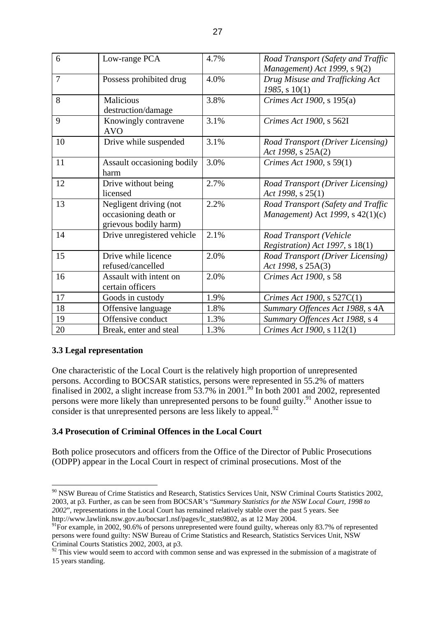<span id="page-26-0"></span>

| 6              | Low-range PCA                                                           | 4.7% | Road Transport (Safety and Traffic<br>Management) Act 1999, s 9(2)     |
|----------------|-------------------------------------------------------------------------|------|------------------------------------------------------------------------|
| $\overline{7}$ | Possess prohibited drug                                                 | 4.0% | Drug Misuse and Trafficking Act<br>$1985$ , s $10(1)$                  |
| 8              | <b>Malicious</b><br>destruction/damage                                  | 3.8% | Crimes Act 1900, s 195(a)                                              |
| 9              | Knowingly contravene<br><b>AVO</b>                                      | 3.1% | Crimes Act 1900, s 562I                                                |
| 10             | Drive while suspended                                                   | 3.1% | Road Transport (Driver Licensing)<br>Act 1998, s 25A(2)                |
| 11             | Assault occasioning bodily<br>harm                                      | 3.0% | Crimes Act 1900, s 59(1)                                               |
| 12             | Drive without being<br>licensed                                         | 2.7% | Road Transport (Driver Licensing)<br>Act 1998, s $25(1)$               |
| 13             | Negligent driving (not<br>occasioning death or<br>grievous bodily harm) | 2.2% | Road Transport (Safety and Traffic<br>Management) Act 1999, s 42(1)(c) |
| 14             | Drive unregistered vehicle                                              | 2.1% | Road Transport (Vehicle<br><i>Registration</i> ) Act 1997, s 18(1)     |
| 15             | Drive while licence<br>refused/cancelled                                | 2.0% | Road Transport (Driver Licensing)<br>Act 1998, s 25A(3)                |
| 16             | Assault with intent on<br>certain officers                              | 2.0% | Crimes Act 1900, s 58                                                  |
| 17             | Goods in custody                                                        | 1.9% | Crimes Act 1900, s 527C(1)                                             |
| 18             | Offensive language                                                      | 1.8% | Summary Offences Act 1988, s 4A                                        |
| 19             | Offensive conduct                                                       | 1.3% | Summary Offences Act 1988, s 4                                         |
| 20             | Break, enter and steal                                                  | 1.3% | Crimes Act 1900, s 112(1)                                              |

# **3.3 Legal representation**

 $\overline{a}$ 

One characteristic of the Local Court is the relatively high proportion of unrepresented persons. According to BOCSAR statistics, persons were represented in 55.2% of matters finalised in 2002, a slight increase from  $53.7\%$  in 2001.<sup>90</sup> In both 2001 and 2002, represented persons were more likely than unrepresented persons to be found guilty.<sup>91</sup> Another issue to consider is that unrepresented persons are less likely to appeal.<sup>[92](#page-26-3)</sup>

## **3.4 Prosecution of Criminal Offences in the Local Court**

Both police prosecutors and officers from the Office of the Director of Public Prosecutions (ODPP) appear in the Local Court in respect of criminal prosecutions. Most of the

<span id="page-26-1"></span><sup>&</sup>lt;sup>90</sup> NSW Bureau of Crime Statistics and Research, Statistics Services Unit, NSW Criminal Courts Statistics 2002, 2003, at p3. Further, as can be seen from BOCSAR's "*Summary Statistics for the NSW Local Court, 1998 to 2002*", representations in the Local Court has remained relatively stable over the past 5 years. See [http://www.lawlink.nsw.gov.au/bocsar1.nsf/pages/lc\\_stats9802,](http://www.lawlink.nsw.gov.au/bocsar1.nsf/pages/lc_stats9802) as at 12 May 2004.

<span id="page-26-2"></span> $91$ For example, in 2002, 90.6% of persons unrepresented were found guilty, whereas only 83.7% of represented persons were found guilty: NSW Bureau of Crime Statistics and Research, Statistics Services Unit, NSW Criminal Courts Statistics 2002, 2003, at p3.

<span id="page-26-3"></span> $\frac{92}{2}$  This view would seem to accord with common sense and was expressed in the submission of a magistrate of 15 years standing.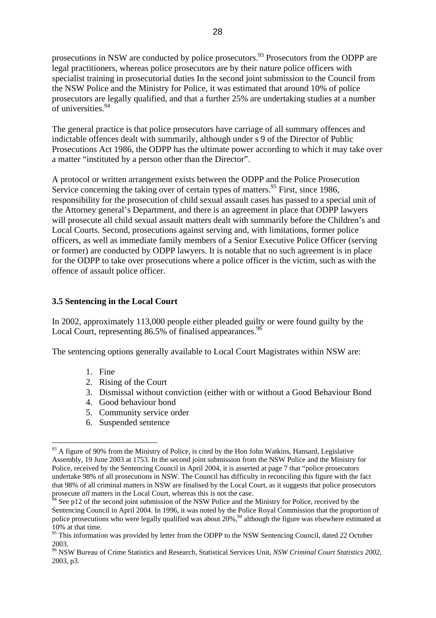<span id="page-27-0"></span>prosecutions in NSW are conducted by police prosecutors.<sup>93</sup> Prosecutors from the ODPP are legal practitioners, whereas police prosecutors are by their nature police officers with specialist training in prosecutorial duties In the second joint submission to the Council from the NSW Police and the Ministry for Police, it was estimated that around 10% of police prosecutors are legally qualified, and that a further 25% are undertaking studies at a number of universities.<sup>94</sup>

The general practice is that police prosecutors have carriage of all summary offences and indictable offences dealt with summarily, although under s 9 of the Director of Public Prosecutions Act 1986, the ODPP has the ultimate power according to which it may take over a matter "instituted by a person other than the Director".

A protocol or written arrangement exists between the ODPP and the Police Prosecution Service concerning the taking over of certain types of matters.<sup>95</sup> First, since 1986, responsibility for the prosecution of child sexual assault cases has passed to a special unit of the Attorney general's Department, and there is an agreement in place that ODPP lawyers will prosecute all child sexual assault matters dealt with summarily before the Children's and Local Courts. Second, prosecutions against serving and, with limitations, former police officers, as well as immediate family members of a Senior Executive Police Officer (serving or former) are conducted by ODPP lawyers. It is notable that no such agreement is in place for the ODPP to take over prosecutions where a police officer is the victim, such as with the offence of assault police officer.

## **3.5 Sentencing in the Local Court**

In 2002, approximately 113,000 people either pleaded guilty or were found guilty by the Local Court, representing 86.5% of finalised appearances.<sup>96</sup>

The sentencing options generally available to Local Court Magistrates within NSW are:

- 1. Fine
- 2. Rising of the Court
- 3. Dismissal without conviction (either with or without a Good Behaviour Bond
- 4. Good behaviour bond
- 5. Community service order
- 6. Suspended sentence

<span id="page-27-1"></span> $\overline{a}$  $93$  A figure of 90% from the Ministry of Police, is cited by the Hon John Watkins, Hansard, Legislative Assembly, 19 June 2003 at 1753. In the second joint submission from the NSW Police and the Ministry for Police, received by the Sentencing Council in April 2004, it is asserted at page 7 that "police prosecutors undertake 98% of all prosecutions in NSW. The Council has difficulty in reconciling this figure with the fact that 98% of all criminal matters in NSW are finalised by the Local Court, as it suggests that police prosecutors prosecute *all* matters in the Local Court, whereas this is not the case.

<span id="page-27-2"></span> $64$  See p12 of the second joint submission of the NSW Police and the Ministry for Police, received by the Sentencing Council in April 2004. In 1996, it was noted by the Police Royal Commission that the proportion of police prosecutions who were legally qualified was about 20%,<sup>94</sup> although the figure was elsewhere estimated at 10% at that time.

<span id="page-27-3"></span><sup>&</sup>lt;sup>95</sup> This information was provided by letter from the ODPP to the NSW Sentencing Council, dated 22 October 2003.

<span id="page-27-4"></span><sup>96</sup> NSW Bureau of Crime Statistics and Research, Statistical Services Unit, *NSW Criminal Court Statistics 2002*, 2003, p3.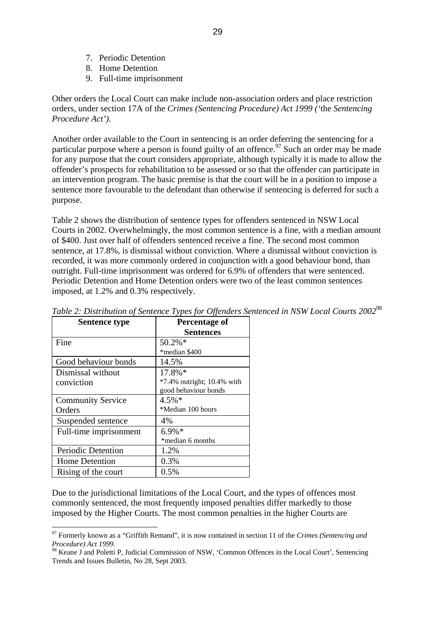- <span id="page-28-0"></span>7. Periodic Detention
- 8. Home Detention
- 9. Full-time imprisonment

Other orders the Local Court can make include non-association orders and place restriction orders, under section 17A of the *Crimes (Sentencing Procedure) Act 1999 ('*the *Sentencing Procedure Act')*.

Another order available to the Court in sentencing is an order deferring the sentencing for a particular purpose where a person is found guilty of an offence.<sup>97</sup> Such an order may be made for any purpose that the court considers appropriate, although typically it is made to allow the offender's prospects for rehabilitation to be assessed or so that the offender can participate in an intervention program. The basic premise is that the court will be in a position to impose a sentence more favourable to the defendant than otherwise if sentencing is deferred for such a purpose.

Table 2 shows the distribution of sentence types for offenders sentenced in NSW Local Courts in 2002. Overwhelmingly, the most common sentence is a fine, with a median amount of \$400. Just over half of offenders sentenced receive a fine. The second most common sentence, at 17.8%, is dismissal without conviction. Where a dismissal without conviction is recorded, it was more commonly ordered in conjunction with a good behaviour bond, than outright. Full-time imprisonment was ordered for 6.9% of offenders that were sentenced. Periodic Detention and Home Detention orders were two of the least common sentences imposed, at 1.2% and 0.3% respectively.

| <b>Sentence type</b>     | <b>Percentage of</b>          |
|--------------------------|-------------------------------|
|                          | <b>Sentences</b>              |
| Fine                     | 50.2%*                        |
|                          | *median \$400                 |
| Good behaviour bonds     | 14.5%                         |
| Dismissal without        | 17.8%*                        |
| conviction               | $*7.4\%$ outright; 10.4% with |
|                          | good behaviour bonds          |
| <b>Community Service</b> | $4.5\%*$                      |
| Orders                   | *Median 100 hours             |
| Suspended sentence       | 4%                            |
| Full-time imprisonment   | $6.9\%*$                      |
|                          | *median 6 months              |
| Periodic Detention       | 1.2%                          |
| <b>Home Detention</b>    | 0.3%                          |
| Rising of the court      | 0.5%                          |

 $\overline{a}$ 

*Table 2: Distribution of Sentence Types for Offenders Sentenced in NSW Local Courts 2002*[98](#page-28-2)

Due to the jurisdictional limitations of the Local Court, and the types of offences most commonly sentenced, the most frequently imposed penalties differ markedly to those imposed by the Higher Courts. The most common penalties in the higher Courts are

<span id="page-28-1"></span><sup>97</sup> Formerly known as a "Griffith Remand", it is now contained in section 11 of the *Crimes (Sentencing and Procedure) Act 1999.*<br><sup>98</sup> Keane J and Poletti P. Judicial Commission of NSW, 'Common Offences in the Local Court', Sentencing

<span id="page-28-2"></span>Trends and Issues Bulletin, No 28, Sept 2003.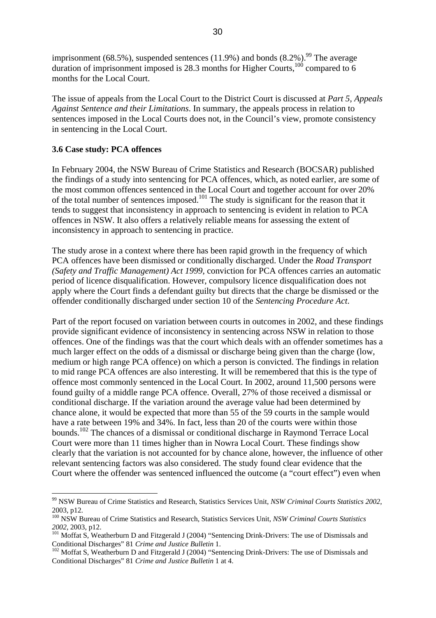<span id="page-29-0"></span>imprisonment (68.5%), suspended sentences (11.9%) and bonds  $(8.2\%)$ .<sup>99</sup> The average duration of imprisonment imposed is 28.3 months for Higher Courts, $100$  compared to 6 months for the Local Court.

The issue of appeals from the Local Court to the District Court is discussed at *Part 5, Appeals Against Sentence and their Limitations*. In summary, the appeals process in relation to sentences imposed in the Local Courts does not, in the Council's view, promote consistency in sentencing in the Local Court.

#### **3.6 Case study: PCA offences**

 $\overline{a}$ 

In February 2004, the NSW Bureau of Crime Statistics and Research (BOCSAR) published the findings of a study into sentencing for PCA offences, which, as noted earlier, are some of the most common offences sentenced in the Local Court and together account for over 20% of the total number of sentences imposed.<sup>101</sup> The study is significant for the reason that it tends to suggest that inconsistency in approach to sentencing is evident in relation to PCA offences in NSW. It also offers a relatively reliable means for assessing the extent of inconsistency in approach to sentencing in practice.

The study arose in a context where there has been rapid growth in the frequency of which PCA offences have been dismissed or conditionally discharged. Under the *Road Transport (Safety and Traffic Management) Act 1999*, conviction for PCA offences carries an automatic period of licence disqualification. However, compulsory licence disqualification does not apply where the Court finds a defendant guilty but directs that the charge be dismissed or the offender conditionally discharged under section 10 of the *Sentencing Procedure Act*.

Part of the report focused on variation between courts in outcomes in 2002, and these findings provide significant evidence of inconsistency in sentencing across NSW in relation to those offences. One of the findings was that the court which deals with an offender sometimes has a much larger effect on the odds of a dismissal or discharge being given than the charge (low, medium or high range PCA offence) on which a person is convicted. The findings in relation to mid range PCA offences are also interesting. It will be remembered that this is the type of offence most commonly sentenced in the Local Court. In 2002, around 11,500 persons were found guilty of a middle range PCA offence. Overall, 27% of those received a dismissal or conditional discharge. If the variation around the average value had been determined by chance alone, it would be expected that more than 55 of the 59 courts in the sample would have a rate between 19% and 34%. In fact, less than 20 of the courts were within those bounds.[102](#page-29-4) The chances of a dismissal or conditional discharge in Raymond Terrace Local Court were more than 11 times higher than in Nowra Local Court. These findings show clearly that the variation is not accounted for by chance alone, however, the influence of other relevant sentencing factors was also considered. The study found clear evidence that the Court where the offender was sentenced influenced the outcome (a "court effect") even when

<span id="page-29-1"></span><sup>99</sup> NSW Bureau of Crime Statistics and Research, Statistics Services Unit, *NSW Criminal Courts Statistics 2002*, 2003, p12.

<span id="page-29-2"></span><sup>100</sup> NSW Bureau of Crime Statistics and Research, Statistics Services Unit, *NSW Criminal Courts Statistics* 

<span id="page-29-3"></span><sup>&</sup>lt;sup>101</sup> Moffat S, Weatherburn D and Fitzgerald J (2004) "Sentencing Drink-Drivers: The use of Dismissals and

<span id="page-29-4"></span>Conditional Discharges" 81 *Crime and Justice Bulletin* 1.<br><sup>102</sup> Moffat S, Weatherburn D and Fitzgerald J (2004) "Sentencing Drink-Drivers: The use of Dismissals and Conditional Discharges" 81 *Crime and Justice Bulletin* 1 at 4.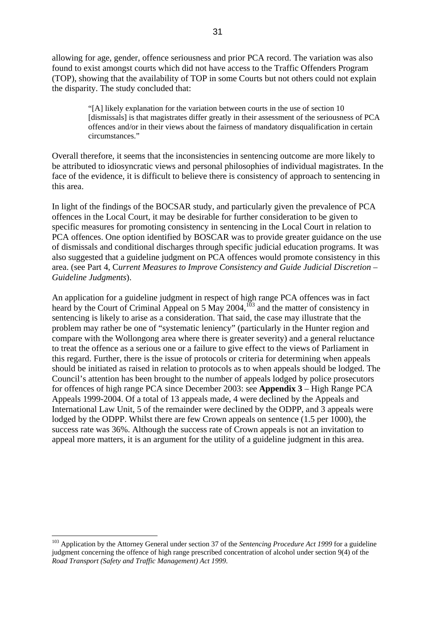allowing for age, gender, offence seriousness and prior PCA record. The variation was also found to exist amongst courts which did not have access to the Traffic Offenders Program (TOP), showing that the availability of TOP in some Courts but not others could not explain the disparity. The study concluded that:

> "[A] likely explanation for the variation between courts in the use of section 10 [dismissals] is that magistrates differ greatly in their assessment of the seriousness of PCA offences and/or in their views about the fairness of mandatory disqualification in certain circumstances."

Overall therefore, it seems that the inconsistencies in sentencing outcome are more likely to be attributed to idiosyncratic views and personal philosophies of individual magistrates. In the face of the evidence, it is difficult to believe there is consistency of approach to sentencing in this area.

In light of the findings of the BOCSAR study, and particularly given the prevalence of PCA offences in the Local Court, it may be desirable for further consideration to be given to specific measures for promoting consistency in sentencing in the Local Court in relation to PCA offences. One option identified by BOSCAR was to provide greater guidance on the use of dismissals and conditional discharges through specific judicial education programs. It was also suggested that a guideline judgment on PCA offences would promote consistency in this area. (see Part 4, C*urrent Measures to Improve Consistency and Guide Judicial Discretion – Guideline Judgments*).

An application for a guideline judgment in respect of high range PCA offences was in fact An application for a guideline judgment in tespect of  $mgr$  and the matter of consistency in heard by the Court of Criminal Appeal on 5 May 2004, $^{103}$  and the matter of consistency in sentencing is likely to arise as a consideration. That said, the case may illustrate that the problem may rather be one of "systematic leniency" (particularly in the Hunter region and compare with the Wollongong area where there is greater severity) and a general reluctance to treat the offence as a serious one or a failure to give effect to the views of Parliament in this regard. Further, there is the issue of protocols or criteria for determining when appeals should be initiated as raised in relation to protocols as to when appeals should be lodged. The Council's attention has been brought to the number of appeals lodged by police prosecutors for offences of high range PCA since December 2003: see **Appendix 3** – High Range PCA Appeals 1999-2004. Of a total of 13 appeals made, 4 were declined by the Appeals and International Law Unit, 5 of the remainder were declined by the ODPP, and 3 appeals were lodged by the ODPP. Whilst there are few Crown appeals on sentence  $(1.5 \text{ per } 1000)$ , the success rate was 36%. Although the success rate of Crown appeals is not an invitation to appeal more matters, it is an argument for the utility of a guideline judgment in this area.

<span id="page-30-0"></span><sup>&</sup>lt;sup>103</sup> Application by the Attorney General under section 37 of the *Sentencing Procedure Act 1999* for a guideline judgment concerning the offence of high range prescribed concentration of alcohol under section 9(4) of the *Road Transport (Safety and Traffic Management) Act 1999*.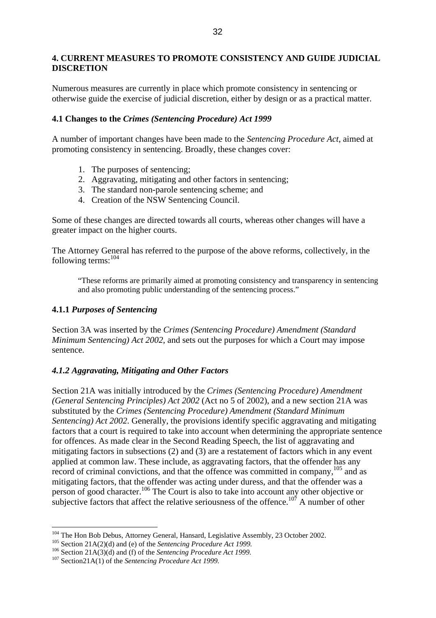## <span id="page-31-0"></span>**4. CURRENT MEASURES TO PROMOTE CONSISTENCY AND GUIDE JUDICIAL DISCRETION**

Numerous measures are currently in place which promote consistency in sentencing or otherwise guide the exercise of judicial discretion, either by design or as a practical matter.

## **4.1 Changes to the** *Crimes (Sentencing Procedure) Act 1999*

A number of important changes have been made to the *Sentencing Procedure Act*, aimed at promoting consistency in sentencing. Broadly, these changes cover:

- 1. The purposes of sentencing;
- 2. Aggravating, mitigating and other factors in sentencing;
- 3. The standard non-parole sentencing scheme; and
- 4. Creation of the NSW Sentencing Council.

Some of these changes are directed towards all courts, whereas other changes will have a greater impact on the higher courts.

The Attorney General has referred to the purpose of the above reforms, collectively, in the following terms:[104](#page-31-1)

"These reforms are primarily aimed at promoting consistency and transparency in sentencing and also promoting public understanding of the sentencing process."

# **4.1.1** *Purposes of Sentencing*

Section 3A was inserted by the *Crimes (Sentencing Procedure) Amendment (Standard Minimum Sentencing) Act 2002*, and sets out the purposes for which a Court may impose sentence.

# *4.1.2 Aggravating, Mitigating and Other Factors*

Section 21A was initially introduced by the *Crimes (Sentencing Procedure) Amendment (General Sentencing Principles) Act 2002* (Act no 5 of 2002), and a new section 21A was substituted by the *Crimes (Sentencing Procedure) Amendment (Standard Minimum Sentencing) Act 2002*. Generally, the provisions identify specific aggravating and mitigating factors that a court is required to take into account when determining the appropriate sentence for offences. As made clear in the Second Reading Speech, the list of aggravating and mitigating factors in subsections (2) and (3) are a restatement of factors which in any event applied at common law. These include, as aggravating factors, that the offender has any record of criminal convictions, and that the offence was committed in company, <sup>105</sup> and as mitigating factors, that the offender was acting under duress, and that the offender was a person of good character.<sup>106</sup> The Court is also to take into account any other objective or subjective factors that affect the relative seriousness of the offence.<sup>107</sup> A number of other

<span id="page-31-1"></span><sup>&</sup>lt;sup>104</sup> The Hon Bob Debus, Attorney General, Hansard, Legislative Assembly, 23 October 2002.<br><sup>105</sup> Section 21A(2)(d) and (e) of the *Sentencing Procedure Act 1999*.<br><sup>106</sup> Section 21A(3)(d) and (f) of the *Sentencing Procedu* 

<span id="page-31-2"></span>

<span id="page-31-3"></span>

<span id="page-31-4"></span>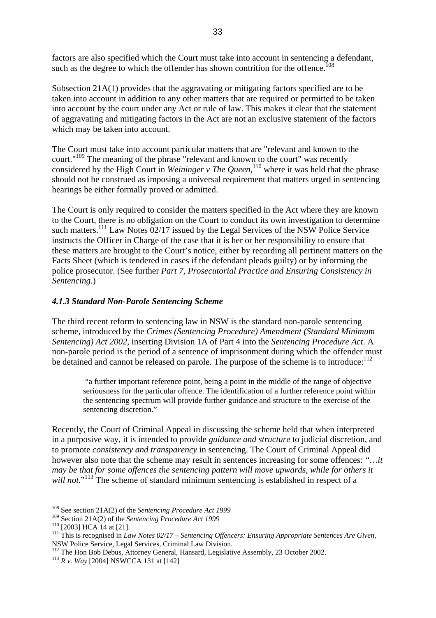<span id="page-32-0"></span>factors are also specified which the Court must take into account in sentencing a defendant, such as the degree to which the offender has shown contrition for the offence.<sup>[108](#page-32-1)</sup>

Subsection 21A(1) provides that the aggravating or mitigating factors specified are to be taken into account in addition to any other matters that are required or permitted to be taken into account by the court under any Act or rule of law. This makes it clear that the statement of aggravating and mitigating factors in the Act are not an exclusive statement of the factors which may be taken into account.

The Court must take into account particular matters that are "relevant and known to the court."[109](#page-32-2) The meaning of the phrase "relevant and known to the court" was recently considered by the High Court in *Weininger v The Queen*,<sup>110</sup> where it was held that the phrase should not be construed as imposing a universal requirement that matters urged in sentencing hearings be either formally proved or admitted.

The Court is only required to consider the matters specified in the Act where they are known to the Court, there is no obligation on the Court to conduct its own investigation to determine such matters.<sup>111</sup> Law Notes  $\overline{02/17}$  issued by the Legal Services of the NSW Police Service instructs the Officer in Charge of the case that it is her or her responsibility to ensure that these matters are brought to the Court's notice, either by recording all pertinent matters on the Facts Sheet (which is tendered in cases if the defendant pleads guilty) or by informing the police prosecutor. (See further *Part 7, Prosecutorial Practice and Ensuring Consistency in Sentencing*.)

## *4.1.3 Standard Non-Parole Sentencing Scheme*

The third recent reform to sentencing law in NSW is the standard non-parole sentencing scheme, introduced by the *Crimes (Sentencing Procedure) Amendment (Standard Minimum Sentencing) Act 2002*, inserting Division 1A of Part 4 into the *Sentencing Procedure Act*. A non-parole period is the period of a sentence of imprisonment during which the offender must be detained and cannot be released on parole. The purpose of the scheme is to introduce: $112$ 

 "a further important reference point, being a point in the middle of the range of objective seriousness for the particular offence. The identification of a further reference point within the sentencing spectrum will provide further guidance and structure to the exercise of the sentencing discretion."

Recently, the Court of Criminal Appeal in discussing the scheme held that when interpreted in a purposive way, it is intended to provide *guidance and structure* to judicial discretion, and to promote *consistency and transparency* in sentencing. The Court of Criminal Appeal did however also note that the scheme may result in sentences increasing for some offences: *"…it may be that for some offences the sentencing pattern will move upwards, while for others it*  will not."<sup>113</sup> The scheme of standard minimum sentencing is established in respect of a

<span id="page-32-1"></span><sup>108</sup> See section 21A(2) of the *Sentencing Procedure Act 1999*

<span id="page-32-2"></span>

<span id="page-32-4"></span><span id="page-32-3"></span>

<sup>&</sup>lt;sup>109</sup> Section 21A(2) of the *Sentencing Procedure Act 1999*<br><sup>110</sup> [2003] HCA 14 at [21].<br><sup>111</sup> This is recognised in *Law Notes 02/17 – Sentencing Offencers: Ensuring Appropriate Sentences Are Given*,<br>NSW Police Service, L

<span id="page-32-5"></span><sup>&</sup>lt;sup>112</sup> The Hon Bob Debus, Attorney General, Hansard, Legislative Assembly, 23 October 2002.<br><sup>113</sup> *R v. Wav* [2004] NSWCCA 131 at [142]

<span id="page-32-6"></span>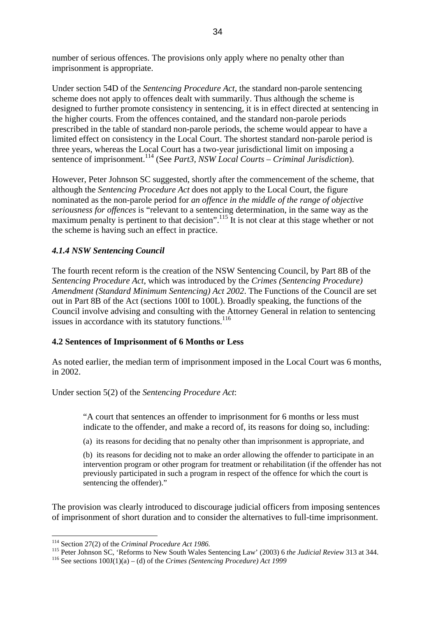<span id="page-33-0"></span>number of serious offences. The provisions only apply where no penalty other than imprisonment is appropriate.

Under section 54D of the *Sentencing Procedure Act*, the standard non-parole sentencing scheme does not apply to offences dealt with summarily. Thus although the scheme is designed to further promote consistency in sentencing, it is in effect directed at sentencing in the higher courts. From the offences contained, and the standard non-parole periods prescribed in the table of standard non-parole periods, the scheme would appear to have a limited effect on consistency in the Local Court. The shortest standard non-parole period is three years, whereas the Local Court has a two-year jurisdictional limit on imposing a sentence of imprisonment.<sup>114</sup> (See *Part3, NSW Local Courts – Criminal Jurisdiction*).

However, Peter Johnson SC suggested, shortly after the commencement of the scheme, that although the *Sentencing Procedure Act* does not apply to the Local Court, the figure nominated as the non-parole period for *an offence in the middle of the range of objective seriousness for offences* is "relevant to a sentencing determination, in the same way as the maximum penalty is pertinent to that decision".<sup>115</sup> It is not clear at this stage whether or not the scheme is having such an effect in practice.

# *4.1.4 NSW Sentencing Council*

The fourth recent reform is the creation of the NSW Sentencing Council, by Part 8B of the *Sentencing Procedure Act*, which was introduced by the *Crimes (Sentencing Procedure) Amendment (Standard Minimum Sentencing) Act 2002*. The Functions of the Council are set out in Part 8B of the Act (sections 100I to 100L). Broadly speaking, the functions of the Council involve advising and consulting with the Attorney General in relation to sentencing issues in accordance with its statutory functions.<sup>[116](#page-33-3)</sup>

## **4.2 Sentences of Imprisonment of 6 Months or Less**

As noted earlier, the median term of imprisonment imposed in the Local Court was 6 months, in 2002.

## Under section 5(2) of the *Sentencing Procedure Act*:

"A court that sentences an offender to imprisonment for 6 months or less must indicate to the offender, and make a record of, its reasons for doing so, including:

(a) its reasons for deciding that no penalty other than imprisonment is appropriate, and

(b) its reasons for deciding not to make an order allowing the offender to participate in an intervention program or other program for treatment or rehabilitation (if the offender has not previously participated in such a program in respect of the offence for which the court is sentencing the offender)."

The provision was clearly introduced to discourage judicial officers from imposing sentences of imprisonment of short duration and to consider the alternatives to full-time imprisonment.

<span id="page-33-1"></span> $114$  Section 27(2) of the Criminal Procedure Act 1986.

<span id="page-33-2"></span><sup>&</sup>lt;sup>115</sup> Peter Johnson SC, 'Reforms to New South Wales Sentencing Law' (2003) 6 *the Judicial Review* 313 at 344.<br><sup>116</sup> See sections  $100J(1)(a) - (d)$  of the *Crimes (Sentencing Procedure) Act 1999* 

<span id="page-33-3"></span>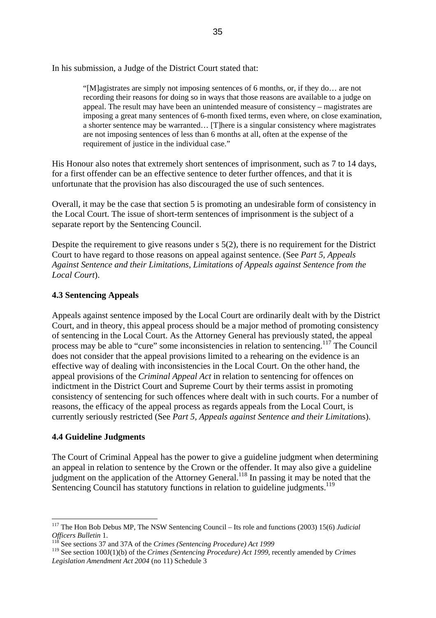<span id="page-34-0"></span>In his submission, a Judge of the District Court stated that:

"[M]agistrates are simply not imposing sentences of 6 months, or, if they do… are not recording their reasons for doing so in ways that those reasons are available to a judge on appeal. The result may have been an unintended measure of consistency – magistrates are imposing a great many sentences of 6-month fixed terms, even where, on close examination, a shorter sentence may be warranted... [T]here is a singular consistency where magistrates are not imposing sentences of less than 6 months at all, often at the expense of the requirement of justice in the individual case."

His Honour also notes that extremely short sentences of imprisonment, such as 7 to 14 days, for a first offender can be an effective sentence to deter further offences, and that it is unfortunate that the provision has also discouraged the use of such sentences.

Overall, it may be the case that section 5 is promoting an undesirable form of consistency in the Local Court. The issue of short-term sentences of imprisonment is the subject of a separate report by the Sentencing Council.

Despite the requirement to give reasons under s 5(2), there is no requirement for the District Court to have regard to those reasons on appeal against sentence. (See *Part 5, Appeals Against Sentence and their Limitations, Limitations of Appeals against Sentence from the Local Court*).

# **4.3 Sentencing Appeals**

Appeals against sentence imposed by the Local Court are ordinarily dealt with by the District Court, and in theory, this appeal process should be a major method of promoting consistency of sentencing in the Local Court. As the Attorney General has previously stated, the appeal process may be able to "cure" some inconsistencies in relation to sentencing[.117](#page-34-1) The Council does not consider that the appeal provisions limited to a rehearing on the evidence is an effective way of dealing with inconsistencies in the Local Court. On the other hand, the appeal provisions of the *Criminal Appeal Act* in relation to sentencing for offences on indictment in the District Court and Supreme Court by their terms assist in promoting consistency of sentencing for such offences where dealt with in such courts. For a number of reasons, the efficacy of the appeal process as regards appeals from the Local Court, is currently seriously restricted (See *Part 5, Appeals against Sentence and their Limitatio*ns).

# **4.4 Guideline Judgments**

 $\overline{a}$ 

The Court of Criminal Appeal has the power to give a guideline judgment when determining an appeal in relation to sentence by the Crown or the offender. It may also give a guideline judgment on the application of the Attorney General.<sup>118</sup> In passing it may be noted that the Sentencing Council has statutory functions in relation to guideline judgments.<sup>[119](#page-34-3)</sup>

<span id="page-34-1"></span><sup>117</sup> The Hon Bob Debus MP, The NSW Sentencing Council – Its role and functions (2003) 15(6) *Judicial Officers Bulletin* 1.<br><sup>118</sup> See sections 37 and 37A of the *Crimes (Sentencing Procedure) Act 1999* 

<span id="page-34-2"></span>

<span id="page-34-3"></span><sup>119</sup> See section 100J(1)(b) of the *Crimes (Sentencing Procedure) Act 1999*, recently amended by *Crimes Legislation Amendment Act 2004* (no 11) Schedule 3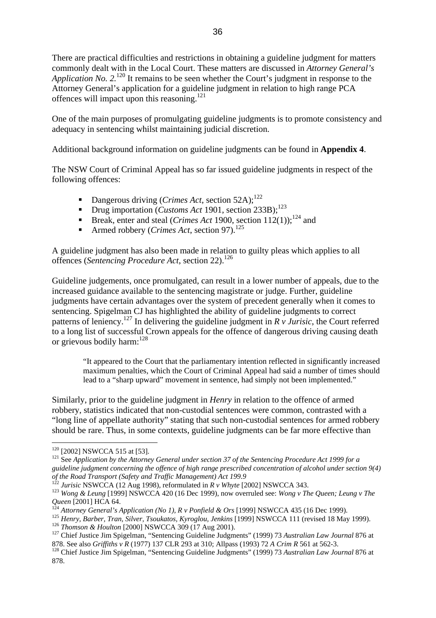There are practical difficulties and restrictions in obtaining a guideline judgment for matters commonly dealt with in the Local Court. These matters are discussed in *Attorney General's Application No.* 2.<sup>120</sup> It remains to be seen whether the Court's judgment in response to the Attorney General's application for a guideline judgment in relation to high range PCA offences will impact upon this reasoning.<sup>[121](#page-35-1)</sup>

One of the main purposes of promulgating guideline judgments is to promote consistency and adequacy in sentencing whilst maintaining judicial discretion.

Additional background information on guideline judgments can be found in **Appendix 4**.

The NSW Court of Criminal Appeal has so far issued guideline judgments in respect of the following offences:

- **Dangerous driving (***Crimes Act***, section 52A)**;<sup>[122](#page-35-2)</sup>
- Drug importation (*Customs Act* 1901, section 233B):<sup>[123](#page-35-3)</sup>
- Break, enter and steal (*Crimes Act* 1900, section  $112(1)$ );<sup>124</sup> and
- Armed robbery (*Crimes Act*, section 97).<sup>[125](#page-35-5)</sup>

A guideline judgment has also been made in relation to guilty pleas which applies to all offences (*Sentencing Procedure Act*, section 22).<sup>[126](#page-35-6)</sup>

Guideline judgements, once promulgated, can result in a lower number of appeals, due to the increased guidance available to the sentencing magistrate or judge. Further, guideline judgments have certain advantages over the system of precedent generally when it comes to sentencing. Spigelman CJ has highlighted the ability of guideline judgments to correct patterns of leniency.<sup>127</sup> In delivering the guideline judgment in  $\overline{R}$  v Jurisic, the Court referred to a long list of successful Crown appeals for the offence of dangerous driving causing death or grievous bodily harm:<sup>[128](#page-35-8)</sup>

"It appeared to the Court that the parliamentary intention reflected in significantly increased maximum penalties, which the Court of Criminal Appeal had said a number of times should lead to a "sharp upward" movement in sentence, had simply not been implemented."

Similarly, prior to the guideline judgment in *Henry* in relation to the offence of armed robbery, statistics indicated that non-custodial sentences were common, contrasted with a "long line of appellate authority" stating that such non-custodial sentences for armed robbery should be rare. Thus, in some contexts, guideline judgments can be far more effective than

<span id="page-35-0"></span><sup>&</sup>lt;sup>120</sup> [2002] NSWCCA 515 at [53].

<span id="page-35-1"></span><sup>&</sup>lt;sup>121</sup> See *Application by the Attorney General under section 37 of the Sentencing Procedure Act 1999 for a guideline judgment concerning the offence of high range prescribed concentration of alcohol under section 9(4) of the Road Transport (Safety and Traffic Management) Act 199.9*<br><sup>122</sup> Jurisic NSWCCA (12 Aug 1998), reformulated in R v Whyte [2002] NSWCCA 343.

<span id="page-35-2"></span>

<span id="page-35-3"></span><sup>&</sup>lt;sup>123</sup> *Wong & Leung* [1999] NSWCCA 420 (16 Dec 1999), now overruled see: *Wong v The Queen; Leung v The Queen* [2001] HCA 64.

<span id="page-35-4"></span>

<span id="page-35-5"></span>

<span id="page-35-7"></span><span id="page-35-6"></span>

<sup>&</sup>lt;sup>124</sup> Attorney General's Application (No 1), R v Ponfield & Ors [1999] NSWCCA 435 (16 Dec 1999).<br><sup>125</sup> Henry, Barber, Tran, Silver, Tsoukatos, Kyroglou, Jenkins [1999] NSWCCA 111 (revised 18 May 1999).<br><sup>126</sup> Thomson & Hou

<span id="page-35-8"></span><sup>&</sup>lt;sup>128</sup> Chief Justice Jim Spigelman, "Sentencing Guideline Judgments" (1999) 73 *Australian Law Journal* 876 at 878.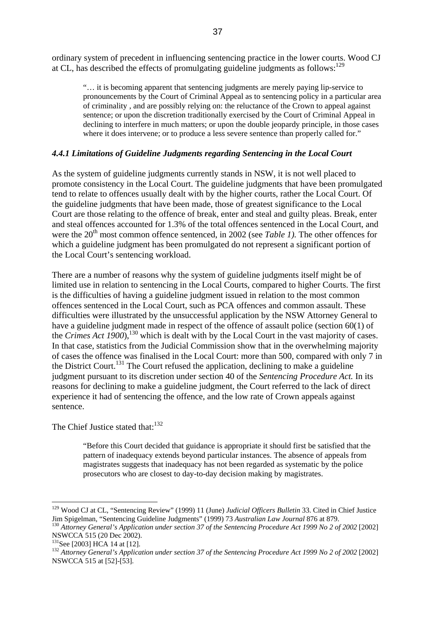ordinary system of precedent in influencing sentencing practice in the lower courts. Wood CJ at CL, has described the effects of promulgating guideline judgments as follows: $129$ 

"… it is becoming apparent that sentencing judgments are merely paying lip-service to pronouncements by the Court of Criminal Appeal as to sentencing policy in a particular area of criminality , and are possibly relying on: the reluctance of the Crown to appeal against sentence; or upon the discretion traditionally exercised by the Court of Criminal Appeal in declining to interfere in much matters; or upon the double jeopardy principle, in those cases where it does intervene; or to produce a less severe sentence than properly called for."

#### *4.4.1 Limitations of Guideline Judgments regarding Sentencing in the Local Court*

As the system of guideline judgments currently stands in NSW, it is not well placed to promote consistency in the Local Court. The guideline judgments that have been promulgated tend to relate to offences usually dealt with by the higher courts, rather the Local Court. Of the guideline judgments that have been made, those of greatest significance to the Local Court are those relating to the offence of break, enter and steal and guilty pleas. Break, enter and steal offences accounted for 1.3% of the total offences sentenced in the Local Court, and were the 20<sup>th</sup> most common offence sentenced, in 2002 (see *Table 1*). The other offences for which a guideline judgment has been promulgated do not represent a significant portion of the Local Court's sentencing workload.

There are a number of reasons why the system of guideline judgments itself might be of limited use in relation to sentencing in the Local Courts, compared to higher Courts. The first is the difficulties of having a guideline judgment issued in relation to the most common offences sentenced in the Local Court, such as PCA offences and common assault. These difficulties were illustrated by the unsuccessful application by the NSW Attorney General to have a guideline judgment made in respect of the offence of assault police (section 60(1) of the *Crimes Act 1900*),[130](#page-36-1) which is dealt with by the Local Court in the vast majority of cases. In that case, statistics from the Judicial Commission show that in the overwhelming majority of cases the offence was finalised in the Local Court: more than 500, compared with only 7 in the District Court.<sup>131</sup> The Court refused the application, declining to make a guideline judgment pursuant to its discretion under section 40 of the *Sentencing Procedure Act.* In its reasons for declining to make a guideline judgment, the Court referred to the lack of direct experience it had of sentencing the offence, and the low rate of Crown appeals against sentence.

The Chief Justice stated that:<sup>[132](#page-36-3)</sup>

"Before this Court decided that guidance is appropriate it should first be satisfied that the pattern of inadequacy extends beyond particular instances. The absence of appeals from magistrates suggests that inadequacy has not been regarded as systematic by the police prosecutors who are closest to day-to-day decision making by magistrates.

<span id="page-36-0"></span><sup>129</sup> Wood CJ at CL, "Sentencing Review" (1999) 11 (June) *Judicial Officers Bulletin* 33. Cited in Chief Justice Jim Spigelman, "Sentencing Guideline Judgments" (1999) 73 *Australian Law Journal* 876 at 879.<br><sup>130</sup> *Attorney General's Application under section 37 of the Sentencing Procedure Act 1999 No 2 of 2002* [2002]

<span id="page-36-1"></span>NSWCCA 515 (20 Dec 2002).<br><sup>131</sup>See [2003] HCA 14 at [12].

<span id="page-36-2"></span>

<span id="page-36-3"></span><sup>&</sup>lt;sup>132</sup> Attorney General's Application under section 37 of the Sentencing Procedure Act 1999 No 2 of 2002 [2002] NSWCCA 515 at [52]-[53].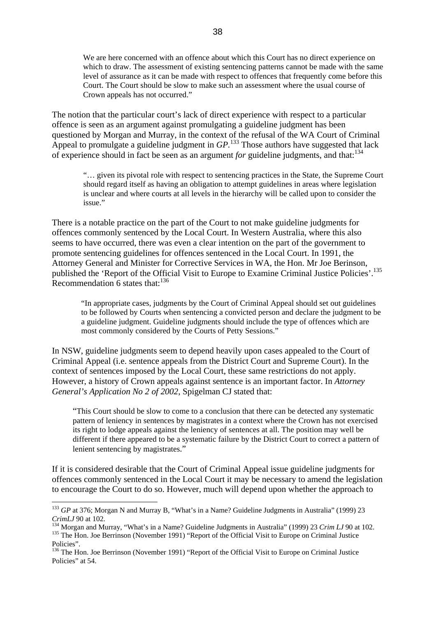We are here concerned with an offence about which this Court has no direct experience on which to draw. The assessment of existing sentencing patterns cannot be made with the same level of assurance as it can be made with respect to offences that frequently come before this Court. The Court should be slow to make such an assessment where the usual course of Crown appeals has not occurred."

The notion that the particular court's lack of direct experience with respect to a particular offence is seen as an argument against promulgating a guideline judgment has been questioned by Morgan and Murray, in the context of the refusal of the WA Court of Criminal Appeal to promulgate a guideline judgment in *GP*.<sup>133</sup> Those authors have suggested that lack of experience should in fact be seen as an argument *for* guideline judgments, and that:[134](#page-37-1)

"… given its pivotal role with respect to sentencing practices in the State, the Supreme Court should regard itself as having an obligation to attempt guidelines in areas where legislation is unclear and where courts at all levels in the hierarchy will be called upon to consider the issue."

There is a notable practice on the part of the Court to not make guideline judgments for offences commonly sentenced by the Local Court. In Western Australia, where this also seems to have occurred, there was even a clear intention on the part of the government to promote sentencing guidelines for offences sentenced in the Local Court. In 1991, the Attorney General and Minister for Corrective Services in WA, the Hon. Mr Joe Berinson, published the 'Report of the Official Visit to Europe to Examine Criminal Justice Policies'.<sup>[135](#page-37-2)</sup> Recommendation 6 states that:<sup>[136](#page-37-3)</sup>

"In appropriate cases, judgments by the Court of Criminal Appeal should set out guidelines to be followed by Courts when sentencing a convicted person and declare the judgment to be a guideline judgment. Guideline judgments should include the type of offences which are most commonly considered by the Courts of Petty Sessions."

In NSW, guideline judgments seem to depend heavily upon cases appealed to the Court of Criminal Appeal (i.e. sentence appeals from the District Court and Supreme Court). In the context of sentences imposed by the Local Court, these same restrictions do not apply. However, a history of Crown appeals against sentence is an important factor. In *Attorney General's Application No 2 of 2002*, Spigelman CJ stated that:

"This Court should be slow to come to a conclusion that there can be detected any systematic pattern of leniency in sentences by magistrates in a context where the Crown has not exercised its right to lodge appeals against the leniency of sentences at all. The position may well be different if there appeared to be a systematic failure by the District Court to correct a pattern of lenient sentencing by magistrates."

If it is considered desirable that the Court of Criminal Appeal issue guideline judgments for offences commonly sentenced in the Local Court it may be necessary to amend the legislation to encourage the Court to do so. However, much will depend upon whether the approach to

<span id="page-37-0"></span><sup>&</sup>lt;sup>133</sup> *GP* at 376; Morgan N and Murray B, "What's in a Name? Guideline Judgments in Australia" (1999) 23

<span id="page-37-1"></span>CrimLJ 90 at 102.<br><sup>134</sup> Morgan and Murray, "What's in a Name? Guideline Judgments in Australia" (1999) 23 Crim LJ 90 at 102.<br><sup>135</sup> The Hon. Joe Berrinson (November 1991) "Report of the Official Visit to Europe on Criminal Policies".

<span id="page-37-3"></span><span id="page-37-2"></span><sup>&</sup>lt;sup>136</sup> The Hon. Joe Berrinson (November 1991) "Report of the Official Visit to Europe on Criminal Justice Policies" at 54.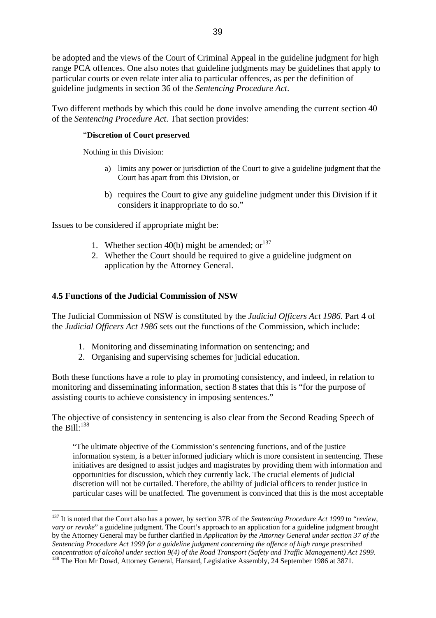be adopted and the views of the Court of Criminal Appeal in the guideline judgment for high range PCA offences. One also notes that guideline judgments may be guidelines that apply to particular courts or even relate inter alia to particular offences, as per the definition of guideline judgments in section 36 of the *Sentencing Procedure Act*.

Two different methods by which this could be done involve amending the current section 40 of the *Sentencing Procedure Act*. That section provides:

#### "**Discretion of Court preserved**

Nothing in this Division:

- a) limits any power or jurisdiction of the Court to give a guideline judgment that the Court has apart from this Division, or
- b) requires the Court to give any guideline judgment under this Division if it considers it inappropriate to do so."

Issues to be considered if appropriate might be:

- 1. Whether section 40(b) might be amended:  $or<sup>137</sup>$
- 2. Whether the Court should be required to give a guideline judgment on application by the Attorney General.

### **4.5 Functions of the Judicial Commission of NSW**

 $\overline{a}$ 

The Judicial Commission of NSW is constituted by the *Judicial Officers Act 1986*. Part 4 of the *Judicial Officers Act 1986* sets out the functions of the Commission, which include:

- 1. Monitoring and disseminating information on sentencing; and
- 2. Organising and supervising schemes for judicial education.

Both these functions have a role to play in promoting consistency, and indeed, in relation to monitoring and disseminating information, section 8 states that this is "for the purpose of assisting courts to achieve consistency in imposing sentences."

The objective of consistency in sentencing is also clear from the Second Reading Speech of the Bill: $138$ 

"The ultimate objective of the Commission's sentencing functions, and of the justice information system, is a better informed judiciary which is more consistent in sentencing. These initiatives are designed to assist judges and magistrates by providing them with information and opportunities for discussion, which they currently lack. The crucial elements of judicial discretion will not be curtailed. Therefore, the ability of judicial officers to render justice in particular cases will be unaffected. The government is convinced that this is the most acceptable

<span id="page-38-0"></span><sup>137</sup> It is noted that the Court also has a power, by section 37B of the *Sentencing Procedure Act 1999* to "*review, vary or revoke*" a guideline judgment. The Court's approach to an application for a guideline judgment brought by the Attorney General may be further clarified in *Application by the Attorney General under section 37 of the Sentencing Procedure Act 1999 for a guideline judgment concerning the offence of high range prescribed concentration of alcohol under section 9(4) of the Road Transport (Safety and Traffic Management) Act 1999.*

<span id="page-38-1"></span><sup>&</sup>lt;sup>138</sup> The Hon Mr Dowd, Attorney General, Hansard, Legislative Assembly, 24 September 1986 at 3871.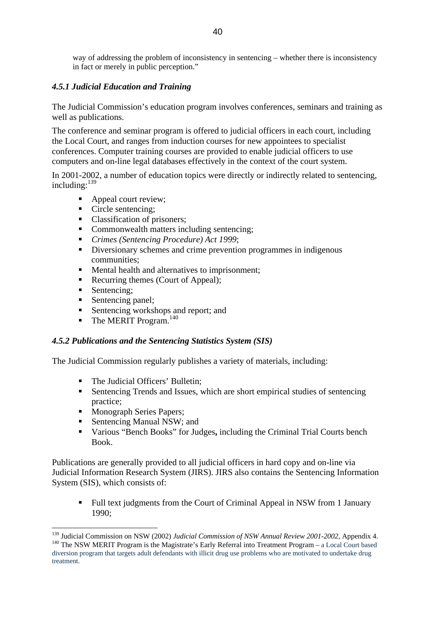way of addressing the problem of inconsistency in sentencing – whether there is inconsistency in fact or merely in public perception."

## *4.5.1 Judicial Education and Training*

The Judicial Commission's education program involves conferences, seminars and training as well as publications.

The conference and seminar program is offered to judicial officers in each court, including the Local Court, and ranges from induction courses for new appointees to specialist conferences. Computer training courses are provided to enable judicial officers to use computers and on-line legal databases effectively in the context of the court system.

In 2001-2002, a number of education topics were directly or indirectly related to sentencing, including: $139$ 

- Appeal court review;
- Circle sentencing;
- Classification of prisoners;
- Commonwealth matters including sentencing;
- *Crimes (Sentencing Procedure) Act 1999*;
- Diversionary schemes and crime prevention programmes in indigenous communities;
- Mental health and alternatives to imprisonment;
- Recurring themes (Court of Appeal);
- Sentencing;

 $\overline{a}$ 

- Sentencing panel;
- Sentencing workshops and report; and
- $\blacksquare$  The MERIT Program.<sup>[140](#page-39-1)</sup>

### *4.5.2 Publications and the Sentencing Statistics System (SIS)*

The Judicial Commission regularly publishes a variety of materials, including:

- The Judicial Officers' Bulletin:
- Sentencing Trends and Issues, which are short empirical studies of sentencing practice;
- **Monograph Series Papers;**
- Sentencing Manual NSW; and
- Various "Bench Books" for Judges**,** including the Criminal Trial Courts bench Book.

Publications are generally provided to all judicial officers in hard copy and on-line via Judicial Information Research System (JIRS). JIRS also contains the Sentencing Information System (SIS), which consists of:

 Full text judgments from the Court of Criminal Appeal in NSW from 1 January 1990;

<span id="page-39-1"></span><span id="page-39-0"></span><sup>&</sup>lt;sup>139</sup> Judicial Commission on NSW (2002) *Judicial Commission of NSW Annual Review 2001-2002*, Appendix 4. <sup>140</sup> The NSW MERIT Program is the Magistrate's Early Referral into Treatment Program – a Local Court based diversion program that targets adult defendants with illicit drug use problems who are motivated to undertake drug treatment.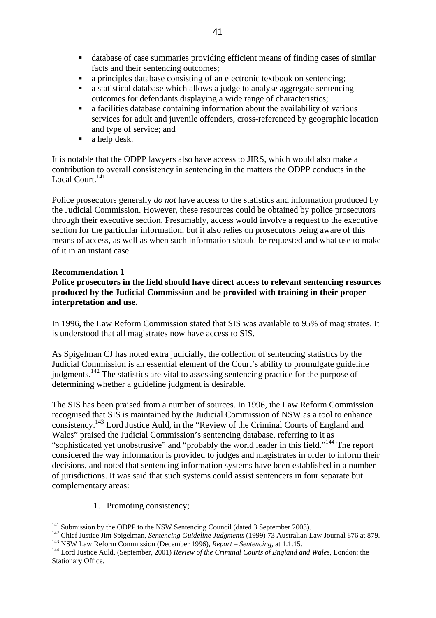- database of case summaries providing efficient means of finding cases of similar facts and their sentencing outcomes;
- a principles database consisting of an electronic textbook on sentencing;
- a statistical database which allows a judge to analyse aggregate sentencing outcomes for defendants displaying a wide range of characteristics;
- a facilities database containing information about the availability of various services for adult and juvenile offenders, cross-referenced by geographic location and type of service; and
- a help desk.

It is notable that the ODPP lawyers also have access to JIRS, which would also make a contribution to overall consistency in sentencing in the matters the ODPP conducts in the Local Court.<sup>141</sup>

Police prosecutors generally *do not* have access to the statistics and information produced by the Judicial Commission. However, these resources could be obtained by police prosecutors through their executive section. Presumably, access would involve a request to the executive section for the particular information, but it also relies on prosecutors being aware of this means of access, as well as when such information should be requested and what use to make of it in an instant case.

### **Recommendation 1**

**Police prosecutors in the field should have direct access to relevant sentencing resources produced by the Judicial Commission and be provided with training in their proper interpretation and use.**

In 1996, the Law Reform Commission stated that SIS was available to 95% of magistrates. It is understood that all magistrates now have access to SIS.

As Spigelman CJ has noted extra judicially, the collection of sentencing statistics by the Judicial Commission is an essential element of the Court's ability to promulgate guideline judgments.<sup>142</sup> The statistics are vital to assessing sentencing practice for the purpose of determining whether a guideline judgment is desirable.

The SIS has been praised from a number of sources. In 1996, the Law Reform Commission recognised that SIS is maintained by the Judicial Commission of NSW as a tool to enhance consistency.[143 L](#page-40-2)ord Justice Auld, in the "Review of the Criminal Courts of England and Wales" praised the Judicial Commission's sentencing database, referring to it as "sophisticated yet unobstrusive" and "probably the world leader in this field."[144 T](#page-40-3)he report considered the way information is provided to judges and magistrates in order to inform their decisions, and noted that sentencing information systems have been established in a number of jurisdictions. It was said that such systems could assist sentencers in four separate but complementary areas:

1. Promoting consistency;

<span id="page-40-0"></span><sup>&</sup>lt;sup>141</sup> Submission by the ODPP to the NSW Sentencing Council (dated 3 September 2003).

<span id="page-40-1"></span><sup>&</sup>lt;sup>142</sup> Chief Justice Jim Spigelman, *Sentencing Guideline Judgments* (1999) 73 Australian Law Journal 876 at 879.<br><sup>143</sup> NSW Law Reform Commission (December 1996), *Report – Sentencing*, at 1.1.15.<br><sup>144</sup> Lord Justice Auld,

<span id="page-40-2"></span>

<span id="page-40-3"></span>Stationary Office.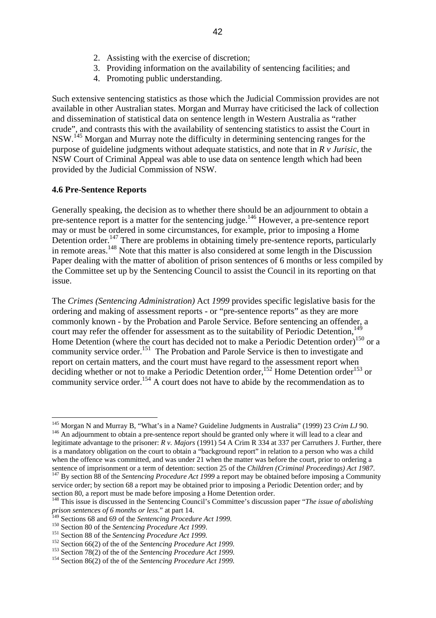- 2. Assisting with the exercise of discretion;
- 3. Providing information on the availability of sentencing facilities; and
- 4. Promoting public understanding.

Such extensive sentencing statistics as those which the Judicial Commission provides are not available in other Australian states. Morgan and Murray have criticised the lack of collection and dissemination of statistical data on sentence length in Western Australia as "rather crude", and contrasts this with the availability of sentencing statistics to assist the Court in NSW.[145](#page-41-0) Morgan and Murray note the difficulty in determining sentencing ranges for the purpose of guideline judgments without adequate statistics, and note that in *R v Jurisic*, the NSW Court of Criminal Appeal was able to use data on sentence length which had been provided by the Judicial Commission of NSW.

#### **4.6 Pre-Sentence Reports**

Generally speaking, the decision as to whether there should be an adjournment to obtain a pre-sentence report is a matter for the sentencing judge.<sup>146</sup> However, a pre-sentence report may or must be ordered in some circumstances, for example, prior to imposing a Home Detention order.<sup>147</sup> There are problems in obtaining timely pre-sentence reports, particularly in remote areas.<sup>148</sup> Note that this matter is also considered at some length in the Discussion Paper dealing with the matter of abolition of prison sentences of 6 months or less compiled by the Committee set up by the Sentencing Council to assist the Council in its reporting on that issue.

The *Crimes (Sentencing Administration)* Act *1999* provides specific legislative basis for the ordering and making of assessment reports - or "pre-sentence reports" as they are more commonly known - by the Probation and Parole Service. Before sentencing an offender, a court may refer the offender for assessment as to the suitability of Periodic Detention.<sup>[149](#page-41-4)</sup> Home Detention (where the court has decided not to make a Periodic Detention order)<sup>150</sup> or a community service order.<sup>151</sup> The Probation and Parole Service is then to investigate and report on certain matters, and the court must have regard to the assessment report when deciding whether or not to make a Periodic Detention order,<sup>152</sup> Home Detention order<sup>153</sup> or community service order.<sup>154</sup> A court does not have to abide by the recommendation as to

<span id="page-41-1"></span><span id="page-41-0"></span> $\overline{a}$ <sup>145</sup> Morgan N and Murray B, "What's in a Name? Guideline Judgments in Australia" (1999) 23 *Crim LJ* 90.<br><sup>146</sup> An adjournment to obtain a pre-sentence report should be granted only where it will lead to a clear and legitimate advantage to the prisoner: *R v. Majors* (1991) 54 A Crim R 334 at 337 per Carruthers J. Further, there is a mandatory obligation on the court to obtain a "background report" in relation to a person who was a child when the offence was committed, and was under 21 when the matter was before the court, prior to ordering a sentence of imprisonment or a term of detention: section 25 of the *Children (Criminal Proceedings) Act 1987*.

<span id="page-41-2"></span> $147$  By section 88 of the *Sentencing Procedure Act 1999* a report may be obtained before imposing a Community service order; by section 68 a report may be obtained prior to imposing a Periodic Detention order; and by section 80, a report must be made before imposing a Home Detention order.

<span id="page-41-3"></span><sup>148</sup> This issue is discussed in the Sentencing Council's Committee's discussion paper "*The issue of abolishing prison sentences of 6 months or less.*" at part 14.

<span id="page-41-4"></span>

<span id="page-41-5"></span>

<span id="page-41-6"></span>

<span id="page-41-8"></span><span id="page-41-7"></span>

<sup>&</sup>lt;sup>150</sup> Section 80 of the *Sentencing Procedure Act 1999*.<br><sup>151</sup> Section 88 of the *Sentencing Procedure Act 1999*.<br><sup>152</sup> Section 66(2) of the of the *Sentencing Procedure Act 1999*.<br><sup>152</sup> Section 78(2) of the of the *Sente* 

<span id="page-41-9"></span>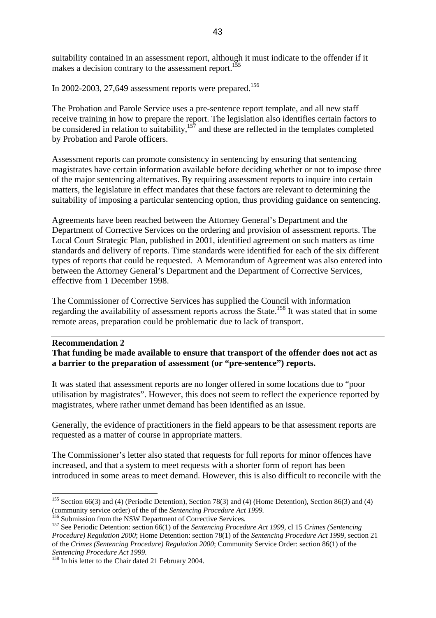suitability contained in an assessment report, although it must indicate to the offender if it makes a decision contrary to the assessment report.<sup>155</sup>

In 2002-2003, 27,649 assessment reports were prepared.<sup>[156](#page-42-1)</sup>

The Probation and Parole Service uses a pre-sentence report template, and all new staff receive training in how to prepare the report. The legislation also identifies certain factors to be considered in relation to suitability, $157$  and these are reflected in the templates completed by Probation and Parole officers.

Assessment reports can promote consistency in sentencing by ensuring that sentencing magistrates have certain information available before deciding whether or not to impose three of the major sentencing alternatives. By requiring assessment reports to inquire into certain matters, the legislature in effect mandates that these factors are relevant to determining the suitability of imposing a particular sentencing option, thus providing guidance on sentencing.

Agreements have been reached between the Attorney General's Department and the Department of Corrective Services on the ordering and provision of assessment reports. The Local Court Strategic Plan, published in 2001, identified agreement on such matters as time standards and delivery of reports. Time standards were identified for each of the six different types of reports that could be requested. A Memorandum of Agreement was also entered into between the Attorney General's Department and the Department of Corrective Services, effective from 1 December 1998.

The Commissioner of Corrective Services has supplied the Council with information regarding the availability of assessment reports across the State.<sup>158</sup> It was stated that in some remote areas, preparation could be problematic due to lack of transport.

#### **Recommendation 2**

 $\overline{a}$ 

**That funding be made available to ensure that transport of the offender does not act as a barrier to the preparation of assessment (or "pre-sentence") reports.** 

It was stated that assessment reports are no longer offered in some locations due to "poor utilisation by magistrates". However, this does not seem to reflect the experience reported by magistrates, where rather unmet demand has been identified as an issue.

Generally, the evidence of practitioners in the field appears to be that assessment reports are requested as a matter of course in appropriate matters.

The Commissioner's letter also stated that requests for full reports for minor offences have increased, and that a system to meet requests with a shorter form of report has been introduced in some areas to meet demand. However, this is also difficult to reconcile with the

<span id="page-42-0"></span><sup>155</sup> Section 66(3) and (4) (Periodic Detention), Section 78(3) and (4) (Home Detention), Section 86(3) and (4) (community service order) of the of the *Sentencing Procedure Act 1999*.<br><sup>156</sup> Submission from the NSW Department of Corrective Services.<br><sup>157</sup> See Periodic Detention: section 66(1) of the *Sentencing Procedure Act 1999*,

<span id="page-42-1"></span>

<span id="page-42-2"></span>*Procedure) Regulation 2000*; Home Detention: section 78(1) of the *Sentencing Procedure Act 1999*, section 21 of the *Crimes (Sentencing Procedure) Regulation 2000*; Community Service Order: section 86(1) of the *Sentencing Procedure Act 1999.* 158 In his letter to the Chair dated 21 February 2004.

<span id="page-42-3"></span>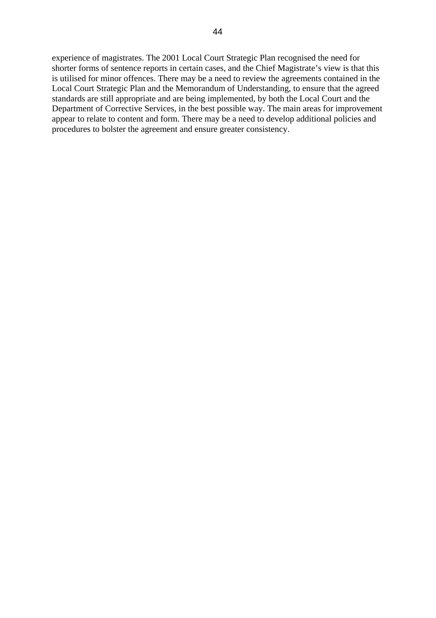experience of magistrates. The 2001 Local Court Strategic Plan recognised the need for shorter forms of sentence reports in certain cases, and the Chief Magistrate's view is that this is utilised for minor offences. There may be a need to review the agreements contained in the Local Court Strategic Plan and the Memorandum of Understanding, to ensure that the agreed standards are still appropriate and are being implemented, by both the Local Court and the Department of Corrective Services, in the best possible way. The main areas for improvement appear to relate to content and form. There may be a need to develop additional policies and procedures to bolster the agreement and ensure greater consistency.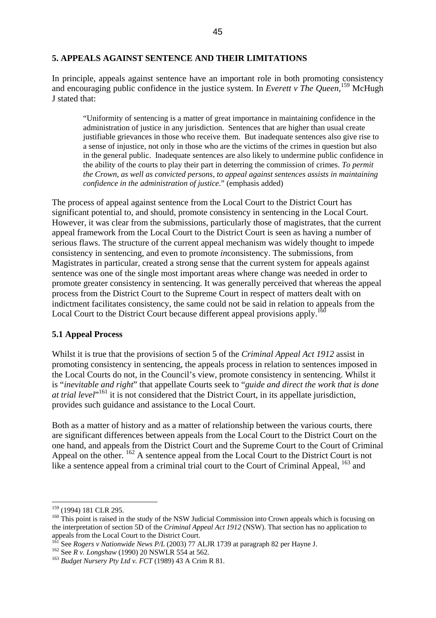### **5. APPEALS AGAINST SENTENCE AND THEIR LIMITATIONS**

In principle, appeals against sentence have an important role in both promoting consistency and encouraging public confidence in the justice system. In *Everett v The Queen,*[159](#page-44-0) McHugh J stated that:

"Uniformity of sentencing is a matter of great importance in maintaining confidence in the administration of justice in any jurisdiction. Sentences that are higher than usual create justifiable grievances in those who receive them. But inadequate sentences also give rise to a sense of injustice, not only in those who are the victims of the crimes in question but also in the general public. Inadequate sentences are also likely to undermine public confidence in the ability of the courts to play their part in deterring the commission of crimes. *To permit the Crown, as well as convicted persons, to appeal against sentences assists in maintaining confidence in the administration of justice*." (emphasis added)

The process of appeal against sentence from the Local Court to the District Court has significant potential to, and should, promote consistency in sentencing in the Local Court. However, it was clear from the submissions, particularly those of magistrates, that the current appeal framework from the Local Court to the District Court is seen as having a number of serious flaws. The structure of the current appeal mechanism was widely thought to impede consistency in sentencing, and even to promote *in*consistency. The submissions, from Magistrates in particular, created a strong sense that the current system for appeals against sentence was one of the single most important areas where change was needed in order to promote greater consistency in sentencing. It was generally perceived that whereas the appeal process from the District Court to the Supreme Court in respect of matters dealt with on indictment facilitates consistency, the same could not be said in relation to appeals from the Local Court to the District Court because different appeal provisions apply.<sup>16</sup>

#### **5.1 Appeal Process**

Whilst it is true that the provisions of section 5 of the *Criminal Appeal Act 1912* assist in promoting consistency in sentencing, the appeals process in relation to sentences imposed in the Local Courts do not, in the Council's view, promote consistency in sentencing. Whilst it is "*inevitable and right*" that appellate Courts seek to "*guide and direct the work that is done*  at trial level<sup>"161</sup> it is not considered that the District Court, in its appellate jurisdiction, provides such guidance and assistance to the Local Court.

Both as a matter of history and as a matter of relationship between the various courts, there are significant differences between appeals from the Local Court to the District Court on the one hand, and appeals from the District Court and the Supreme Court to the Court of Criminal Appeal on the other. <sup>162</sup> A sentence appeal from the Local Court to the District Court is not like a sentence appeal from a criminal trial court to the Court of Criminal Appeal, <sup>163</sup> and

<span id="page-44-0"></span><sup>159 (1994) 181</sup> CLR 295.

<span id="page-44-1"></span><sup>&</sup>lt;sup>160</sup> This point is raised in the study of the NSW Judicial Commission into Crown appeals which is focusing on the interpretation of section 5D of the *Criminal Appeal Act 1912* (NSW). That section has no application to appeals from the Local Court to the District Court.

<span id="page-44-2"></span><sup>&</sup>lt;sup>161</sup> See *Rogers v Nationwide News P/L* (2003) 77 ALJR 1739 at paragraph 82 per Hayne J.<br><sup>162</sup> See *R v. Longshaw* (1990) 20 NSWLR 554 at 562.<br><sup>163</sup> Budget Nurserv Ptv Ltd v. FCT (1989) 43 A Crim R 81.

<span id="page-44-3"></span>

<span id="page-44-4"></span>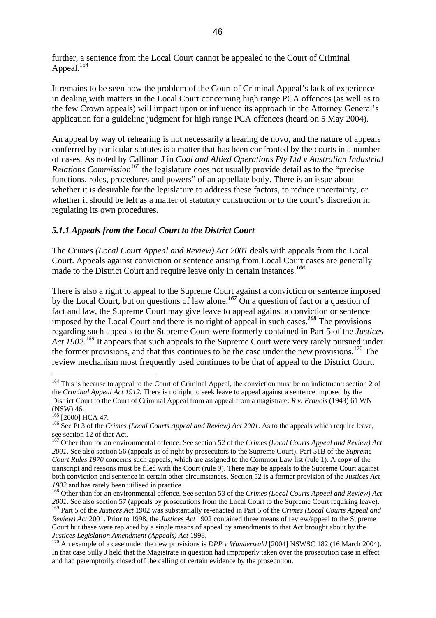further, a sentence from the Local Court cannot be appealed to the Court of Criminal Appeal.<sup>164</sup>

It remains to be seen how the problem of the Court of Criminal Appeal's lack of experience in dealing with matters in the Local Court concerning high range PCA offences (as well as to the few Crown appeals) will impact upon or influence its approach in the Attorney General's application for a guideline judgment for high range PCA offences (heard on 5 May 2004).

An appeal by way of rehearing is not necessarily a hearing de novo, and the nature of appeals conferred by particular statutes is a matter that has been confronted by the courts in a number of cases. As noted by Callinan J in *Coal and Allied Operations Pty Ltd v Australian Industrial Relations Commission*<sup>165</sup> the legislature does not usually provide detail as to the "precise" functions, roles, procedures and powers" of an appellate body. There is an issue about whether it is desirable for the legislature to address these factors, to reduce uncertainty, or whether it should be left as a matter of statutory construction or to the court's discretion in regulating its own procedures.

## *5.1.1 Appeals from the Local Court to the District Court*

The *Crimes (Local Court Appeal and Review) Act 2001* deals with appeals from the Local Court. Appeals against conviction or sentence arising from Local Court cases are generally made to the District Court and require leave only in certain instances.*[166](#page-45-2)*

There is also a right to appeal to the Supreme Court against a conviction or sentence imposed by the Local Court, but on questions of law alone.*[167](#page-45-3)* On a question of fact or a question of fact and law, the Supreme Court may give leave to appeal against a conviction or sentence imposed by the Local Court and there is no right of appeal in such cases.*[168](#page-45-4)* The provisions regarding such appeals to the Supreme Court were formerly contained in Part 5 of the *Justices Act 1902*<sup>169</sup> It appears that such appeals to the Supreme Court were very rarely pursued under the former provisions, and that this continues to be the case under the new provisions.<sup>170</sup> The review mechanism most frequently used continues to be that of appeal to the District Court.

<span id="page-45-0"></span><sup>&</sup>lt;sup>164</sup> This is because to appeal to the Court of Criminal Appeal, the conviction must be on indictment: section 2 of the *Criminal Appeal Act 1912.* There is no right to seek leave to appeal against a sentence imposed by the District Court to the Court of Criminal Appeal from an appeal from a magistrate: *R v. Francis* (1943) 61 WN (NSW) 46.<br><sup>165</sup> [2000] HCA 47.

<span id="page-45-1"></span>

<span id="page-45-2"></span><sup>&</sup>lt;sup>166</sup> See Pt 3 of the *Crimes (Local Courts Appeal and Review) Act 2001*. As to the appeals which require leave, see section 12 of that Act.

<span id="page-45-3"></span><sup>167</sup> Other than for an environmental offence. See section 52 of the *Crimes (Local Courts Appeal and Review) Act 2001*. See also section 56 (appeals as of right by prosecutors to the Supreme Court). Part 51B of the *Supreme Court Rules 1970* concerns such appeals, which are assigned to the Common Law list (rule 1). A copy of the transcript and reasons must be filed with the Court (rule 9). There may be appeals to the Supreme Court against both conviction and sentence in certain other circumstances. Section 52 is a former provision of the *Justices Act 1902* and has rarely been utilised in practice.<br><sup>168</sup> Other than for an environmental offence. See section 53 of the *Crimes (Local Courts Appeal and Review) Act* 

<span id="page-45-4"></span>*<sup>2001</sup>*. See also section 57 (appeals by prosecutions from the Local Court to the Supreme Court requiring leave).

<span id="page-45-5"></span><sup>169</sup> Part 5 of the *Justices Act* 1902 was substantially re-enacted in Part 5 of the *Crimes (Local Courts Appeal and Review) Act* 2001. Prior to 1998, the *Justices Act* 1902 contained three means of review/appeal to the Supreme Court but these were replaced by a single means of appeal by amendments to that Act brought about by the *Justices Legislation Amendment (Appeals) Act* 1998.<br><sup>170</sup> An example of a case under the new provisions is *DPP v Wunderwald* [2004] NSWSC 182 (16 March 2004).

<span id="page-45-6"></span>In that case Sully J held that the Magistrate in question had improperly taken over the prosecution case in effect and had peremptorily closed off the calling of certain evidence by the prosecution.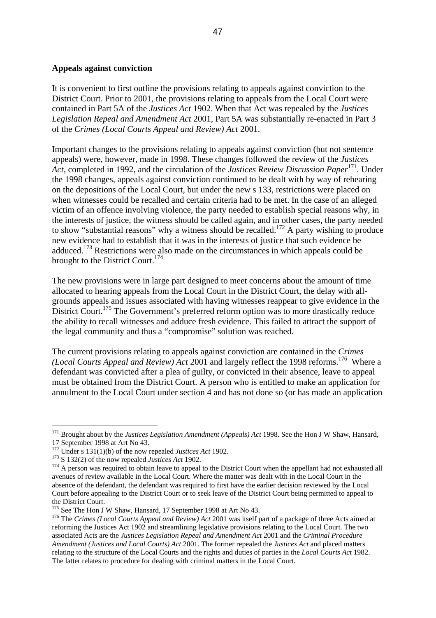#### **Appeals against conviction**

It is convenient to first outline the provisions relating to appeals against conviction to the District Court. Prior to 2001, the provisions relating to appeals from the Local Court were contained in Part 5A of the *Justices Act* 1902. When that Act was repealed by the *Justices Legislation Repeal and Amendment Act* 2001, Part 5A was substantially re-enacted in Part 3 of the *Crimes (Local Courts Appeal and Review) Act* 2001.

Important changes to the provisions relating to appeals against conviction (but not sentence appeals) were, however, made in 1998. These changes followed the review of the *Justices Act,* completed in 1992, and the circulation of the *Justices Review Discussion Paper*[171.](#page-46-0) Under the 1998 changes, appeals against conviction continued to be dealt with by way of rehearing on the depositions of the Local Court, but under the new s 133, restrictions were placed on when witnesses could be recalled and certain criteria had to be met. In the case of an alleged victim of an offence involving violence, the party needed to establish special reasons why, in the interests of justice, the witness should be called again, and in other cases, the party needed to show "substantial reasons" why a witness should be recalled.<sup>172</sup> A party wishing to produce new evidence had to establish that it was in the interests of justice that such evidence be adduced.[173](#page-46-2) Restrictions were also made on the circumstances in which appeals could be brought to the District Court.<sup>[174](#page-46-3)</sup>

The new provisions were in large part designed to meet concerns about the amount of time allocated to hearing appeals from the Local Court in the District Court, the delay with allgrounds appeals and issues associated with having witnesses reappear to give evidence in the District Court.<sup>175</sup> The Government's preferred reform option was to more drastically reduce the ability to recall witnesses and adduce fresh evidence. This failed to attract the support of the legal community and thus a "compromise" solution was reached.

The current provisions relating to appeals against conviction are contained in the *Crimes (Local Courts Appeal and Review) Act* 2001 and largely reflect the 1998 reforms.<sup>176</sup> Where a defendant was convicted after a plea of guilty, or convicted in their absence, leave to appeal must be obtained from the District Court. A person who is entitled to make an application for annulment to the Local Court under section 4 and has not done so (or has made an application

<span id="page-46-0"></span><sup>&</sup>lt;sup>171</sup> Brought about by the *Justices Legislation Amendment (Appeals) Act* 1998. See the Hon J W Shaw, Hansard,

<span id="page-46-1"></span><sup>17</sup> September 1998 at Art No 43.<br><sup>172</sup> Under s 131(1)(b) of the now repealed *Justices Act* 1902.

<span id="page-46-3"></span><span id="page-46-2"></span>

<sup>&</sup>lt;sup>173</sup> S 132(2) of the now repealed *Justices Act* 1902.<br><sup>174</sup> A person was required to obtain leave to appeal to the District Court when the appellant had not exhausted all avenues of review available in the Local Court. Where the matter was dealt with in the Local Court in the absence of the defendant, the defendant was required to first have the earlier decision reviewed by the Local Court before appealing to the District Court or to seek leave of the District Court being permitted to appeal to the District Court.<br><sup>175</sup> See The Hon J W Shaw, Hansard, 17 September 1998 at Art No 43.

<span id="page-46-4"></span>

<span id="page-46-5"></span><sup>&</sup>lt;sup>176</sup> The *Crimes (Local Courts Appeal and Review) Act* 2001 was itself part of a package of three Acts aimed at reforming the Justices Act 1902 and streamlining legislative provisions relating to the Local Court. The two associated Acts are the *Justices Legislation Repeal and Amendment Act* 2001 and the *Criminal Procedure Amendment (Justices and Local Courts) Act* 2001. The former repealed the *Justices Act* and placed matters relating to the structure of the Local Courts and the rights and duties of parties in the *Local Courts Act* 1982. The latter relates to procedure for dealing with criminal matters in the Local Court.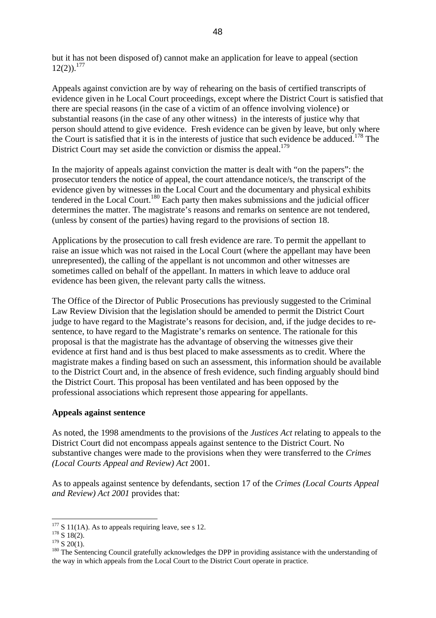but it has not been disposed of) cannot make an application for leave to appeal (section  $12(2)$ ).<sup>177</sup>

Appeals against conviction are by way of rehearing on the basis of certified transcripts of evidence given in he Local Court proceedings, except where the District Court is satisfied that there are special reasons (in the case of a victim of an offence involving violence) or substantial reasons (in the case of any other witness) in the interests of justice why that person should attend to give evidence. Fresh evidence can be given by leave, but only where the Court is satisfied that it is in the interests of justice that such evidence be adduced.<sup>178</sup> The District Court may set aside the conviction or dismiss the appeal.<sup>179</sup>

In the majority of appeals against conviction the matter is dealt with "on the papers": the prosecutor tenders the notice of appeal, the court attendance notice/s, the transcript of the evidence given by witnesses in the Local Court and the documentary and physical exhibits tendered in the Local Court.<sup>180</sup> Each party then makes submissions and the judicial officer determines the matter. The magistrate's reasons and remarks on sentence are not tendered, (unless by consent of the parties) having regard to the provisions of section 18.

Applications by the prosecution to call fresh evidence are rare. To permit the appellant to raise an issue which was not raised in the Local Court (where the appellant may have been unrepresented), the calling of the appellant is not uncommon and other witnesses are sometimes called on behalf of the appellant. In matters in which leave to adduce oral evidence has been given, the relevant party calls the witness.

The Office of the Director of Public Prosecutions has previously suggested to the Criminal Law Review Division that the legislation should be amended to permit the District Court judge to have regard to the Magistrate's reasons for decision, and, if the judge decides to resentence, to have regard to the Magistrate's remarks on sentence. The rationale for this proposal is that the magistrate has the advantage of observing the witnesses give their evidence at first hand and is thus best placed to make assessments as to credit. Where the magistrate makes a finding based on such an assessment, this information should be available to the District Court and, in the absence of fresh evidence, such finding arguably should bind the District Court. This proposal has been ventilated and has been opposed by the professional associations which represent those appearing for appellants.

### **Appeals against sentence**

As noted, the 1998 amendments to the provisions of the *Justices Act* relating to appeals to the District Court did not encompass appeals against sentence to the District Court. No substantive changes were made to the provisions when they were transferred to the *Crimes (Local Courts Appeal and Review) Act* 2001.

As to appeals against sentence by defendants, section 17 of the *Crimes (Local Courts Appeal and Review) Act 2001* provides that:

<span id="page-47-0"></span><sup>&</sup>lt;sup>177</sup> S 11(1A). As to appeals requiring leave, see s 12.<br><sup>178</sup> S 18(2).

<span id="page-47-1"></span>

<span id="page-47-3"></span><span id="page-47-2"></span>

<sup>&</sup>lt;sup>178</sup> S 18(2).<br><sup>179</sup> S 20(1).<br><sup>179</sup> S 20(1).<br><sup>180</sup> The Sentencing Council gratefully acknowledges the DPP in providing assistance with the understanding of the way in which appeals from the Local Court to the District Court operate in practice.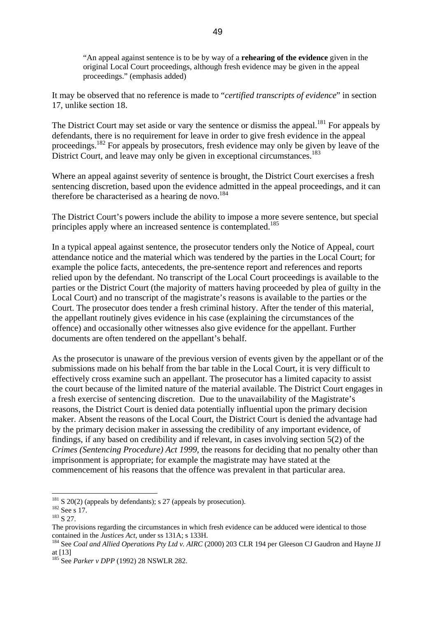"An appeal against sentence is to be by way of a **rehearing of the evidence** given in the original Local Court proceedings, although fresh evidence may be given in the appeal proceedings." (emphasis added)

It may be observed that no reference is made to "*certified transcripts of evidence*" in section 17, unlike section 18.

The District Court may set aside or vary the sentence or dismiss the appeal.<sup>181</sup> For appeals by defendants, there is no requirement for leave in order to give fresh evidence in the appeal proceedings.<sup>182</sup> For appeals by prosecutors, fresh evidence may only be given by leave of the District Court, and leave may only be given in exceptional circumstances.<sup>[183](#page-48-2)</sup>

Where an appeal against severity of sentence is brought, the District Court exercises a fresh sentencing discretion, based upon the evidence admitted in the appeal proceedings, and it can therefore be characterised as a hearing de novo.<sup>184</sup>

The District Court's powers include the ability to impose a more severe sentence, but special principles apply where an increased sentence is contemplated.<sup>[185](#page-48-4)</sup>

In a typical appeal against sentence, the prosecutor tenders only the Notice of Appeal, court attendance notice and the material which was tendered by the parties in the Local Court; for example the police facts, antecedents, the pre-sentence report and references and reports relied upon by the defendant. No transcript of the Local Court proceedings is available to the parties or the District Court (the majority of matters having proceeded by plea of guilty in the Local Court) and no transcript of the magistrate's reasons is available to the parties or the Court. The prosecutor does tender a fresh criminal history. After the tender of this material, the appellant routinely gives evidence in his case (explaining the circumstances of the offence) and occasionally other witnesses also give evidence for the appellant. Further documents are often tendered on the appellant's behalf.

As the prosecutor is unaware of the previous version of events given by the appellant or of the submissions made on his behalf from the bar table in the Local Court, it is very difficult to effectively cross examine such an appellant. The prosecutor has a limited capacity to assist the court because of the limited nature of the material available. The District Court engages in a fresh exercise of sentencing discretion. Due to the unavailability of the Magistrate's reasons, the District Court is denied data potentially influential upon the primary decision maker. Absent the reasons of the Local Court, the District Court is denied the advantage had by the primary decision maker in assessing the credibility of any important evidence, of findings, if any based on credibility and if relevant, in cases involving section 5(2) of the *Crimes (Sentencing Procedure) Act 1999*, the reasons for deciding that no penalty other than imprisonment is appropriate; for example the magistrate may have stated at the commencement of his reasons that the offence was prevalent in that particular area.

<span id="page-48-0"></span><sup>&</sup>lt;sup>181</sup> S 20(2) (appeals by defendants); s 27 (appeals by prosecution).<br><sup>182</sup> See s 17.<br><sup>183</sup> S 27.

<span id="page-48-1"></span>

<span id="page-48-2"></span>

The provisions regarding the circumstances in which fresh evidence can be adduced were identical to those contained in the *Justices Act*, under ss 131A; s 133H.<br><sup>184</sup> See *Coal and Allied Operations Pty Ltd v. AIRC* (2000) 203 CLR 194 per Gleeson CJ Gaudron and Hayne JJ

<span id="page-48-3"></span>at [13]

<span id="page-48-4"></span><sup>185</sup> See *Parker v DPP* (1992) 28 NSWLR 282.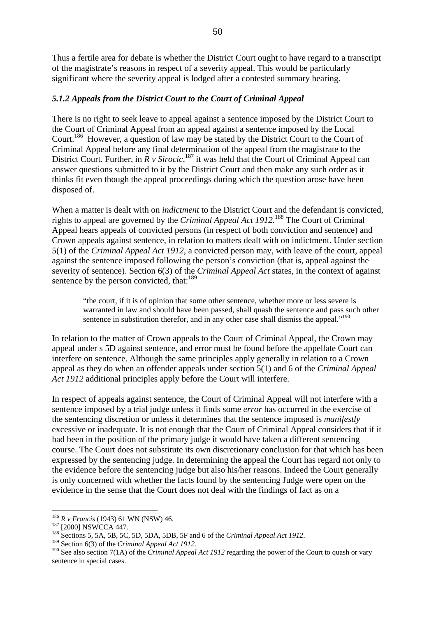Thus a fertile area for debate is whether the District Court ought to have regard to a transcript of the magistrate's reasons in respect of a severity appeal. This would be particularly significant where the severity appeal is lodged after a contested summary hearing.

### *5.1.2 Appeals from the District Court to the Court of Criminal Appeal*

There is no right to seek leave to appeal against a sentence imposed by the District Court to the Court of Criminal Appeal from an appeal against a sentence imposed by the Local Court.<sup>186</sup> However, a question of law may be stated by the District Court to the Court of Criminal Appeal before any final determination of the appeal from the magistrate to the District Court. Further, in  $\overline{R}$  v Sirocic, <sup>187</sup> it was held that the Court of Criminal Appeal can answer questions submitted to it by the District Court and then make any such order as it thinks fit even though the appeal proceedings during which the question arose have been disposed of.

When a matter is dealt with on *indictment* to the District Court and the defendant is convicted, rights to appeal are governed by the *Criminal Appeal Act 1912.*[188](#page-49-2) The Court of Criminal Appeal hears appeals of convicted persons (in respect of both conviction and sentence) and Crown appeals against sentence, in relation to matters dealt with on indictment. Under section 5(1) of the *Criminal Appeal Act 1912*, a convicted person may, with leave of the court, appeal against the sentence imposed following the person's conviction (that is, appeal against the severity of sentence). Section 6(3) of the *Criminal Appeal Act* states, in the context of against sentence by the person convicted, that:<sup>[189](#page-49-3)</sup>

"the court, if it is of opinion that some other sentence, whether more or less severe is warranted in law and should have been passed, shall quash the sentence and pass such other sentence in substitution therefor, and in any other case shall dismiss the appeal."<sup>[190](#page-49-4)</sup>

In relation to the matter of Crown appeals to the Court of Criminal Appeal, the Crown may appeal under s 5D against sentence, and error must be found before the appellate Court can interfere on sentence. Although the same principles apply generally in relation to a Crown appeal as they do when an offender appeals under section 5(1) and 6 of the *Criminal Appeal Act 1912* additional principles apply before the Court will interfere.

In respect of appeals against sentence, the Court of Criminal Appeal will not interfere with a sentence imposed by a trial judge unless it finds some *error* has occurred in the exercise of the sentencing discretion or unless it determines that the sentence imposed is *manifestly* excessive or inadequate. It is not enough that the Court of Criminal Appeal considers that if it had been in the position of the primary judge it would have taken a different sentencing course. The Court does not substitute its own discretionary conclusion for that which has been expressed by the sentencing judge. In determining the appeal the Court has regard not only to the evidence before the sentencing judge but also his/her reasons. Indeed the Court generally is only concerned with whether the facts found by the sentencing Judge were open on the evidence in the sense that the Court does not deal with the findings of fact as on a

<span id="page-49-0"></span> $186$  R v Francis (1943) 61 WN (NSW) 46.

<span id="page-49-2"></span><span id="page-49-1"></span>

<sup>&</sup>lt;sup>187</sup> [2000] NSWCCA 447.<br><sup>188</sup> Sections 5, 5A, 5B, 5C, 5D, 5DA, 5DB, 5F and 6 of the *Criminal Appeal Act 1912*.<br><sup>189</sup> Section 6(3) of the *Criminal Appeal Act 1912*.

<span id="page-49-3"></span>

<span id="page-49-4"></span><sup>&</sup>lt;sup>190</sup> See also section 7(1A) of the *Criminal Appeal Act 1912* regarding the power of the Court to quash or vary sentence in special cases.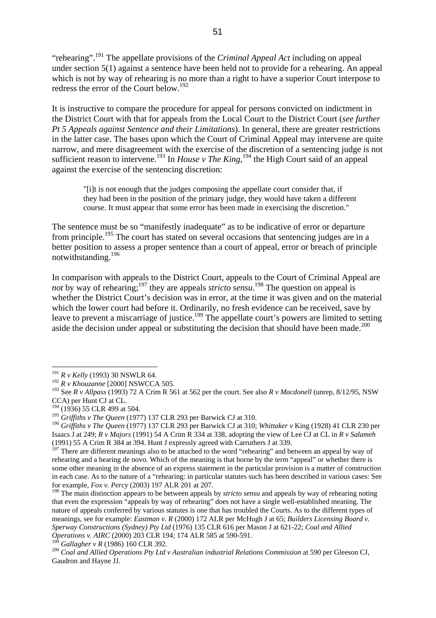"rehearing".[191](#page-50-0) The appellate provisions of the *Criminal Appeal Act* including on appeal under section 5(1) against a sentence have been held not to provide for a rehearing. An appeal which is not by way of rehearing is no more than a right to have a superior Court interpose to redress the error of the Court below.<sup>192</sup>

It is instructive to compare the procedure for appeal for persons convicted on indictment in the District Court with that for appeals from the Local Court to the District Court (*see further Pt 5 Appeals against Sentence and their Limitations*). In general, there are greater restrictions in the latter case. The bases upon which the Court of Criminal Appeal may intervene are quite narrow, and mere disagreement with the exercise of the discretion of a sentencing judge is not sufficient reason to intervene.<sup>193</sup> In *House v The King*,<sup>194</sup> the High Court said of an appeal against the exercise of the sentencing discretion:

"[i]t is not enough that the judges composing the appellate court consider that, if they had been in the position of the primary judge, they would have taken a different course. It must appear that some error has been made in exercising the discretion."

The sentence must be so "manifestly inadequate" as to be indicative of error or departure from principle.<sup>195</sup> The court has stated on several occasions that sentencing judges are in a better position to assess a proper sentence than a court of appeal, error or breach of principle notwithstanding.[196](#page-50-5) 

In comparison with appeals to the District Court, appeals to the Court of Criminal Appeal are not by way of rehearing;<sup>197</sup> they are appeals *stricto sensu*.<sup>198</sup> The question on appeal is whether the District Court's decision was in error, at the time it was given and on the material which the lower court had before it. Ordinarily, no fresh evidence can be received, save by leave to prevent a miscarriage of justice.<sup>199</sup> The appellate court's powers are limited to setting aside the decision under appeal or substituting the decision that should have been made.<sup>200</sup>

<span id="page-50-0"></span><sup>191</sup> *R v Kelly* (1993) 30 NSWLR 64.

<span id="page-50-1"></span><sup>192</sup> *R v Khouzanne* [2000] NSWCCA 505.

<span id="page-50-2"></span><sup>193</sup> See *R v Allpass* (1993) 72 A Crim R 561 at 562 per the court. See also *R v Macdonell* (unrep, 8/12/95, NSW CCA) per Hunt CJ at CL.

<span id="page-50-3"></span><sup>&</sup>lt;sup>194</sup> (1936) 55 CLR 499 at 504.

<span id="page-50-4"></span><sup>195</sup> *Griffiths v The Queen* (1977) 137 CLR 293 per Barwick CJ at 310.

<span id="page-50-5"></span><sup>196</sup> *Griffiths v The Queen* (1977) 137 CLR 293 per Barwick CJ at 310; *Whittaker v* King (1928) 41 CLR 230 per Isaacs J at 249; *R v Majors* (1991) 54 A Crim R 334 at 338, adopting the view of Lee CJ at CL in *R v Salameh*  (1991) 55 A Crim R 384 at 394. Hunt J expressly agreed with Carruthers J at 339.

<span id="page-50-6"></span><sup>&</sup>lt;sup>197</sup> There are different meanings also to be attached to the word "rehearing" and between an appeal by way of rehearing and a hearing de novo. Which of the meaning is that borne by the term "appeal" or whether there is some other meaning in the absence of an express statement in the particular provision is a matter of construction in each case. As to the nature of a "rehearing: in particular statutes such has been described in various cases: See for example, *Fox v. Percy* (2003) 197 ALR 201 at 207.

<span id="page-50-7"></span><sup>&</sup>lt;sup>198</sup> The main distinction appears to be between appeals by *stricto sensu* and appeals by way of rehearing noting that even the expression "appeals by way of rehearing" does not have a single well-established meaning. The nature of appeals conferred by various statutes is one that has troubled the Courts. As to the different types of meanings, see for example: *Eastman v. R* (2000) 172 ALR per McHugh J at 65; *Builders Licensing Board v. Sperway Constructions (Sydney) Pty Ltd* (1976) 135 CLR 616 per Mason J at 621-22; *Coal and Allied Operations v. AIRC* (2000) 203 CLR 194; 174 ALR 585 at 590-591.

<span id="page-50-9"></span>

<span id="page-50-8"></span><sup>&</sup>lt;sup>199</sup> Gallagher v R (1986) 160 CLR 392.<br><sup>200</sup> Coal and Allied Operations Pty Ltd v Australian industrial Relations Commission at 590 per Gleeson CJ, Gaudron and Hayne JJ.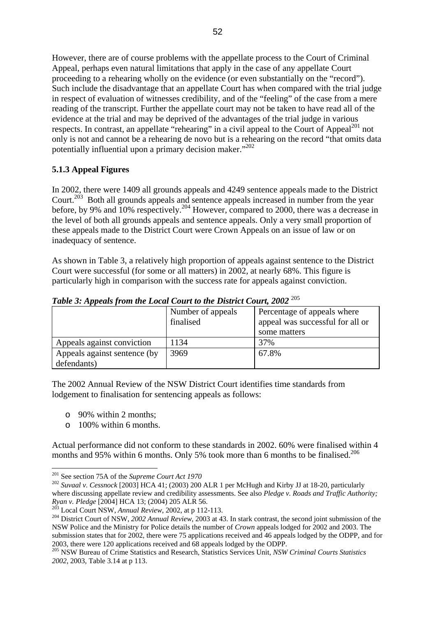However, there are of course problems with the appellate process to the Court of Criminal Appeal, perhaps even natural limitations that apply in the case of any appellate Court proceeding to a rehearing wholly on the evidence (or even substantially on the "record"). Such include the disadvantage that an appellate Court has when compared with the trial judge in respect of evaluation of witnesses credibility, and of the "feeling" of the case from a mere reading of the transcript. Further the appellate court may not be taken to have read all of the evidence at the trial and may be deprived of the advantages of the trial judge in various respects. In contrast, an appellate "rehearing" in a civil appeal to the Court of Appeal<sup>201</sup> not only is not and cannot be a rehearing de novo but is a rehearing on the record "that omits data potentially influential upon a primary decision maker."<sup>[202](#page-51-1)</sup>

## **5.1.3 Appeal Figures**

In 2002, there were 1409 all grounds appeals and 4249 sentence appeals made to the District Court.<sup>203</sup> Both all grounds appeals and sentence appeals increased in number from the year before, by 9% and 10% respectively.<sup>204</sup> However, compared to 2000, there was a decrease in the level of both all grounds appeals and sentence appeals. Only a very small proportion of these appeals made to the District Court were Crown Appeals on an issue of law or on inadequacy of sentence.

As shown in Table 3, a relatively high proportion of appeals against sentence to the District Court were successful (for some or all matters) in 2002, at nearly 68%. This figure is particularly high in comparison with the success rate for appeals against conviction.

| Tubic 9. Appears from the Local Court to the District Court, 2002 |                                |                                                                 |
|-------------------------------------------------------------------|--------------------------------|-----------------------------------------------------------------|
|                                                                   | Number of appeals<br>finalised | Percentage of appeals where<br>appeal was successful for all or |
|                                                                   |                                | some matters                                                    |
| Appeals against conviction                                        | 1134                           | 37%                                                             |
| Appeals against sentence (by                                      | 3969                           | 67.8%                                                           |
| defendants)                                                       |                                |                                                                 |

*Table 3: Appeals from the Local Court to the District Court, 2002* [205](#page-51-4)

The 2002 Annual Review of the NSW District Court identifies time standards from lodgement to finalisation for sentencing appeals as follows:

- o 90% within 2 months;
- o 100% within 6 months.

<span id="page-51-5"></span>Actual performance did not conform to these standards in 2002. 60% were finalised within 4 months and 95% within 6 months. Only 5% took more than 6 months to be finalised.<sup>[206](#page-51-5)</sup>

<span id="page-51-0"></span> $201$  See section 75A of the Supreme Court Act 1970

<span id="page-51-1"></span><sup>&</sup>lt;sup>202</sup> Suvaal v. Cessnock [2003] HCA 41; (2003) 200 ALR 1 per McHugh and Kirby JJ at 18-20, particularly where discussing appellate review and credibility assessments. See also *Pledge v. Roads and Traffic Authority*; *Ryan v. Pledge* [2004] HCA 13; (2004) 205 ALR 56.

<span id="page-51-3"></span><span id="page-51-2"></span>

 $\frac{203}{204}$  Local Court NSW, Annual Review, 2002, at p 112-113.<br>
<sup>204</sup> District Court of NSW, 2002 Annual Review, 2003 at 43. In stark contrast, the second joint submission of the NSW Police and the Ministry for Police details the number of *Crown* appeals lodged for 2002 and 2003. The submission states that for 2002, there were 75 applications received and 46 appeals lodged by the ODPP, and for

<span id="page-51-4"></span><sup>2003,</sup> there were 120 applications received and 68 appeals lodged by the ODPP. 205 NSW Bureau of Crime Statistics and Research, Statistics Services Unit, *NSW Criminal Courts Statistics 2002*, 2003, Table 3.14 at p 113.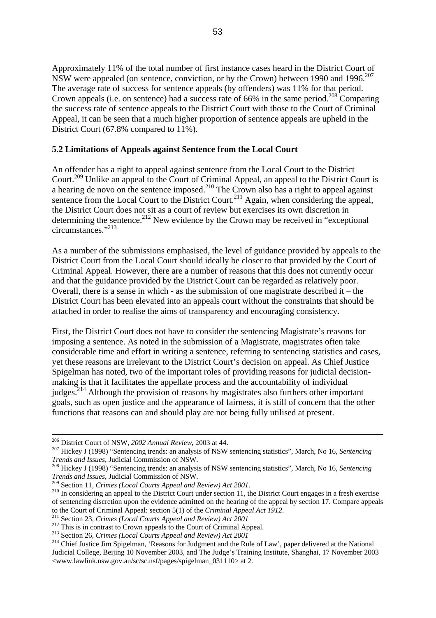Approximately 11% of the total number of first instance cases heard in the District Court of NSW were appealed (on sentence, conviction, or by the Crown) between 1990 and 1996.<sup>[207](#page-52-0)</sup> The average rate of success for sentence appeals (by offenders) was 11% for that period. Crown appeals (i.e. on sentence) had a success rate of 66% in the same period.<sup>208</sup> Comparing the success rate of sentence appeals to the District Court with those to the Court of Criminal Appeal, it can be seen that a much higher proportion of sentence appeals are upheld in the District Court (67.8% compared to 11%).

### **5.2 Limitations of Appeals against Sentence from the Local Court**

An offender has a right to appeal against sentence from the Local Court to the District Court[.209](#page-52-2) Unlike an appeal to the Court of Criminal Appeal, an appeal to the District Court is a hearing de novo on the sentence imposed.<sup>210</sup> The Crown also has a right to appeal against sentence from the Local Court to the District Court.<sup>211</sup> Again, when considering the appeal, the District Court does not sit as a court of review but exercises its own discretion in determining the sentence.<sup>212</sup> New evidence by the Crown may be received in "exceptional" circumstances.["213](#page-52-6) 

As a number of the submissions emphasised, the level of guidance provided by appeals to the District Court from the Local Court should ideally be closer to that provided by the Court of Criminal Appeal. However, there are a number of reasons that this does not currently occur and that the guidance provided by the District Court can be regarded as relatively poor. Overall, there is a sense in which - as the submission of one magistrate described it – the District Court has been elevated into an appeals court without the constraints that should be attached in order to realise the aims of transparency and encouraging consistency.

First, the District Court does not have to consider the sentencing Magistrate's reasons for imposing a sentence. As noted in the submission of a Magistrate, magistrates often take considerable time and effort in writing a sentence, referring to sentencing statistics and cases, yet these reasons are irrelevant to the District Court's decision on appeal. As Chief Justice Spigelman has noted, two of the important roles of providing reasons for judicial decisionmaking is that it facilitates the appellate process and the accountability of individual judges.[214](#page-52-7) Although the provision of reasons by magistrates also furthers other important goals, such as open justice and the appearance of fairness, it is still of concern that the other functions that reasons can and should play are not being fully utilised at present.

<span id="page-52-0"></span>

 <sup>206</sup> District Court of NSW, *<sup>2002</sup> Annual Review*, 2003 at 44. 207 Hickey J (1998) "Sentencing trends: an analysis of NSW sentencing statistics", March, No 16, *Sentencing Trends and Issues*, Judicial Commission of NSW. 208 Hickey J (1998) "Sentencing trends: an analysis of NSW sentencing statistics", March, No 16, *Sentencing* 

<span id="page-52-1"></span>*Trends and Issues*, Judicial Commission of NSW.

<span id="page-52-2"></span>

<span id="page-52-3"></span><sup>&</sup>lt;sup>210</sup> In considering an appeal to the District Court under section 11, the District Court engages in a fresh exercise of sentencing discretion upon the evidence admitted on the hearing of the appeal by section 17. Compare appeals

<span id="page-52-4"></span>

<span id="page-52-5"></span>

<span id="page-52-7"></span><span id="page-52-6"></span>

to the Court of Criminal Appeal: section 5(1) of the *Criminal Appeal Act 1912*.<br><sup>211</sup> Section 23, *Crimes (Local Courts Appeal and Review) Act 2001*<br><sup>212</sup> This is in contrast to Crown appeals to the Court of Criminal App Judicial College, Beijing 10 November 2003, and The Judge's Training Institute, Shanghai, 17 November 2003 <www.lawlink.nsw.gov.au/sc/sc.nsf/pages/spigelman\_031110> at 2.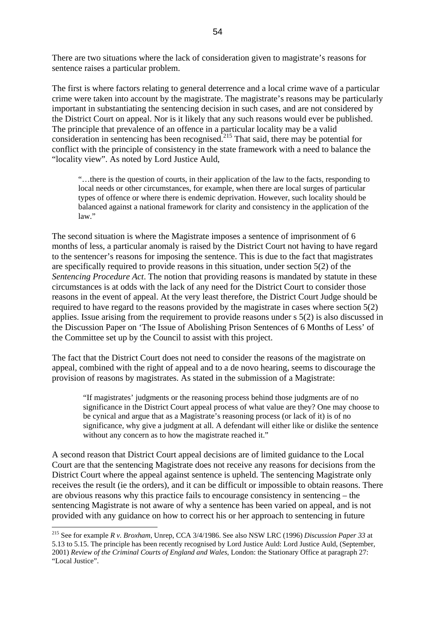There are two situations where the lack of consideration given to magistrate's reasons for sentence raises a particular problem.

The first is where factors relating to general deterrence and a local crime wave of a particular crime were taken into account by the magistrate. The magistrate's reasons may be particularly important in substantiating the sentencing decision in such cases, and are not considered by the District Court on appeal. Nor is it likely that any such reasons would ever be published. The principle that prevalence of an offence in a particular locality may be a valid consideration in sentencing has been recognised.<sup>215</sup> That said, there may be potential for conflict with the principle of consistency in the state framework with a need to balance the "locality view". As noted by Lord Justice Auld,

"…there is the question of courts, in their application of the law to the facts, responding to local needs or other circumstances, for example, when there are local surges of particular types of offence or where there is endemic deprivation. However, such locality should be balanced against a national framework for clarity and consistency in the application of the law."

The second situation is where the Magistrate imposes a sentence of imprisonment of 6 months of less, a particular anomaly is raised by the District Court not having to have regard to the sentencer's reasons for imposing the sentence. This is due to the fact that magistrates are specifically required to provide reasons in this situation, under section 5(2) of the *Sentencing Procedure Act*. The notion that providing reasons is mandated by statute in these circumstances is at odds with the lack of any need for the District Court to consider those reasons in the event of appeal. At the very least therefore, the District Court Judge should be required to have regard to the reasons provided by the magistrate in cases where section 5(2) applies. Issue arising from the requirement to provide reasons under s 5(2) is also discussed in the Discussion Paper on 'The Issue of Abolishing Prison Sentences of 6 Months of Less' of the Committee set up by the Council to assist with this project.

The fact that the District Court does not need to consider the reasons of the magistrate on appeal, combined with the right of appeal and to a de novo hearing, seems to discourage the provision of reasons by magistrates. As stated in the submission of a Magistrate:

"If magistrates' judgments or the reasoning process behind those judgments are of no significance in the District Court appeal process of what value are they? One may choose to be cynical and argue that as a Magistrate's reasoning process (or lack of it) is of no significance, why give a judgment at all. A defendant will either like or dislike the sentence without any concern as to how the magistrate reached it."

A second reason that District Court appeal decisions are of limited guidance to the Local Court are that the sentencing Magistrate does not receive any reasons for decisions from the District Court where the appeal against sentence is upheld. The sentencing Magistrate only receives the result (ie the orders), and it can be difficult or impossible to obtain reasons. There are obvious reasons why this practice fails to encourage consistency in sentencing – the sentencing Magistrate is not aware of why a sentence has been varied on appeal, and is not provided with any guidance on how to correct his or her approach to sentencing in future

<span id="page-53-0"></span><sup>215</sup> See for example *R v. Broxham*, Unrep, CCA 3/4/1986. See also NSW LRC (1996) *Discussion Paper 33* at 5.13 to 5.15. The principle has been recently recognised by Lord Justice Auld: Lord Justice Auld, (September, 2001) *Review of the Criminal Courts of England and Wales*, London: the Stationary Office at paragraph 27: "Local Justice".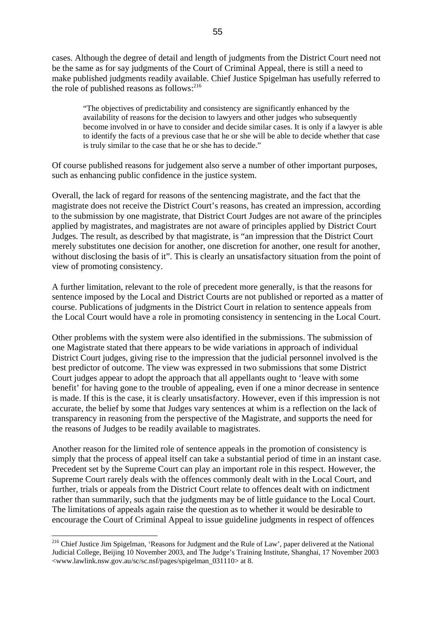cases. Although the degree of detail and length of judgments from the District Court need not be the same as for say judgments of the Court of Criminal Appeal, there is still a need to make published judgments readily available. Chief Justice Spigelman has usefully referred to the role of published reasons as follows: $^{216}$  $^{216}$  $^{216}$ 

"The objectives of predictability and consistency are significantly enhanced by the availability of reasons for the decision to lawyers and other judges who subsequently become involved in or have to consider and decide similar cases. It is only if a lawyer is able to identify the facts of a previous case that he or she will be able to decide whether that case is truly similar to the case that he or she has to decide."

Of course published reasons for judgement also serve a number of other important purposes, such as enhancing public confidence in the justice system.

Overall, the lack of regard for reasons of the sentencing magistrate, and the fact that the magistrate does not receive the District Court's reasons, has created an impression, according to the submission by one magistrate, that District Court Judges are not aware of the principles applied by magistrates, and magistrates are not aware of principles applied by District Court Judges. The result, as described by that magistrate, is "an impression that the District Court merely substitutes one decision for another, one discretion for another, one result for another, without disclosing the basis of it". This is clearly an unsatisfactory situation from the point of view of promoting consistency.

A further limitation, relevant to the role of precedent more generally, is that the reasons for sentence imposed by the Local and District Courts are not published or reported as a matter of course. Publications of judgments in the District Court in relation to sentence appeals from the Local Court would have a role in promoting consistency in sentencing in the Local Court.

Other problems with the system were also identified in the submissions. The submission of one Magistrate stated that there appears to be wide variations in approach of individual District Court judges, giving rise to the impression that the judicial personnel involved is the best predictor of outcome. The view was expressed in two submissions that some District Court judges appear to adopt the approach that all appellants ought to 'leave with some benefit' for having gone to the trouble of appealing, even if one a minor decrease in sentence is made. If this is the case, it is clearly unsatisfactory. However, even if this impression is not accurate, the belief by some that Judges vary sentences at whim is a reflection on the lack of transparency in reasoning from the perspective of the Magistrate, and supports the need for the reasons of Judges to be readily available to magistrates.

Another reason for the limited role of sentence appeals in the promotion of consistency is simply that the process of appeal itself can take a substantial period of time in an instant case. Precedent set by the Supreme Court can play an important role in this respect. However, the Supreme Court rarely deals with the offences commonly dealt with in the Local Court, and further, trials or appeals from the District Court relate to offences dealt with on indictment rather than summarily, such that the judgments may be of little guidance to the Local Court. The limitations of appeals again raise the question as to whether it would be desirable to encourage the Court of Criminal Appeal to issue guideline judgments in respect of offences

<span id="page-54-0"></span><sup>&</sup>lt;sup>216</sup> Chief Justice Jim Spigelman, 'Reasons for Judgment and the Rule of Law', paper delivered at the National Judicial College, Beijing 10 November 2003, and The Judge's Training Institute, Shanghai, 17 November 2003 <www.lawlink.nsw.gov.au/sc/sc.nsf/pages/spigelman\_031110> at 8.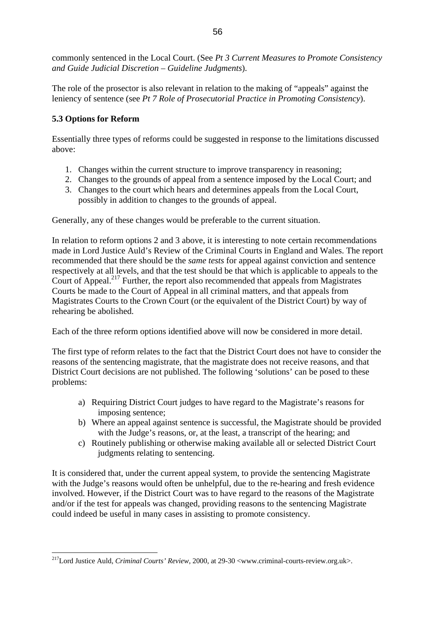commonly sentenced in the Local Court. (See *Pt 3 Current Measures to Promote Consistency and Guide Judicial Discretion – Guideline Judgments*).

The role of the prosector is also relevant in relation to the making of "appeals" against the leniency of sentence (see *Pt 7 Role of Prosecutorial Practice in Promoting Consistency*).

## **5.3 Options for Reform**

 $\overline{a}$ 

Essentially three types of reforms could be suggested in response to the limitations discussed above:

- 1. Changes within the current structure to improve transparency in reasoning;
- 2. Changes to the grounds of appeal from a sentence imposed by the Local Court; and
- 3. Changes to the court which hears and determines appeals from the Local Court, possibly in addition to changes to the grounds of appeal.

Generally, any of these changes would be preferable to the current situation.

In relation to reform options 2 and 3 above, it is interesting to note certain recommendations made in Lord Justice Auld's Review of the Criminal Courts in England and Wales. The report recommended that there should be the *same tests* for appeal against conviction and sentence respectively at all levels, and that the test should be that which is applicable to appeals to the Court of Appeal.<sup>217</sup> Further, the report also recommended that appeals from Magistrates Courts be made to the Court of Appeal in all criminal matters, and that appeals from Magistrates Courts to the Crown Court (or the equivalent of the District Court) by way of rehearing be abolished.

Each of the three reform options identified above will now be considered in more detail.

The first type of reform relates to the fact that the District Court does not have to consider the reasons of the sentencing magistrate, that the magistrate does not receive reasons, and that District Court decisions are not published. The following 'solutions' can be posed to these problems:

- a) Requiring District Court judges to have regard to the Magistrate's reasons for imposing sentence;
- b) Where an appeal against sentence is successful, the Magistrate should be provided with the Judge's reasons, or, at the least, a transcript of the hearing; and
- c) Routinely publishing or otherwise making available all or selected District Court judgments relating to sentencing.

It is considered that, under the current appeal system, to provide the sentencing Magistrate with the Judge's reasons would often be unhelpful, due to the re-hearing and fresh evidence involved. However, if the District Court was to have regard to the reasons of the Magistrate and/or if the test for appeals was changed, providing reasons to the sentencing Magistrate could indeed be useful in many cases in assisting to promote consistency.

<span id="page-55-0"></span><sup>217</sup>Lord Justice Auld, *Criminal Courts' Review*, 2000, at 29-30 <www.criminal-courts-review.org.uk>.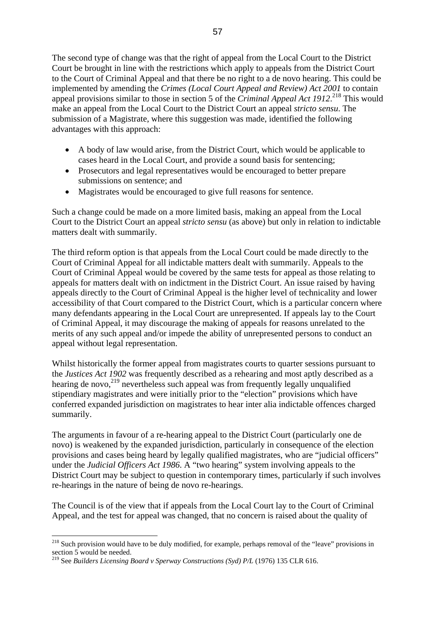The second type of change was that the right of appeal from the Local Court to the District Court be brought in line with the restrictions which apply to appeals from the District Court to the Court of Criminal Appeal and that there be no right to a de novo hearing. This could be implemented by amending the *Crimes (Local Court Appeal and Review) Act 2001* to contain appeal provisions similar to those in section 5 of the *Criminal Appeal Act 1912*. [218](#page-56-0) This would make an appeal from the Local Court to the District Court an appeal *stricto sensu*. The submission of a Magistrate, where this suggestion was made, identified the following advantages with this approach:

- A body of law would arise, from the District Court, which would be applicable to cases heard in the Local Court, and provide a sound basis for sentencing;
- Prosecutors and legal representatives would be encouraged to better prepare submissions on sentence; and
- Magistrates would be encouraged to give full reasons for sentence.

Such a change could be made on a more limited basis, making an appeal from the Local Court to the District Court an appeal *stricto sensu* (as above) but only in relation to indictable matters dealt with summarily.

The third reform option is that appeals from the Local Court could be made directly to the Court of Criminal Appeal for all indictable matters dealt with summarily. Appeals to the Court of Criminal Appeal would be covered by the same tests for appeal as those relating to appeals for matters dealt with on indictment in the District Court. An issue raised by having appeals directly to the Court of Criminal Appeal is the higher level of technicality and lower accessibility of that Court compared to the District Court, which is a particular concern where many defendants appearing in the Local Court are unrepresented. If appeals lay to the Court of Criminal Appeal, it may discourage the making of appeals for reasons unrelated to the merits of any such appeal and/or impede the ability of unrepresented persons to conduct an appeal without legal representation.

Whilst historically the former appeal from magistrates courts to quarter sessions pursuant to the *Justices Act 1902* was frequently described as a rehearing and most aptly described as a hearing de novo, $^{219}$  nevertheless such appeal was from frequently legally unqualified stipendiary magistrates and were initially prior to the "election" provisions which have conferred expanded jurisdiction on magistrates to hear inter alia indictable offences charged summarily.

The arguments in favour of a re-hearing appeal to the District Court (particularly one de novo) is weakened by the expanded jurisdiction, particularly in consequence of the election provisions and cases being heard by legally qualified magistrates, who are "judicial officers" under the *Judicial Officers Act 1986*. A "two hearing" system involving appeals to the District Court may be subject to question in contemporary times, particularly if such involves re-hearings in the nature of being de novo re-hearings.

The Council is of the view that if appeals from the Local Court lay to the Court of Criminal Appeal, and the test for appeal was changed, that no concern is raised about the quality of

<span id="page-56-0"></span><sup>&</sup>lt;sup>218</sup> Such provision would have to be duly modified, for example, perhaps removal of the "leave" provisions in section  $\overline{5}$  would be needed.

<span id="page-56-1"></span><sup>219</sup> See *Builders Licensing Board v Sperway Constructions (Syd) P/L* (1976) 135 CLR 616.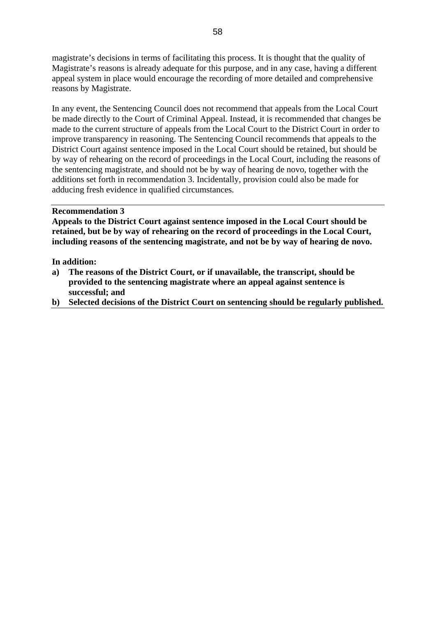magistrate's decisions in terms of facilitating this process. It is thought that the quality of Magistrate's reasons is already adequate for this purpose, and in any case, having a different appeal system in place would encourage the recording of more detailed and comprehensive reasons by Magistrate.

In any event, the Sentencing Council does not recommend that appeals from the Local Court be made directly to the Court of Criminal Appeal. Instead, it is recommended that changes be made to the current structure of appeals from the Local Court to the District Court in order to improve transparency in reasoning. The Sentencing Council recommends that appeals to the District Court against sentence imposed in the Local Court should be retained, but should be by way of rehearing on the record of proceedings in the Local Court, including the reasons of the sentencing magistrate, and should not be by way of hearing de novo, together with the additions set forth in recommendation 3. Incidentally, provision could also be made for adducing fresh evidence in qualified circumstances.

#### **Recommendation 3**

**Appeals to the District Court against sentence imposed in the Local Court should be retained, but be by way of rehearing on the record of proceedings in the Local Court, including reasons of the sentencing magistrate, and not be by way of hearing de novo.** 

**In addition:** 

- **a) The reasons of the District Court, or if unavailable, the transcript, should be provided to the sentencing magistrate where an appeal against sentence is successful; and**
- **b) Selected decisions of the District Court on sentencing should be regularly published.**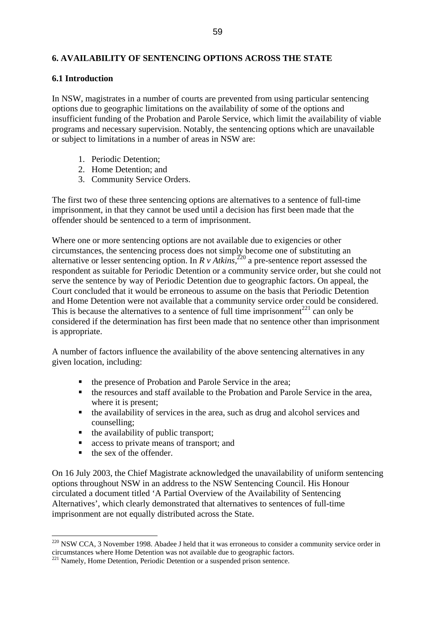## **6. AVAILABILITY OF SENTENCING OPTIONS ACROSS THE STATE**

## **6.1 Introduction**

In NSW, magistrates in a number of courts are prevented from using particular sentencing options due to geographic limitations on the availability of some of the options and insufficient funding of the Probation and Parole Service, which limit the availability of viable programs and necessary supervision. Notably, the sentencing options which are unavailable or subject to limitations in a number of areas in NSW are:

- 1. Periodic Detention;
- 2. Home Detention; and
- 3. Community Service Orders.

The first two of these three sentencing options are alternatives to a sentence of full-time imprisonment, in that they cannot be used until a decision has first been made that the offender should be sentenced to a term of imprisonment.

Where one or more sentencing options are not available due to exigencies or other circumstances, the sentencing process does not simply become one of substituting an alternative or lesser sentencing option. In *R v Atkins,*[220](#page-58-0) a pre-sentence report assessed the respondent as suitable for Periodic Detention or a community service order, but she could not serve the sentence by way of Periodic Detention due to geographic factors. On appeal, the Court concluded that it would be erroneous to assume on the basis that Periodic Detention and Home Detention were not available that a community service order could be considered. This is because the alternatives to a sentence of full time imprisonment<sup>221</sup> can only be considered if the determination has first been made that no sentence other than imprisonment is appropriate.

A number of factors influence the availability of the above sentencing alternatives in any given location, including:

- the presence of Probation and Parole Service in the area;
- the resources and staff available to the Probation and Parole Service in the area, where it is present;
- the availability of services in the area, such as drug and alcohol services and counselling;
- the availability of public transport;
- **access to private means of transport; and**
- $\blacksquare$  the sex of the offender.

 $\overline{a}$ 

On 16 July 2003, the Chief Magistrate acknowledged the unavailability of uniform sentencing options throughout NSW in an address to the NSW Sentencing Council. His Honour circulated a document titled 'A Partial Overview of the Availability of Sentencing Alternatives', which clearly demonstrated that alternatives to sentences of full-time imprisonment are not equally distributed across the State.

<span id="page-58-0"></span> $220$  NSW CCA, 3 November 1998. Abadee J held that it was erroneous to consider a community service order in circumstances where Home Detention was not available due to geographic factors. 221 Namely, Home Detention, Periodic Detention or a suspended prison sentence.

<span id="page-58-1"></span>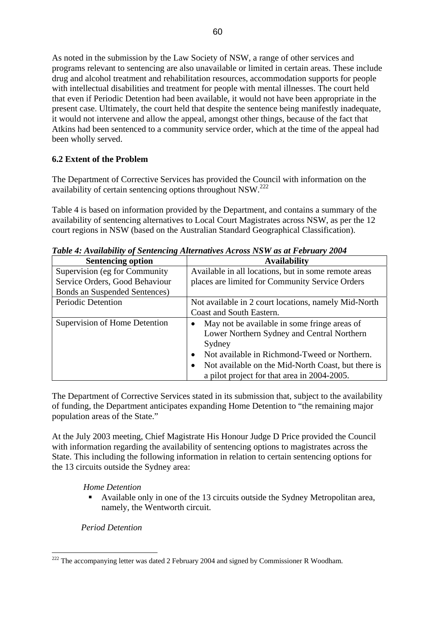As noted in the submission by the Law Society of NSW, a range of other services and programs relevant to sentencing are also unavailable or limited in certain areas. These include drug and alcohol treatment and rehabilitation resources, accommodation supports for people with intellectual disabilities and treatment for people with mental illnesses. The court held that even if Periodic Detention had been available, it would not have been appropriate in the present case. Ultimately, the court held that despite the sentence being manifestly inadequate, it would not intervene and allow the appeal, amongst other things, because of the fact that Atkins had been sentenced to a community service order, which at the time of the appeal had been wholly served.

## **6.2 Extent of the Problem**

The Department of Corrective Services has provided the Council with information on the availability of certain sentencing options throughout NSW.[222](#page-59-0)

Table 4 is based on information provided by the Department, and contains a summary of the availability of sentencing alternatives to Local Court Magistrates across NSW, as per the 12 court regions in NSW (based on the Australian Standard Geographical Classification).

| <b>Sentencing option</b>       | <b>Availability</b>                                             |
|--------------------------------|-----------------------------------------------------------------|
| Supervision (eg for Community) | Available in all locations, but in some remote areas            |
| Service Orders, Good Behaviour | places are limited for Community Service Orders                 |
| Bonds an Suspended Sentences)  |                                                                 |
| <b>Periodic Detention</b>      | Not available in 2 court locations, namely Mid-North            |
|                                | Coast and South Eastern.                                        |
| Supervision of Home Detention  | May not be available in some fringe areas of<br>$\bullet$       |
|                                | Lower Northern Sydney and Central Northern                      |
|                                | Sydney                                                          |
|                                | Not available in Richmond-Tweed or Northern.<br>$\bullet$       |
|                                | Not available on the Mid-North Coast, but there is<br>$\bullet$ |
|                                | a pilot project for that area in 2004-2005.                     |

*Table 4: Availability of Sentencing Alternatives Across NSW as at February 2004* 

The Department of Corrective Services stated in its submission that, subject to the availability of funding, the Department anticipates expanding Home Detention to "the remaining major population areas of the State."

At the July 2003 meeting, Chief Magistrate His Honour Judge D Price provided the Council with information regarding the availability of sentencing options to magistrates across the State. This including the following information in relation to certain sentencing options for the 13 circuits outside the Sydney area:

## *Home Detention*

 Available only in one of the 13 circuits outside the Sydney Metropolitan area, namely, the Wentworth circuit.

*Period Detention* 

<span id="page-59-0"></span> $\overline{a}$  $222$  The accompanying letter was dated 2 February 2004 and signed by Commissioner R Woodham.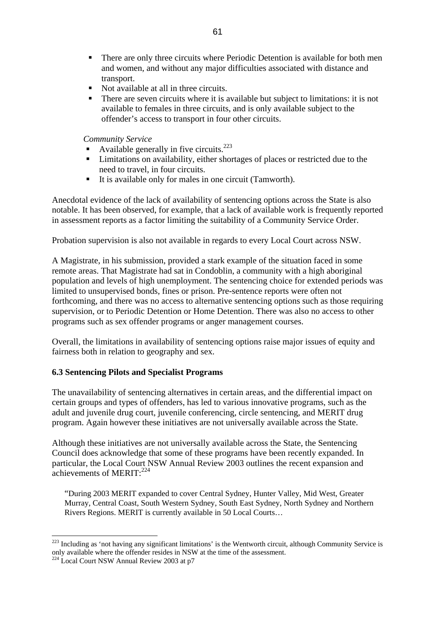- **There are only three circuits where Periodic Detention is available for both men** and women, and without any major difficulties associated with distance and transport.
- Not available at all in three circuits.
- There are seven circuits where it is available but subject to limitations: it is not available to females in three circuits, and is only available subject to the offender's access to transport in four other circuits.

*Community Service* 

- Available generally in five circuits.<sup>223</sup>
- **EXECUTE:** Limitations on availability, either shortages of places or restricted due to the need to travel, in four circuits.
- It is available only for males in one circuit (Tamworth).

Anecdotal evidence of the lack of availability of sentencing options across the State is also notable. It has been observed, for example, that a lack of available work is frequently reported in assessment reports as a factor limiting the suitability of a Community Service Order.

Probation supervision is also not available in regards to every Local Court across NSW.

A Magistrate, in his submission, provided a stark example of the situation faced in some remote areas. That Magistrate had sat in Condoblin, a community with a high aboriginal population and levels of high unemployment. The sentencing choice for extended periods was limited to unsupervised bonds, fines or prison. Pre-sentence reports were often not forthcoming, and there was no access to alternative sentencing options such as those requiring supervision, or to Periodic Detention or Home Detention. There was also no access to other programs such as sex offender programs or anger management courses.

Overall, the limitations in availability of sentencing options raise major issues of equity and fairness both in relation to geography and sex.

## **6.3 Sentencing Pilots and Specialist Programs**

The unavailability of sentencing alternatives in certain areas, and the differential impact on certain groups and types of offenders, has led to various innovative programs, such as the adult and juvenile drug court, juvenile conferencing, circle sentencing, and MERIT drug program. Again however these initiatives are not universally available across the State.

Although these initiatives are not universally available across the State, the Sentencing Council does acknowledge that some of these programs have been recently expanded. In particular, the Local Court NSW Annual Review 2003 outlines the recent expansion and achievements of MERIT: $^{224}$  $^{224}$  $^{224}$ 

"During 2003 MERIT expanded to cover Central Sydney, Hunter Valley, Mid West, Greater Murray, Central Coast, South Western Sydney, South East Sydney, North Sydney and Northern Rivers Regions. MERIT is currently available in 50 Local Courts…

<span id="page-60-0"></span> $223$  Including as 'not having any significant limitations' is the Wentworth circuit, although Community Service is only available where the offender resides in NSW at the time of the assessment.

<span id="page-60-1"></span><sup>&</sup>lt;sup>224</sup> Local Court NSW Annual Review 2003 at p7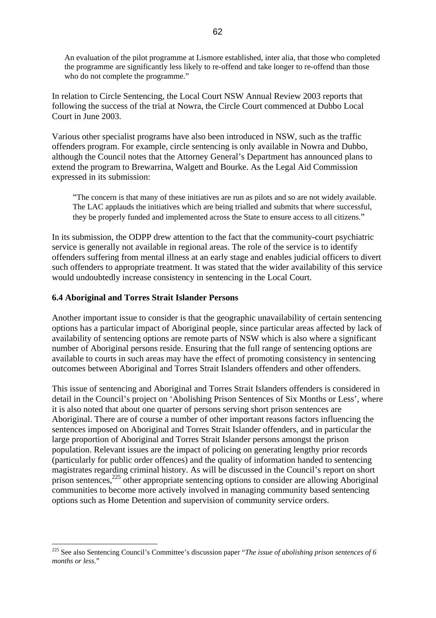An evaluation of the pilot programme at Lismore established, inter alia, that those who completed the programme are significantly less likely to re-offend and take longer to re-offend than those who do not complete the programme."

In relation to Circle Sentencing, the Local Court NSW Annual Review 2003 reports that following the success of the trial at Nowra, the Circle Court commenced at Dubbo Local Court in June 2003.

Various other specialist programs have also been introduced in NSW, such as the traffic offenders program. For example, circle sentencing is only available in Nowra and Dubbo, although the Council notes that the Attorney General's Department has announced plans to extend the program to Brewarrina, Walgett and Bourke. As the Legal Aid Commission expressed in its submission:

"The concern is that many of these initiatives are run as pilots and so are not widely available. The LAC applauds the initiatives which are being trialled and submits that where successful, they be properly funded and implemented across the State to ensure access to all citizens."

In its submission, the ODPP drew attention to the fact that the community-court psychiatric service is generally not available in regional areas. The role of the service is to identify offenders suffering from mental illness at an early stage and enables judicial officers to divert such offenders to appropriate treatment. It was stated that the wider availability of this service would undoubtedly increase consistency in sentencing in the Local Court.

### **6.4 Aboriginal and Torres Strait Islander Persons**

 $\overline{a}$ 

Another important issue to consider is that the geographic unavailability of certain sentencing options has a particular impact of Aboriginal people, since particular areas affected by lack of availability of sentencing options are remote parts of NSW which is also where a significant number of Aboriginal persons reside. Ensuring that the full range of sentencing options are available to courts in such areas may have the effect of promoting consistency in sentencing outcomes between Aboriginal and Torres Strait Islanders offenders and other offenders.

This issue of sentencing and Aboriginal and Torres Strait Islanders offenders is considered in detail in the Council's project on 'Abolishing Prison Sentences of Six Months or Less', where it is also noted that about one quarter of persons serving short prison sentences are Aboriginal. There are of course a number of other important reasons factors influencing the sentences imposed on Aboriginal and Torres Strait Islander offenders, and in particular the large proportion of Aboriginal and Torres Strait Islander persons amongst the prison population. Relevant issues are the impact of policing on generating lengthy prior records (particularly for public order offences) and the quality of information handed to sentencing magistrates regarding criminal history. As will be discussed in the Council's report on short prison sentences,  $225$  other appropriate sentencing options to consider are allowing Aboriginal communities to become more actively involved in managing community based sentencing options such as Home Detention and supervision of community service orders.

<span id="page-61-0"></span><sup>225</sup> See also Sentencing Council's Committee's discussion paper "*The issue of abolishing prison sentences of 6 months or less.*"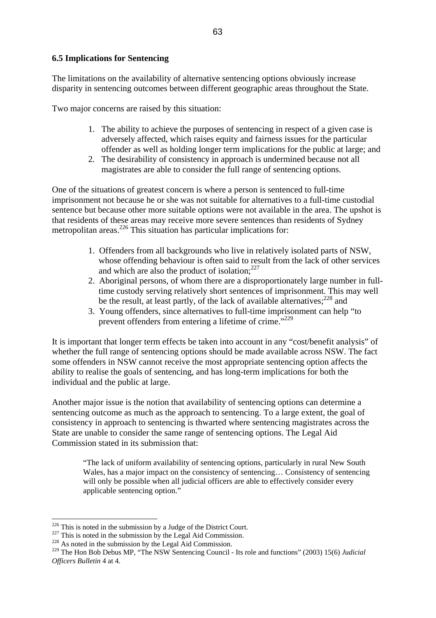### **6.5 Implications for Sentencing**

The limitations on the availability of alternative sentencing options obviously increase disparity in sentencing outcomes between different geographic areas throughout the State.

Two major concerns are raised by this situation:

- 1. The ability to achieve the purposes of sentencing in respect of a given case is adversely affected, which raises equity and fairness issues for the particular offender as well as holding longer term implications for the public at large; and
- 2. The desirability of consistency in approach is undermined because not all magistrates are able to consider the full range of sentencing options.

One of the situations of greatest concern is where a person is sentenced to full-time imprisonment not because he or she was not suitable for alternatives to a full-time custodial sentence but because other more suitable options were not available in the area. The upshot is that residents of these areas may receive more severe sentences than residents of Sydney metropolitan areas.<sup>226</sup> This situation has particular implications for:

- 1. Offenders from all backgrounds who live in relatively isolated parts of NSW, whose offending behaviour is often said to result from the lack of other services and which are also the product of isolation: $227$
- 2. Aboriginal persons, of whom there are a disproportionately large number in fulltime custody serving relatively short sentences of imprisonment. This may well be the result, at least partly, of the lack of available alternatives;<sup>228</sup> and
- 3. Young offenders, since alternatives to full-time imprisonment can help "to prevent offenders from entering a lifetime of crime."<sup>229</sup>

It is important that longer term effects be taken into account in any "cost/benefit analysis" of whether the full range of sentencing options should be made available across NSW. The fact some offenders in NSW cannot receive the most appropriate sentencing option affects the ability to realise the goals of sentencing, and has long-term implications for both the individual and the public at large.

Another major issue is the notion that availability of sentencing options can determine a sentencing outcome as much as the approach to sentencing. To a large extent, the goal of consistency in approach to sentencing is thwarted where sentencing magistrates across the State are unable to consider the same range of sentencing options. The Legal Aid Commission stated in its submission that:

"The lack of uniform availability of sentencing options, particularly in rural New South Wales, has a major impact on the consistency of sentencing… Consistency of sentencing will only be possible when all judicial officers are able to effectively consider every applicable sentencing option."

<span id="page-62-0"></span> $226$  This is noted in the submission by a Judge of the District Court.

<span id="page-62-1"></span><sup>&</sup>lt;sup>227</sup> This is noted in the submission by the Legal Aid Commission. <sup>228</sup> As noted in the submission by the Legal Aid Commission.

<span id="page-62-2"></span>

<span id="page-62-3"></span><sup>229</sup> The Hon Bob Debus MP, "The NSW Sentencing Council - Its role and functions" (2003) 15(6) *Judicial Officers Bulletin* 4 at 4.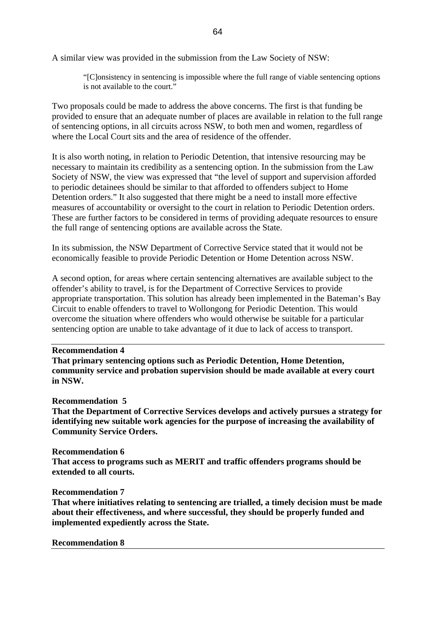A similar view was provided in the submission from the Law Society of NSW:

"[C]onsistency in sentencing is impossible where the full range of viable sentencing options is not available to the court."

Two proposals could be made to address the above concerns. The first is that funding be provided to ensure that an adequate number of places are available in relation to the full range of sentencing options, in all circuits across NSW, to both men and women, regardless of where the Local Court sits and the area of residence of the offender.

It is also worth noting, in relation to Periodic Detention, that intensive resourcing may be necessary to maintain its credibility as a sentencing option. In the submission from the Law Society of NSW, the view was expressed that "the level of support and supervision afforded to periodic detainees should be similar to that afforded to offenders subject to Home Detention orders." It also suggested that there might be a need to install more effective measures of accountability or oversight to the court in relation to Periodic Detention orders. These are further factors to be considered in terms of providing adequate resources to ensure the full range of sentencing options are available across the State.

In its submission, the NSW Department of Corrective Service stated that it would not be economically feasible to provide Periodic Detention or Home Detention across NSW.

A second option, for areas where certain sentencing alternatives are available subject to the offender's ability to travel, is for the Department of Corrective Services to provide appropriate transportation. This solution has already been implemented in the Bateman's Bay Circuit to enable offenders to travel to Wollongong for Periodic Detention. This would overcome the situation where offenders who would otherwise be suitable for a particular sentencing option are unable to take advantage of it due to lack of access to transport.

#### **Recommendation 4**

**That primary sentencing options such as Periodic Detention, Home Detention, community service and probation supervision should be made available at every court in NSW.** 

#### **Recommendation 5**

**That the Department of Corrective Services develops and actively pursues a strategy for identifying new suitable work agencies for the purpose of increasing the availability of Community Service Orders.** 

#### **Recommendation 6**

**That access to programs such as MERIT and traffic offenders programs should be extended to all courts.** 

#### **Recommendation 7**

**That where initiatives relating to sentencing are trialled, a timely decision must be made about their effectiveness, and where successful, they should be properly funded and implemented expediently across the State.** 

#### **Recommendation 8**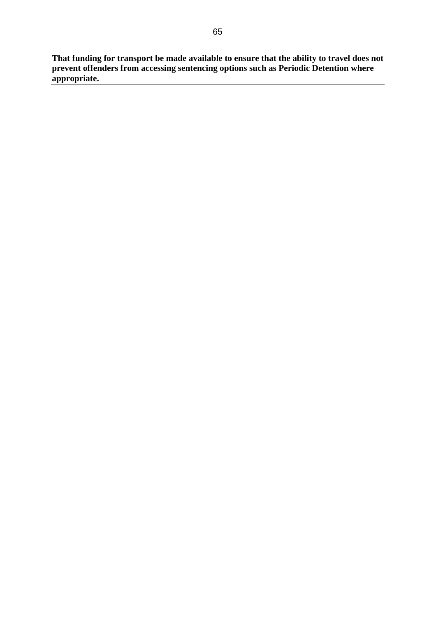**That funding for transport be made available to ensure that the ability to travel does not prevent offenders from accessing sentencing options such as Periodic Detention where appropriate.**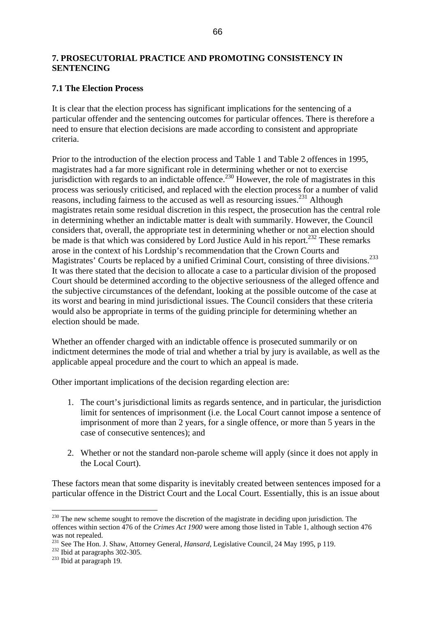## **7. PROSECUTORIAL PRACTICE AND PROMOTING CONSISTENCY IN SENTENCING**

## **7.1 The Election Process**

It is clear that the election process has significant implications for the sentencing of a particular offender and the sentencing outcomes for particular offences. There is therefore a need to ensure that election decisions are made according to consistent and appropriate criteria.

Prior to the introduction of the election process and Table 1 and Table 2 offences in 1995, magistrates had a far more significant role in determining whether or not to exercise jurisdiction with regards to an indictable offence.<sup>230</sup> However, the role of magistrates in this process was seriously criticised, and replaced with the election process for a number of valid reasons, including fairness to the accused as well as resourcing issues.[231](#page-65-1) Although magistrates retain some residual discretion in this respect, the prosecution has the central role in determining whether an indictable matter is dealt with summarily. However, the Council considers that, overall, the appropriate test in determining whether or not an election should be made is that which was considered by Lord Justice Auld in his report.<sup>232</sup> These remarks arose in the context of his Lordship's recommendation that the Crown Courts and Magistrates' Courts be replaced by a unified Criminal Court, consisting of three divisions.<sup>[233](#page-65-3)</sup> It was there stated that the decision to allocate a case to a particular division of the proposed Court should be determined according to the objective seriousness of the alleged offence and the subjective circumstances of the defendant, looking at the possible outcome of the case at its worst and bearing in mind jurisdictional issues. The Council considers that these criteria would also be appropriate in terms of the guiding principle for determining whether an election should be made.

Whether an offender charged with an indictable offence is prosecuted summarily or on indictment determines the mode of trial and whether a trial by jury is available, as well as the applicable appeal procedure and the court to which an appeal is made.

Other important implications of the decision regarding election are:

- 1. The court's jurisdictional limits as regards sentence, and in particular, the jurisdiction limit for sentences of imprisonment (i.e. the Local Court cannot impose a sentence of imprisonment of more than 2 years, for a single offence, or more than 5 years in the case of consecutive sentences); and
- 2. Whether or not the standard non-parole scheme will apply (since it does not apply in the Local Court).

These factors mean that some disparity is inevitably created between sentences imposed for a particular offence in the District Court and the Local Court. Essentially, this is an issue about

<span id="page-65-0"></span> $^{230}$  The new scheme sought to remove the discretion of the magistrate in deciding upon jurisdiction. The offences within section 476 of the *Crimes Act 1900* were among those listed in Table 1, although section 476 was not repealed.

<span id="page-65-1"></span><sup>&</sup>lt;sup>231</sup> See The Hon. J. Shaw, Attorney General, *Hansard*, Legislative Council, 24 May 1995, p 119.<br><sup>232</sup> Ibid at paragraphs 302-305.<br><sup>233</sup> Ibid at paragraph 19.

<span id="page-65-2"></span>

<span id="page-65-3"></span>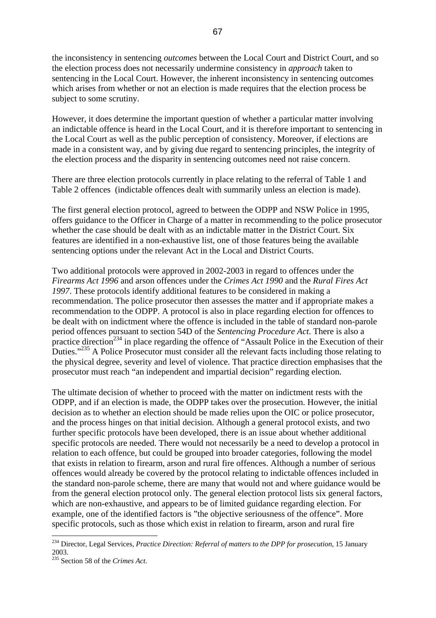the inconsistency in sentencing *outcomes* between the Local Court and District Court, and so the election process does not necessarily undermine consistency in *approach* taken to sentencing in the Local Court. However, the inherent inconsistency in sentencing outcomes which arises from whether or not an election is made requires that the election process be subject to some scrutiny.

However, it does determine the important question of whether a particular matter involving an indictable offence is heard in the Local Court, and it is therefore important to sentencing in the Local Court as well as the public perception of consistency. Moreover, if elections are made in a consistent way, and by giving due regard to sentencing principles, the integrity of the election process and the disparity in sentencing outcomes need not raise concern.

There are three election protocols currently in place relating to the referral of Table 1 and Table 2 offences (indictable offences dealt with summarily unless an election is made).

The first general election protocol, agreed to between the ODPP and NSW Police in 1995, offers guidance to the Officer in Charge of a matter in recommending to the police prosecutor whether the case should be dealt with as an indictable matter in the District Court. Six features are identified in a non-exhaustive list, one of those features being the available sentencing options under the relevant Act in the Local and District Courts.

Two additional protocols were approved in 2002-2003 in regard to offences under the *Firearms Act 1996* and arson offences under the *Crimes Act 1990* and the *Rural Fires Act 1997*. These protocols identify additional features to be considered in making a recommendation. The police prosecutor then assesses the matter and if appropriate makes a recommendation to the ODPP. A protocol is also in place regarding election for offences to be dealt with on indictment where the offence is included in the table of standard non-parole period offences pursuant to section 54D of the *Sentencing Procedure Act*. There is also a practice direction<sup>234</sup> in place regarding the offence of "Assault Police in the Execution of their Duties."<sup>235</sup> A Police Prosecutor must consider all the relevant facts including those relating to the physical degree, severity and level of violence. That practice direction emphasises that the prosecutor must reach "an independent and impartial decision" regarding election.

The ultimate decision of whether to proceed with the matter on indictment rests with the ODPP, and if an election is made, the ODPP takes over the prosecution. However, the initial decision as to whether an election should be made relies upon the OIC or police prosecutor, and the process hinges on that initial decision. Although a general protocol exists, and two further specific protocols have been developed, there is an issue about whether additional specific protocols are needed. There would not necessarily be a need to develop a protocol in relation to each offence, but could be grouped into broader categories, following the model that exists in relation to firearm, arson and rural fire offences. Although a number of serious offences would already be covered by the protocol relating to indictable offences included in the standard non-parole scheme, there are many that would not and where guidance would be from the general election protocol only. The general election protocol lists six general factors, which are non-exhaustive, and appears to be of limited guidance regarding election. For example, one of the identified factors is "the objective seriousness of the offence". More specific protocols, such as those which exist in relation to firearm, arson and rural fire

<span id="page-66-0"></span><sup>234</sup> Director, Legal Services, *Practice Direction: Referral of matters to the DPP for prosecution*, 15 January 2003.

<span id="page-66-1"></span><sup>235</sup> Section 58 of the *Crimes Act*.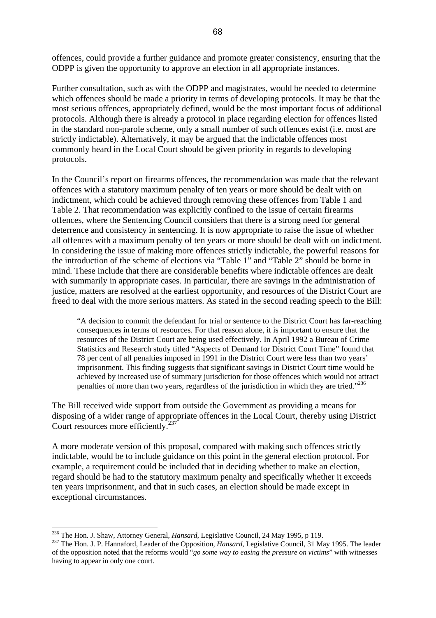offences, could provide a further guidance and promote greater consistency, ensuring that the ODPP is given the opportunity to approve an election in all appropriate instances.

Further consultation, such as with the ODPP and magistrates, would be needed to determine which offences should be made a priority in terms of developing protocols. It may be that the most serious offences, appropriately defined, would be the most important focus of additional protocols. Although there is already a protocol in place regarding election for offences listed in the standard non-parole scheme, only a small number of such offences exist (i.e. most are strictly indictable). Alternatively, it may be argued that the indictable offences most commonly heard in the Local Court should be given priority in regards to developing protocols.

In the Council's report on firearms offences, the recommendation was made that the relevant offences with a statutory maximum penalty of ten years or more should be dealt with on indictment, which could be achieved through removing these offences from Table 1 and Table 2. That recommendation was explicitly confined to the issue of certain firearms offences, where the Sentencing Council considers that there is a strong need for general deterrence and consistency in sentencing. It is now appropriate to raise the issue of whether all offences with a maximum penalty of ten years or more should be dealt with on indictment. In considering the issue of making more offences strictly indictable, the powerful reasons for the introduction of the scheme of elections via "Table 1" and "Table 2" should be borne in mind. These include that there are considerable benefits where indictable offences are dealt with summarily in appropriate cases. In particular, there are savings in the administration of justice, matters are resolved at the earliest opportunity, and resources of the District Court are freed to deal with the more serious matters. As stated in the second reading speech to the Bill:

"A decision to commit the defendant for trial or sentence to the District Court has far-reaching consequences in terms of resources. For that reason alone, it is important to ensure that the resources of the District Court are being used effectively. In April 1992 a Bureau of Crime Statistics and Research study titled "Aspects of Demand for District Court Time" found that 78 per cent of all penalties imposed in 1991 in the District Court were less than two years' imprisonment. This finding suggests that significant savings in District Court time would be achieved by increased use of summary jurisdiction for those offences which would not attract penalties of more than two years, regardless of the jurisdiction in which they are tried."[236](#page-67-0)

The Bill received wide support from outside the Government as providing a means for disposing of a wider range of appropriate offences in the Local Court, thereby using District Court resources more efficiently.<sup>[237](#page-67-1)</sup>

A more moderate version of this proposal, compared with making such offences strictly indictable, would be to include guidance on this point in the general election protocol. For example, a requirement could be included that in deciding whether to make an election, regard should be had to the statutory maximum penalty and specifically whether it exceeds ten years imprisonment, and that in such cases, an election should be made except in exceptional circumstances.

<span id="page-67-0"></span><sup>&</sup>lt;sup>236</sup> The Hon. J. Shaw, Attorney General, *Hansard*, Legislative Council, 24 May 1995, p 119.

<span id="page-67-1"></span><sup>&</sup>lt;sup>237</sup> The Hon. J. P. Hannaford, Leader of the Opposition, *Hansard*, Legislative Council, 31 May 1995. The leader of the opposition noted that the reforms would "*go some way to easing the pressure on victims*" with witnesses having to appear in only one court.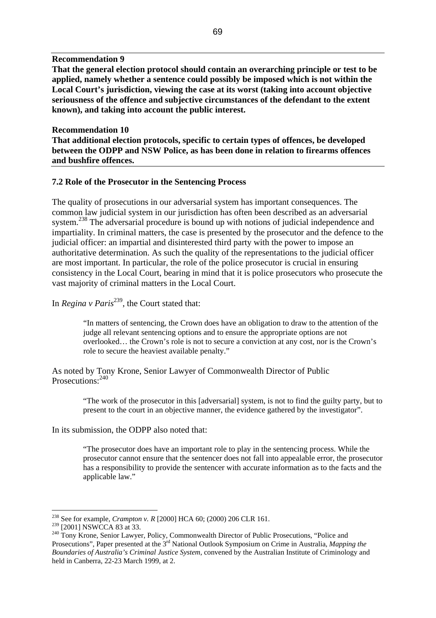#### **Recommendation 9**

**That the general election protocol should contain an overarching principle or test to be applied, namely whether a sentence could possibly be imposed which is not within the Local Court's jurisdiction, viewing the case at its worst (taking into account objective seriousness of the offence and subjective circumstances of the defendant to the extent known), and taking into account the public interest.** 

## **Recommendation 10**

**That additional election protocols, specific to certain types of offences, be developed between the ODPP and NSW Police, as has been done in relation to firearms offences and bushfire offences.** 

#### **7.2 Role of the Prosecutor in the Sentencing Process**

The quality of prosecutions in our adversarial system has important consequences. The common law judicial system in our jurisdiction has often been described as an adversarial system.<sup>238</sup> The adversarial procedure is bound up with notions of judicial independence and impartiality. In criminal matters, the case is presented by the prosecutor and the defence to the judicial officer: an impartial and disinterested third party with the power to impose an authoritative determination. As such the quality of the representations to the judicial officer are most important. In particular, the role of the police prosecutor is crucial in ensuring consistency in the Local Court, bearing in mind that it is police prosecutors who prosecute the vast majority of criminal matters in the Local Court.

# In *Regina v Paris*<sup>239</sup>, the Court stated that:

"In matters of sentencing, the Crown does have an obligation to draw to the attention of the judge all relevant sentencing options and to ensure the appropriate options are not overlooked… the Crown's role is not to secure a conviction at any cost, nor is the Crown's role to secure the heaviest available penalty."

As noted by Tony Krone, Senior Lawyer of Commonwealth Director of Public Prosecutions:  $240$ 

> "The work of the prosecutor in this [adversarial] system, is not to find the guilty party, but to present to the court in an objective manner, the evidence gathered by the investigator".

In its submission, the ODPP also noted that:

"The prosecutor does have an important role to play in the sentencing process. While the prosecutor cannot ensure that the sentencer does not fall into appealable error, the prosecutor has a responsibility to provide the sentencer with accurate information as to the facts and the applicable law."

<span id="page-68-0"></span><sup>238</sup> See for example, *Crampton v. R* [2000] HCA 60; (2000) 206 CLR 161.

<span id="page-68-2"></span><span id="page-68-1"></span>

<sup>&</sup>lt;sup>239</sup> [2001] NSWCCA 83 at 33.<br><sup>240</sup> Tony Krone, Senior Lawyer, Policy, Commonwealth Director of Public Prosecutions, "Police and Prosecutions", Paper presented at the 3rd National Outlook Symposium on Crime in Australia, *Mapping the Boundaries of Australia's Criminal Justice System*, convened by the Australian Institute of Criminology and held in Canberra, 22-23 March 1999, at 2.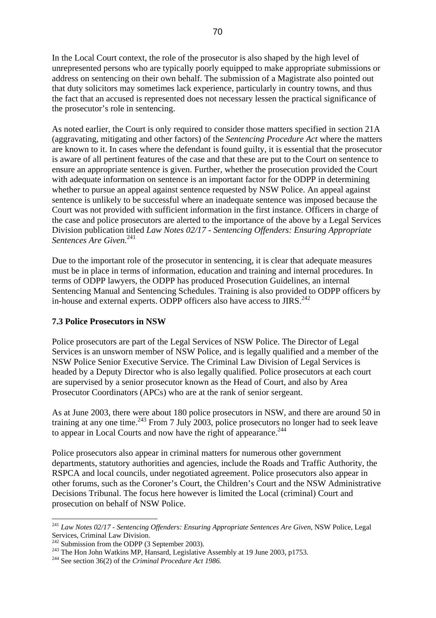In the Local Court context, the role of the prosecutor is also shaped by the high level of unrepresented persons who are typically poorly equipped to make appropriate submissions or address on sentencing on their own behalf. The submission of a Magistrate also pointed out that duty solicitors may sometimes lack experience, particularly in country towns, and thus the fact that an accused is represented does not necessary lessen the practical significance of the prosecutor's role in sentencing.

As noted earlier, the Court is only required to consider those matters specified in section 21A (aggravating, mitigating and other factors) of the *Sentencing Procedure Act* where the matters are known to it. In cases where the defendant is found guilty, it is essential that the prosecutor is aware of all pertinent features of the case and that these are put to the Court on sentence to ensure an appropriate sentence is given. Further, whether the prosecution provided the Court with adequate information on sentence is an important factor for the ODPP in determining whether to pursue an appeal against sentence requested by NSW Police. An appeal against sentence is unlikely to be successful where an inadequate sentence was imposed because the Court was not provided with sufficient information in the first instance. Officers in charge of the case and police prosecutors are alerted to the importance of the above by a Legal Services Division publication titled *Law Notes 02/17 - Sentencing Offenders: Ensuring Appropriate Sentences Are Given.*<sup>[241](#page-69-0)</sup>

Due to the important role of the prosecutor in sentencing, it is clear that adequate measures must be in place in terms of information, education and training and internal procedures. In terms of ODPP lawyers, the ODPP has produced Prosecution Guidelines, an internal Sentencing Manual and Sentencing Schedules. Training is also provided to ODPP officers by in-house and external experts. ODPP officers also have access to JIRS.<sup>[242](#page-69-1)</sup>

### **7.3 Police Prosecutors in NSW**

Police prosecutors are part of the Legal Services of NSW Police. The Director of Legal Services is an unsworn member of NSW Police, and is legally qualified and a member of the NSW Police Senior Executive Service. The Criminal Law Division of Legal Services is headed by a Deputy Director who is also legally qualified. Police prosecutors at each court are supervised by a senior prosecutor known as the Head of Court, and also by Area Prosecutor Coordinators (APCs) who are at the rank of senior sergeant.

As at June 2003, there were about 180 police prosecutors in NSW, and there are around 50 in training at any one time.<sup>243</sup> From 7 July 2003, police prosecutors no longer had to seek leave to appear in Local Courts and now have the right of appearance.<sup>244</sup>

Police prosecutors also appear in criminal matters for numerous other government departments, statutory authorities and agencies, include the Roads and Traffic Authority, the RSPCA and local councils, under negotiated agreement. Police prosecutors also appear in other forums, such as the Coroner's Court, the Children's Court and the NSW Administrative Decisions Tribunal. The focus here however is limited the Local (criminal) Court and prosecution on behalf of NSW Police.

<span id="page-69-0"></span><sup>241</sup> *Law Notes 02/17 - Sentencing Offenders: Ensuring Appropriate Sentences Are Given*, NSW Police, Legal Services, Criminal Law Division.<br><sup>242</sup> Submission from the ODPP (3 September 2003).

<span id="page-69-1"></span>

<span id="page-69-2"></span><sup>&</sup>lt;sup>243</sup> The Hon John Watkins MP, Hansard, Legislative Assembly at 19 June 2003, p1753.<br><sup>244</sup> See section 36(2) of the *Criminal Procedure Act 1986*.

<span id="page-69-3"></span>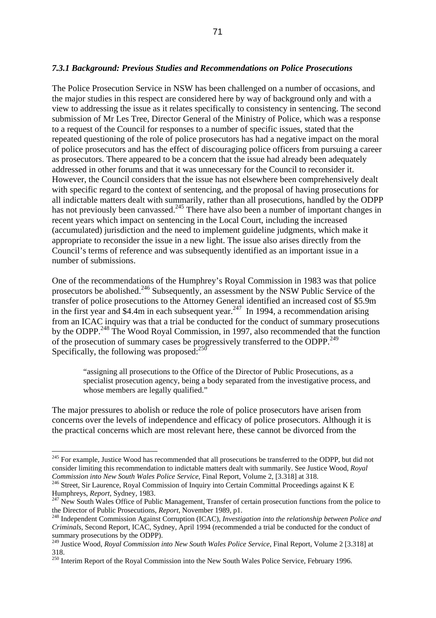#### *7.3.1 Background: Previous Studies and Recommendations on Police Prosecutions*

The Police Prosecution Service in NSW has been challenged on a number of occasions, and the major studies in this respect are considered here by way of background only and with a view to addressing the issue as it relates specifically to consistency in sentencing. The second submission of Mr Les Tree, Director General of the Ministry of Police, which was a response to a request of the Council for responses to a number of specific issues, stated that the repeated questioning of the role of police prosecutors has had a negative impact on the moral of police prosecutors and has the effect of discouraging police officers from pursuing a career as prosecutors. There appeared to be a concern that the issue had already been adequately addressed in other forums and that it was unnecessary for the Council to reconsider it. However, the Council considers that the issue has not elsewhere been comprehensively dealt with specific regard to the context of sentencing, and the proposal of having prosecutions for all indictable matters dealt with summarily, rather than all prosecutions, handled by the ODPP has not previously been canvassed.<sup>245</sup> There have also been a number of important changes in recent years which impact on sentencing in the Local Court, including the increased (accumulated) jurisdiction and the need to implement guideline judgments, which make it appropriate to reconsider the issue in a new light. The issue also arises directly from the Council's terms of reference and was subsequently identified as an important issue in a number of submissions.

One of the recommendations of the Humphrey's Royal Commission in 1983 was that police prosecutors be abolished.<sup>246</sup> Subsequently, an assessment by the NSW Public Service of the transfer of police prosecutions to the Attorney General identified an increased cost of \$5.9m in the first year and \$4.4m in each subsequent year.<sup>247</sup> In 1994, a recommendation arising from an ICAC inquiry was that a trial be conducted for the conduct of summary prosecutions by the ODPP.<sup>248</sup> The Wood Royal Commission, in 1997, also recommended that the function of the prosecution of summary cases be progressively transferred to the ODPP.<sup>[249](#page-70-4)</sup> Specifically, the following was proposed: $^{250}$  $^{250}$  $^{250}$ 

"assigning all prosecutions to the Office of the Director of Public Prosecutions, as a specialist prosecution agency, being a body separated from the investigative process, and whose members are legally qualified."

The major pressures to abolish or reduce the role of police prosecutors have arisen from concerns over the levels of independence and efficacy of police prosecutors. Although it is the practical concerns which are most relevant here, these cannot be divorced from the

<span id="page-70-0"></span><sup>&</sup>lt;sup>245</sup> For example, Justice Wood has recommended that all prosecutions be transferred to the ODPP, but did not consider limiting this recommendation to indictable matters dealt with summarily. See Justice Wood, *Royal* 

<span id="page-70-1"></span>*Commission into New South Wales Police Service*, Final Report, Volume 2, [3.318] at 318. 246 Street, Sir Laurence, Royal Commission of Inquiry into Certain Committal Proceedings against K E

<span id="page-70-2"></span><sup>&</sup>lt;sup>247</sup> New South Wales Office of Public Management, Transfer of certain prosecution functions from the police to the Director of Public Prosecutions, *Report*, November 1989, p1.<br><sup>248</sup> Independent Commission Against Corruption (ICAC), *Investigation into the relationship between Police and* 

<span id="page-70-3"></span>*Criminals*, Second Report, ICAC, Sydney, April 1994 (recommended a trial be conducted for the conduct of summary prosecutions by the ODPP).

<span id="page-70-4"></span><sup>&</sup>lt;sup>249</sup> Justice Wood, *Royal Commission into New South Wales Police Service*, Final Report, Volume 2 [3.318] at 318.

<span id="page-70-5"></span><sup>&</sup>lt;sup>250</sup> Interim Report of the Royal Commission into the New South Wales Police Service, February 1996.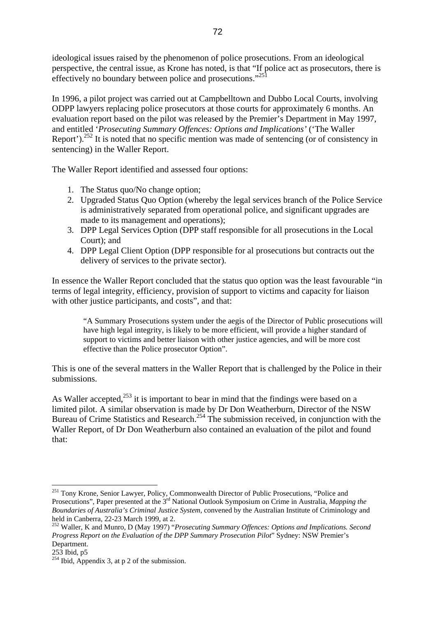ideological issues raised by the phenomenon of police prosecutions. From an ideological perspective, the central issue, as Krone has noted, is that "If police act as prosecutors, there is effectively no boundary between police and prosecutions."<sup>251</sup>

In 1996, a pilot project was carried out at Campbelltown and Dubbo Local Courts, involving ODPP lawyers replacing police prosecutors at those courts for approximately 6 months. An evaluation report based on the pilot was released by the Premier's Department in May 1997, and entitled '*Prosecuting Summary Offences: Options and Implications'* ('The Waller Report').<sup>252</sup> It is noted that no specific mention was made of sentencing (or of consistency in sentencing) in the Waller Report.

The Waller Report identified and assessed four options:

- 1. The Status quo/No change option;
- 2. Upgraded Status Quo Option (whereby the legal services branch of the Police Service is administratively separated from operational police, and significant upgrades are made to its management and operations);
- 3. DPP Legal Services Option (DPP staff responsible for all prosecutions in the Local Court); and
- 4. DPP Legal Client Option (DPP responsible for al prosecutions but contracts out the delivery of services to the private sector).

In essence the Waller Report concluded that the status quo option was the least favourable "in terms of legal integrity, efficiency, provision of support to victims and capacity for liaison with other justice participants, and costs", and that:

"A Summary Prosecutions system under the aegis of the Director of Public prosecutions will have high legal integrity, is likely to be more efficient, will provide a higher standard of support to victims and better liaison with other justice agencies, and will be more cost effective than the Police prosecutor Option".

This is one of the several matters in the Waller Report that is challenged by the Police in their submissions.

As Waller accepted,<sup>253</sup> it is important to bear in mind that the findings were based on a limited pilot. A similar observation is made by Dr Don Weatherburn, Director of the NSW Bureau of Crime Statistics and Research.<sup>254</sup> The submission received, in conjunction with the Waller Report, of Dr Don Weatherburn also contained an evaluation of the pilot and found that:

<span id="page-71-0"></span><sup>&</sup>lt;sup>251</sup> Tony Krone, Senior Lawyer, Policy, Commonwealth Director of Public Prosecutions, "Police and Prosecutions", Paper presented at the 3rd National Outlook Symposium on Crime in Australia, *Mapping the Boundaries of Australia's Criminal Justice System*, convened by the Australian Institute of Criminology and held in Canberra, 22-23 March 1999, at 2.

<span id="page-71-1"></span><sup>252</sup> Waller, K and Munro, D (May 1997) "*Prosecuting Summary Offences: Options and Implications. Second Progress Report on the Evaluation of the DPP Summary Prosecution Pilot*" Sydney: NSW Premier's Department.<br>253 Ibid. p5

<span id="page-71-2"></span>

<span id="page-71-3"></span> $^{253}$  Ibid, Appendix 3, at p 2 of the submission.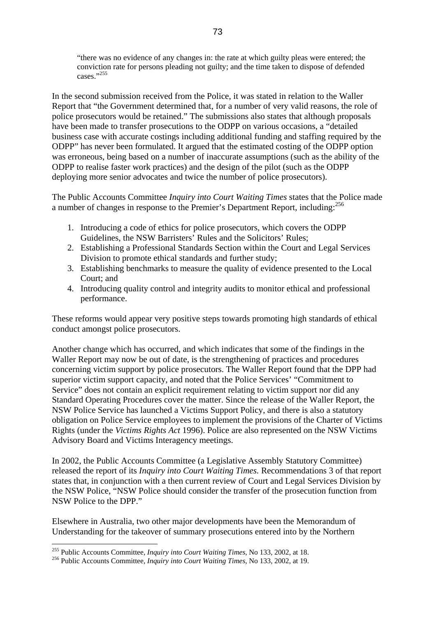"there was no evidence of any changes in: the rate at which guilty pleas were entered; the conviction rate for persons pleading not guilty; and the time taken to dispose of defended cases." $255$ 

In the second submission received from the Police, it was stated in relation to the Waller Report that "the Government determined that, for a number of very valid reasons, the role of police prosecutors would be retained." The submissions also states that although proposals have been made to transfer prosecutions to the ODPP on various occasions, a "detailed business case with accurate costings including additional funding and staffing required by the ODPP" has never been formulated. It argued that the estimated costing of the ODPP option was erroneous, being based on a number of inaccurate assumptions (such as the ability of the ODPP to realise faster work practices) and the design of the pilot (such as the ODPP deploying more senior advocates and twice the number of police prosecutors).

The Public Accounts Committee *Inquiry into Court Waiting Times* states that the Police made a number of changes in response to the Premier's Department Report, including:[256](#page-72-1)

- 1. Introducing a code of ethics for police prosecutors, which covers the ODPP Guidelines, the NSW Barristers' Rules and the Solicitors' Rules;
- 2. Establishing a Professional Standards Section within the Court and Legal Services Division to promote ethical standards and further study;
- 3. Establishing benchmarks to measure the quality of evidence presented to the Local Court; and
- 4. Introducing quality control and integrity audits to monitor ethical and professional performance.

These reforms would appear very positive steps towards promoting high standards of ethical conduct amongst police prosecutors.

Another change which has occurred, and which indicates that some of the findings in the Waller Report may now be out of date, is the strengthening of practices and procedures concerning victim support by police prosecutors. The Waller Report found that the DPP had superior victim support capacity, and noted that the Police Services' "Commitment to Service" does not contain an explicit requirement relating to victim support nor did any Standard Operating Procedures cover the matter. Since the release of the Waller Report, the NSW Police Service has launched a Victims Support Policy, and there is also a statutory obligation on Police Service employees to implement the provisions of the Charter of Victims Rights (under the *Victims Rights Act* 1996). Police are also represented on the NSW Victims Advisory Board and Victims Interagency meetings.

In 2002, the Public Accounts Committee (a Legislative Assembly Statutory Committee) released the report of its *Inquiry into Court Waiting Times.* Recommendations 3 of that report states that, in conjunction with a then current review of Court and Legal Services Division by the NSW Police, "NSW Police should consider the transfer of the prosecution function from NSW Police to the DPP."

Elsewhere in Australia, two other major developments have been the Memorandum of Understanding for the takeover of summary prosecutions entered into by the Northern

<span id="page-72-0"></span> $\overline{a}$ 255 Public Accounts Committee, *Inquiry into Court Waiting Times*, No 133, 2002, at 18. 256 Public Accounts Committee, *Inquiry into Court Waiting Times*, No 133, 2002, at 19.

<span id="page-72-1"></span>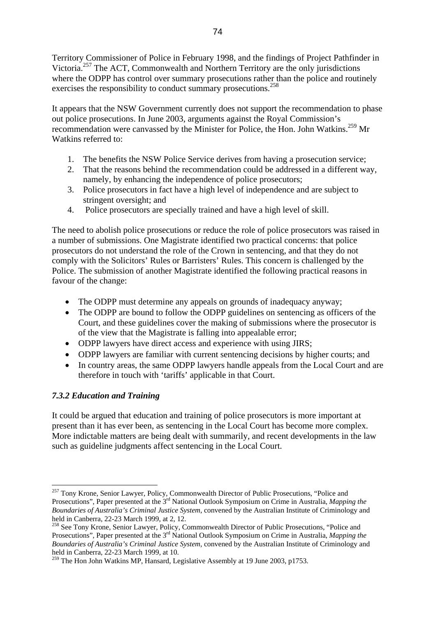Territory Commissioner of Police in February 1998, and the findings of Project Pathfinder in Victoria.<sup>257</sup> The ACT, Commonwealth and Northern Territory are the only jurisdictions where the ODPP has control over summary prosecutions rather than the police and routinely exercises the responsibility to conduct summary prosecutions.<sup>[258](#page-73-1)</sup>

It appears that the NSW Government currently does not support the recommendation to phase out police prosecutions. In June 2003, arguments against the Royal Commission's recommendation were canvassed by the Minister for Police, the Hon. John Watkins.<sup>259</sup> Mr Watkins referred to:

- 1. The benefits the NSW Police Service derives from having a prosecution service;
- 2. That the reasons behind the recommendation could be addressed in a different way, namely, by enhancing the independence of police prosecutors;
- 3. Police prosecutors in fact have a high level of independence and are subject to stringent oversight; and
- 4. Police prosecutors are specially trained and have a high level of skill.

The need to abolish police prosecutions or reduce the role of police prosecutors was raised in a number of submissions. One Magistrate identified two practical concerns: that police prosecutors do not understand the role of the Crown in sentencing, and that they do not comply with the Solicitors' Rules or Barristers' Rules. This concern is challenged by the Police. The submission of another Magistrate identified the following practical reasons in favour of the change:

- The ODPP must determine any appeals on grounds of inadequacy anyway;
- The ODPP are bound to follow the ODPP guidelines on sentencing as officers of the Court, and these guidelines cover the making of submissions where the prosecutor is of the view that the Magistrate is falling into appealable error;
- ODPP lawyers have direct access and experience with using JIRS;
- ODPP lawyers are familiar with current sentencing decisions by higher courts; and
- In country areas, the same ODPP lawyers handle appeals from the Local Court and are therefore in touch with 'tariffs' applicable in that Court.

# *7.3.2 Education and Training*

 $\overline{a}$ 

It could be argued that education and training of police prosecutors is more important at present than it has ever been, as sentencing in the Local Court has become more complex. More indictable matters are being dealt with summarily, and recent developments in the law such as guideline judgments affect sentencing in the Local Court.

<span id="page-73-0"></span><sup>&</sup>lt;sup>257</sup> Tony Krone, Senior Lawyer, Policy, Commonwealth Director of Public Prosecutions, "Police and Prosecutions", Paper presented at the 3rd National Outlook Symposium on Crime in Australia, *Mapping the Boundaries of Australia's Criminal Justice System*, convened by the Australian Institute of Criminology and held in Canberra, 22-23 March 1999, at 2, 12.

<span id="page-73-1"></span><sup>&</sup>lt;sup>258</sup> See Tony Krone, Senior Lawyer, Policy, Commonwealth Director of Public Prosecutions, "Police and Prosecutions", Paper presented at the 3<sup>rd</sup> National Outlook Symposium on Crime in Australia, *Mapping the Boundaries of Australia's Criminal Justice System*, convened by the Australian Institute of Criminology and held in Canberra, 22-23 March 1999, at 10.

<span id="page-73-2"></span><sup>&</sup>lt;sup>259</sup> The Hon John Watkins MP, Hansard, Legislative Assembly at 19 June 2003, p1753.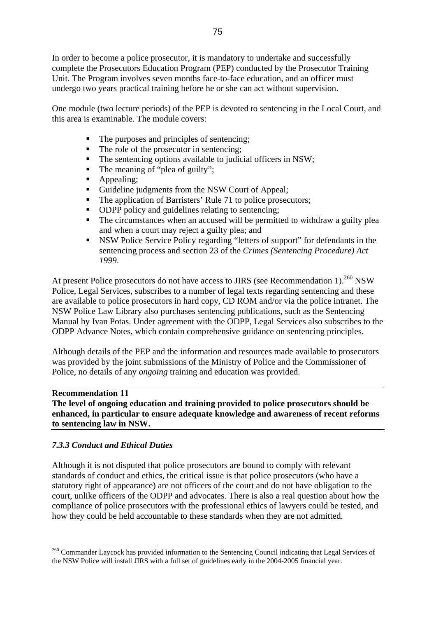In order to become a police prosecutor, it is mandatory to undertake and successfully complete the Prosecutors Education Program (PEP) conducted by the Prosecutor Training Unit. The Program involves seven months face-to-face education, and an officer must undergo two years practical training before he or she can act without supervision.

One module (two lecture periods) of the PEP is devoted to sentencing in the Local Court, and this area is examinable. The module covers:

- The purposes and principles of sentencing;
- The role of the prosecutor in sentencing;
- The sentencing options available to judicial officers in NSW;
- The meaning of "plea of guilty";
- Appealing;
- Guideline judgments from the NSW Court of Appeal;
- The application of Barristers' Rule 71 to police prosecutors;
- ODPP policy and guidelines relating to sentencing;
- The circumstances when an accused will be permitted to withdraw a guilty plea and when a court may reject a guilty plea; and
- NSW Police Service Policy regarding "letters of support" for defendants in the sentencing process and section 23 of the *Crimes (Sentencing Procedure) Act 1999*.

At present Police prosecutors do not have access to JIRS (see Recommendation 1).<sup>260</sup> NSW Police, Legal Services, subscribes to a number of legal texts regarding sentencing and these are available to police prosecutors in hard copy, CD ROM and/or via the police intranet. The NSW Police Law Library also purchases sentencing publications, such as the Sentencing Manual by Ivan Potas. Under agreement with the ODPP, Legal Services also subscribes to the ODPP Advance Notes, which contain comprehensive guidance on sentencing principles.

Although details of the PEP and the information and resources made available to prosecutors was provided by the joint submissions of the Ministry of Police and the Commissioner of Police, no details of any *ongoing* training and education was provided.

#### **Recommendation 11**

 $\overline{a}$ 

**The level of ongoing education and training provided to police prosecutors should be enhanced, in particular to ensure adequate knowledge and awareness of recent reforms to sentencing law in NSW.**

#### *7.3.3 Conduct and Ethical Duties*

Although it is not disputed that police prosecutors are bound to comply with relevant standards of conduct and ethics, the critical issue is that police prosecutors (who have a statutory right of appearance) are not officers of the court and do not have obligation to the court, unlike officers of the ODPP and advocates. There is also a real question about how the compliance of police prosecutors with the professional ethics of lawyers could be tested, and how they could be held accountable to these standards when they are not admitted.

<span id="page-74-0"></span><sup>&</sup>lt;sup>260</sup> Commander Laycock has provided information to the Sentencing Council indicating that Legal Services of the NSW Police will install JIRS with a full set of guidelines early in the 2004-2005 financial year.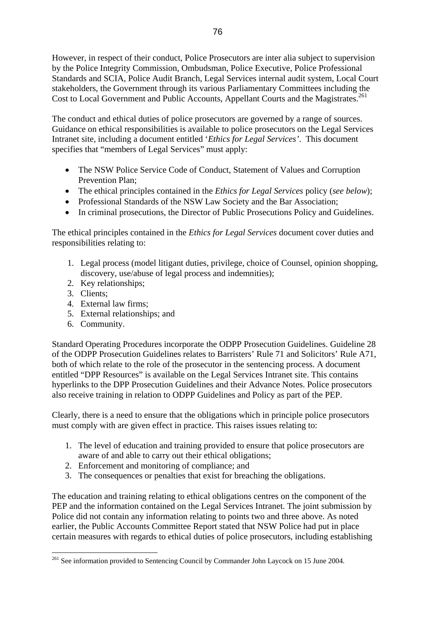However, in respect of their conduct, Police Prosecutors are inter alia subject to supervision by the Police Integrity Commission, Ombudsman, Police Executive, Police Professional Standards and SCIA, Police Audit Branch, Legal Services internal audit system, Local Court stakeholders, the Government through its various Parliamentary Committees including the Cost to Local Government and Public Accounts, Appellant Courts and the Magistrates.<sup>[261](#page-75-0)</sup>

The conduct and ethical duties of police prosecutors are governed by a range of sources. Guidance on ethical responsibilities is available to police prosecutors on the Legal Services Intranet site, including a document entitled '*Ethics for Legal Services'*. This document specifies that "members of Legal Services" must apply:

- The NSW Police Service Code of Conduct, Statement of Values and Corruption Prevention Plan;
- The ethical principles contained in the *Ethics for Legal Services* policy (*see below*);
- Professional Standards of the NSW Law Society and the Bar Association;
- In criminal prosecutions, the Director of Public Prosecutions Policy and Guidelines.

The ethical principles contained in the *Ethics for Legal Services* document cover duties and responsibilities relating to:

- 1. Legal process (model litigant duties, privilege, choice of Counsel, opinion shopping, discovery, use/abuse of legal process and indemnities);
- 2. Key relationships;
- 3. Clients;

 $\overline{a}$ 

- 4. External law firms;
- 5. External relationships; and
- 6. Community.

Standard Operating Procedures incorporate the ODPP Prosecution Guidelines. Guideline 28 of the ODPP Prosecution Guidelines relates to Barristers' Rule 71 and Solicitors' Rule A71, both of which relate to the role of the prosecutor in the sentencing process. A document entitled "DPP Resources" is available on the Legal Services Intranet site. This contains hyperlinks to the DPP Prosecution Guidelines and their Advance Notes. Police prosecutors also receive training in relation to ODPP Guidelines and Policy as part of the PEP.

Clearly, there is a need to ensure that the obligations which in principle police prosecutors must comply with are given effect in practice. This raises issues relating to:

- 1. The level of education and training provided to ensure that police prosecutors are aware of and able to carry out their ethical obligations;
- 2. Enforcement and monitoring of compliance; and
- 3. The consequences or penalties that exist for breaching the obligations.

The education and training relating to ethical obligations centres on the component of the PEP and the information contained on the Legal Services Intranet. The joint submission by Police did not contain any information relating to points two and three above. As noted earlier, the Public Accounts Committee Report stated that NSW Police had put in place certain measures with regards to ethical duties of police prosecutors, including establishing

<span id="page-75-0"></span><sup>&</sup>lt;sup>261</sup> See information provided to Sentencing Council by Commander John Laycock on 15 June 2004.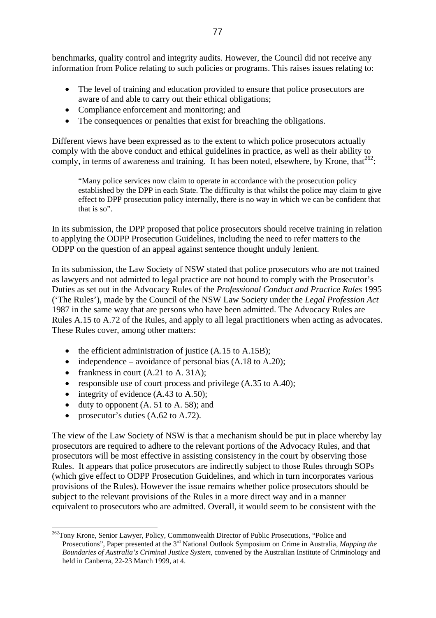benchmarks, quality control and integrity audits. However, the Council did not receive any information from Police relating to such policies or programs. This raises issues relating to:

- The level of training and education provided to ensure that police prosecutors are aware of and able to carry out their ethical obligations;
- Compliance enforcement and monitoring; and
- The consequences or penalties that exist for breaching the obligations.

Different views have been expressed as to the extent to which police prosecutors actually comply with the above conduct and ethical guidelines in practice, as well as their ability to comply, in terms of awareness and training. It has been noted, elsewhere, by Krone, that<sup>262</sup>:

"Many police services now claim to operate in accordance with the prosecution policy established by the DPP in each State. The difficulty is that whilst the police may claim to give effect to DPP prosecution policy internally, there is no way in which we can be confident that that is so".

In its submission, the DPP proposed that police prosecutors should receive training in relation to applying the ODPP Prosecution Guidelines, including the need to refer matters to the ODPP on the question of an appeal against sentence thought unduly lenient.

In its submission, the Law Society of NSW stated that police prosecutors who are not trained as lawyers and not admitted to legal practice are not bound to comply with the Prosecutor's Duties as set out in the Advocacy Rules of the *Professional Conduct and Practice Rules* 1995 ('The Rules'), made by the Council of the NSW Law Society under the *Legal Profession Act* 1987 in the same way that are persons who have been admitted. The Advocacy Rules are Rules A.15 to A.72 of the Rules, and apply to all legal practitioners when acting as advocates. These Rules cover, among other matters:

- the efficient administration of justice (A.15 to A.15B);
- independence avoidance of personal bias  $(A.18 \text{ to } A.20)$ ;
- frankness in court (A.21 to A. 31A);
- responsible use of court process and privilege (A.35 to A.40);
- integrity of evidence (A.43 to A.50);
- duty to opponent  $(A, 51$  to  $A, 58)$ ; and
- prosecutor's duties  $(A.62 \text{ to } A.72)$ .

 $\overline{a}$ 

The view of the Law Society of NSW is that a mechanism should be put in place whereby lay prosecutors are required to adhere to the relevant portions of the Advocacy Rules, and that prosecutors will be most effective in assisting consistency in the court by observing those Rules. It appears that police prosecutors are indirectly subject to those Rules through SOPs (which give effect to ODPP Prosecution Guidelines, and which in turn incorporates various provisions of the Rules). However the issue remains whether police prosecutors should be subject to the relevant provisions of the Rules in a more direct way and in a manner equivalent to prosecutors who are admitted. Overall, it would seem to be consistent with the

<span id="page-76-0"></span><sup>&</sup>lt;sup>262</sup>Tony Krone, Senior Lawyer, Policy, Commonwealth Director of Public Prosecutions, "Police and Prosecutions", Paper presented at the 3rd National Outlook Symposium on Crime in Australia, *Mapping the Boundaries of Australia's Criminal Justice System*, convened by the Australian Institute of Criminology and held in Canberra, 22-23 March 1999, at 4.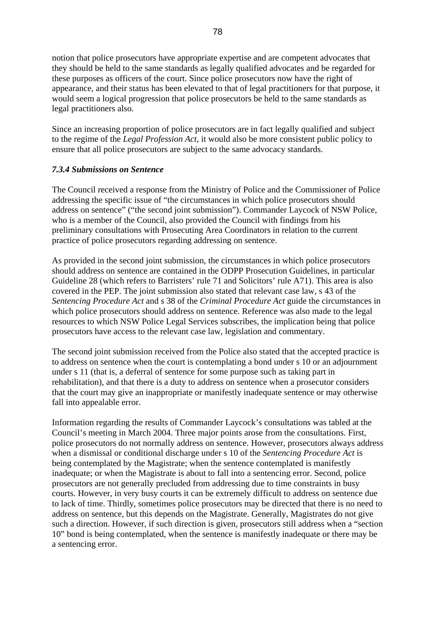notion that police prosecutors have appropriate expertise and are competent advocates that they should be held to the same standards as legally qualified advocates and be regarded for these purposes as officers of the court. Since police prosecutors now have the right of appearance, and their status has been elevated to that of legal practitioners for that purpose, it would seem a logical progression that police prosecutors be held to the same standards as legal practitioners also.

Since an increasing proportion of police prosecutors are in fact legally qualified and subject to the regime of the *Legal Profession Act*, it would also be more consistent public policy to ensure that all police prosecutors are subject to the same advocacy standards.

# *7.3.4 Submissions on Sentence*

The Council received a response from the Ministry of Police and the Commissioner of Police addressing the specific issue of "the circumstances in which police prosecutors should address on sentence" ("the second joint submission"). Commander Laycock of NSW Police, who is a member of the Council, also provided the Council with findings from his preliminary consultations with Prosecuting Area Coordinators in relation to the current practice of police prosecutors regarding addressing on sentence.

As provided in the second joint submission, the circumstances in which police prosecutors should address on sentence are contained in the ODPP Prosecution Guidelines, in particular Guideline 28 (which refers to Barristers' rule 71 and Solicitors' rule A71). This area is also covered in the PEP. The joint submission also stated that relevant case law, s 43 of the *Sentencing Procedure Act* and s 38 of the *Criminal Procedure Act* guide the circumstances in which police prosecutors should address on sentence. Reference was also made to the legal resources to which NSW Police Legal Services subscribes, the implication being that police prosecutors have access to the relevant case law, legislation and commentary.

The second joint submission received from the Police also stated that the accepted practice is to address on sentence when the court is contemplating a bond under s 10 or an adjournment under s 11 (that is, a deferral of sentence for some purpose such as taking part in rehabilitation), and that there is a duty to address on sentence when a prosecutor considers that the court may give an inappropriate or manifestly inadequate sentence or may otherwise fall into appealable error.

Information regarding the results of Commander Laycock's consultations was tabled at the Council's meeting in March 2004. Three major points arose from the consultations. First, police prosecutors do not normally address on sentence. However, prosecutors always address when a dismissal or conditional discharge under s 10 of the *Sentencing Procedure Act* is being contemplated by the Magistrate; when the sentence contemplated is manifestly inadequate; or when the Magistrate is about to fall into a sentencing error. Second, police prosecutors are not generally precluded from addressing due to time constraints in busy courts. However, in very busy courts it can be extremely difficult to address on sentence due to lack of time. Thirdly, sometimes police prosecutors may be directed that there is no need to address on sentence, but this depends on the Magistrate. Generally, Magistrates do not give such a direction. However, if such direction is given, prosecutors still address when a "section 10" bond is being contemplated, when the sentence is manifestly inadequate or there may be a sentencing error.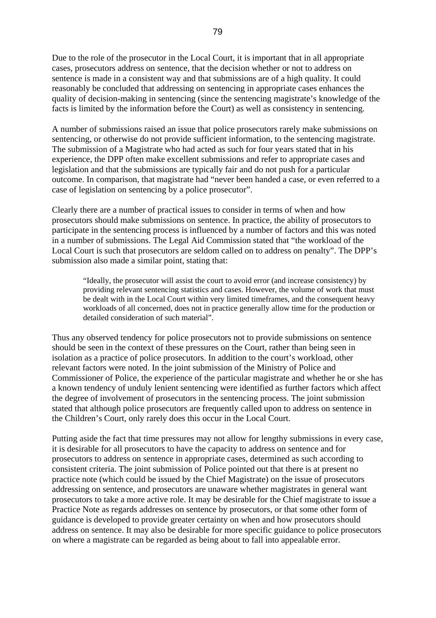Due to the role of the prosecutor in the Local Court, it is important that in all appropriate cases, prosecutors address on sentence, that the decision whether or not to address on sentence is made in a consistent way and that submissions are of a high quality. It could reasonably be concluded that addressing on sentencing in appropriate cases enhances the quality of decision-making in sentencing (since the sentencing magistrate's knowledge of the facts is limited by the information before the Court) as well as consistency in sentencing.

A number of submissions raised an issue that police prosecutors rarely make submissions on sentencing, or otherwise do not provide sufficient information, to the sentencing magistrate. The submission of a Magistrate who had acted as such for four years stated that in his experience, the DPP often make excellent submissions and refer to appropriate cases and legislation and that the submissions are typically fair and do not push for a particular outcome. In comparison, that magistrate had "never been handed a case, or even referred to a case of legislation on sentencing by a police prosecutor".

Clearly there are a number of practical issues to consider in terms of when and how prosecutors should make submissions on sentence. In practice, the ability of prosecutors to participate in the sentencing process is influenced by a number of factors and this was noted in a number of submissions. The Legal Aid Commission stated that "the workload of the Local Court is such that prosecutors are seldom called on to address on penalty". The DPP's submission also made a similar point, stating that:

"Ideally, the prosecutor will assist the court to avoid error (and increase consistency) by providing relevant sentencing statistics and cases. However, the volume of work that must be dealt with in the Local Court within very limited timeframes, and the consequent heavy workloads of all concerned, does not in practice generally allow time for the production or detailed consideration of such material".

Thus any observed tendency for police prosecutors not to provide submissions on sentence should be seen in the context of these pressures on the Court, rather than being seen in isolation as a practice of police prosecutors. In addition to the court's workload, other relevant factors were noted. In the joint submission of the Ministry of Police and Commissioner of Police, the experience of the particular magistrate and whether he or she has a known tendency of unduly lenient sentencing were identified as further factors which affect the degree of involvement of prosecutors in the sentencing process. The joint submission stated that although police prosecutors are frequently called upon to address on sentence in the Children's Court, only rarely does this occur in the Local Court.

Putting aside the fact that time pressures may not allow for lengthy submissions in every case, it is desirable for all prosecutors to have the capacity to address on sentence and for prosecutors to address on sentence in appropriate cases, determined as such according to consistent criteria. The joint submission of Police pointed out that there is at present no practice note (which could be issued by the Chief Magistrate) on the issue of prosecutors addressing on sentence, and prosecutors are unaware whether magistrates in general want prosecutors to take a more active role. It may be desirable for the Chief magistrate to issue a Practice Note as regards addresses on sentence by prosecutors, or that some other form of guidance is developed to provide greater certainty on when and how prosecutors should address on sentence. It may also be desirable for more specific guidance to police prosecutors on where a magistrate can be regarded as being about to fall into appealable error.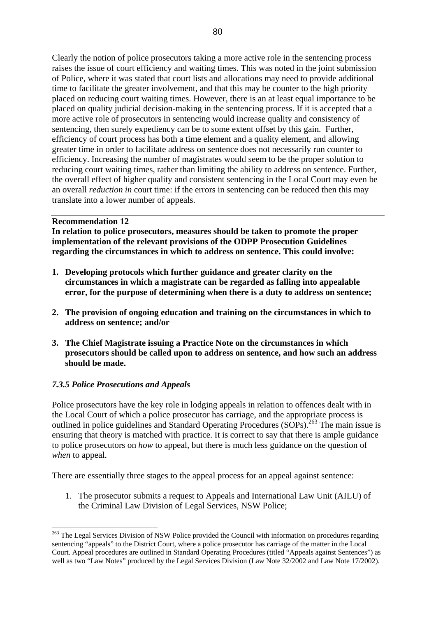Clearly the notion of police prosecutors taking a more active role in the sentencing process raises the issue of court efficiency and waiting times. This was noted in the joint submission of Police, where it was stated that court lists and allocations may need to provide additional time to facilitate the greater involvement, and that this may be counter to the high priority placed on reducing court waiting times. However, there is an at least equal importance to be placed on quality judicial decision-making in the sentencing process. If it is accepted that a more active role of prosecutors in sentencing would increase quality and consistency of sentencing, then surely expediency can be to some extent offset by this gain. Further, efficiency of court process has both a time element and a quality element, and allowing greater time in order to facilitate address on sentence does not necessarily run counter to efficiency. Increasing the number of magistrates would seem to be the proper solution to reducing court waiting times, rather than limiting the ability to address on sentence. Further, the overall effect of higher quality and consistent sentencing in the Local Court may even be an overall *reduction in* court time: if the errors in sentencing can be reduced then this may translate into a lower number of appeals.

#### **Recommendation 12**

**In relation to police prosecutors, measures should be taken to promote the proper implementation of the relevant provisions of the ODPP Prosecution Guidelines regarding the circumstances in which to address on sentence. This could involve:** 

- **1. Developing protocols which further guidance and greater clarity on the circumstances in which a magistrate can be regarded as falling into appealable error, for the purpose of determining when there is a duty to address on sentence;**
- **2. The provision of ongoing education and training on the circumstances in which to address on sentence; and/or**
- **3. The Chief Magistrate issuing a Practice Note on the circumstances in which prosecutors should be called upon to address on sentence, and how such an address should be made.**

#### *7.3.5 Police Prosecutions and Appeals*

 $\overline{a}$ 

Police prosecutors have the key role in lodging appeals in relation to offences dealt with in the Local Court of which a police prosecutor has carriage, and the appropriate process is outlined in police guidelines and Standard Operating Procedures ( $SOPs$ ).<sup>263</sup> The main issue is ensuring that theory is matched with practice. It is correct to say that there is ample guidance to police prosecutors on *how* to appeal, but there is much less guidance on the question of *when* to appeal.

There are essentially three stages to the appeal process for an appeal against sentence:

1. The prosecutor submits a request to Appeals and International Law Unit (AILU) of the Criminal Law Division of Legal Services, NSW Police;

<span id="page-79-0"></span><sup>&</sup>lt;sup>263</sup> The Legal Services Division of NSW Police provided the Council with information on procedures regarding sentencing "appeals" to the District Court, where a police prosecutor has carriage of the matter in the Local Court. Appeal procedures are outlined in Standard Operating Procedures (titled "Appeals against Sentences") as well as two "Law Notes" produced by the Legal Services Division (Law Note 32/2002 and Law Note 17/2002).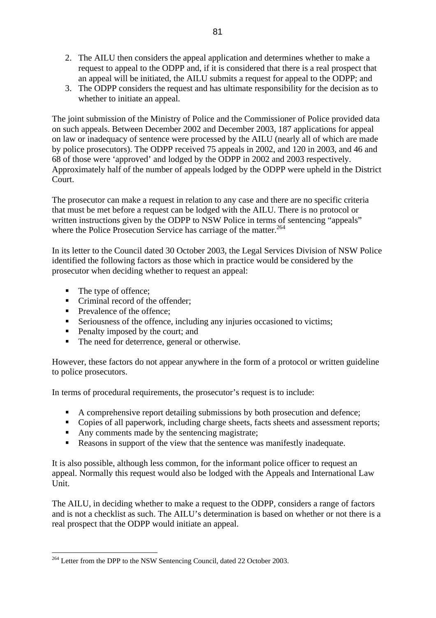- 2. The AILU then considers the appeal application and determines whether to make a request to appeal to the ODPP and, if it is considered that there is a real prospect that an appeal will be initiated, the AILU submits a request for appeal to the ODPP; and
- 3. The ODPP considers the request and has ultimate responsibility for the decision as to whether to initiate an appeal.

The joint submission of the Ministry of Police and the Commissioner of Police provided data on such appeals. Between December 2002 and December 2003, 187 applications for appeal on law or inadequacy of sentence were processed by the AILU (nearly all of which are made by police prosecutors). The ODPP received 75 appeals in 2002, and 120 in 2003, and 46 and 68 of those were 'approved' and lodged by the ODPP in 2002 and 2003 respectively. Approximately half of the number of appeals lodged by the ODPP were upheld in the District Court.

The prosecutor can make a request in relation to any case and there are no specific criteria that must be met before a request can be lodged with the AILU. There is no protocol or written instructions given by the ODPP to NSW Police in terms of sentencing "appeals" where the Police Prosecution Service has carriage of the matter.<sup>[264](#page-80-0)</sup>

In its letter to the Council dated 30 October 2003, the Legal Services Division of NSW Police identified the following factors as those which in practice would be considered by the prosecutor when deciding whether to request an appeal:

• The type of offence;

 $\overline{a}$ 

- $\blacksquare$  Criminal record of the offender:
- Prevalence of the offence;
- Seriousness of the offence, including any injuries occasioned to victims;
- Penalty imposed by the court; and
- The need for deterrence, general or otherwise.

However, these factors do not appear anywhere in the form of a protocol or written guideline to police prosecutors.

In terms of procedural requirements, the prosecutor's request is to include:

- A comprehensive report detailing submissions by both prosecution and defence;
- Copies of all paperwork, including charge sheets, facts sheets and assessment reports;
- Any comments made by the sentencing magistrate;
- Reasons in support of the view that the sentence was manifestly inadequate.

It is also possible, although less common, for the informant police officer to request an appeal. Normally this request would also be lodged with the Appeals and International Law Unit.

The AILU, in deciding whether to make a request to the ODPP, considers a range of factors and is not a checklist as such. The AILU's determination is based on whether or not there is a real prospect that the ODPP would initiate an appeal.

<span id="page-80-0"></span><sup>&</sup>lt;sup>264</sup> Letter from the DPP to the NSW Sentencing Council, dated 22 October 2003.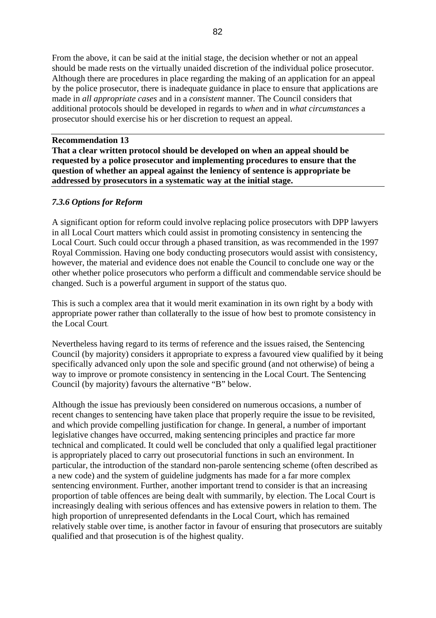From the above, it can be said at the initial stage, the decision whether or not an appeal should be made rests on the virtually unaided discretion of the individual police prosecutor. Although there are procedures in place regarding the making of an application for an appeal by the police prosecutor, there is inadequate guidance in place to ensure that applications are made in *all appropriate cases* and in a *consistent* manner. The Council considers that additional protocols should be developed in regards to *when* and in *what circumstances* a prosecutor should exercise his or her discretion to request an appeal.

#### **Recommendation 13**

**That a clear written protocol should be developed on when an appeal should be requested by a police prosecutor and implementing procedures to ensure that the question of whether an appeal against the leniency of sentence is appropriate be addressed by prosecutors in a systematic way at the initial stage.**

#### *7.3.6 Options for Reform*

A significant option for reform could involve replacing police prosecutors with DPP lawyers in all Local Court matters which could assist in promoting consistency in sentencing the Local Court. Such could occur through a phased transition, as was recommended in the 1997 Royal Commission. Having one body conducting prosecutors would assist with consistency, however, the material and evidence does not enable the Council to conclude one way or the other whether police prosecutors who perform a difficult and commendable service should be changed. Such is a powerful argument in support of the status quo.

This is such a complex area that it would merit examination in its own right by a body with appropriate power rather than collaterally to the issue of how best to promote consistency in the Local Court.

Nevertheless having regard to its terms of reference and the issues raised, the Sentencing Council (by majority) considers it appropriate to express a favoured view qualified by it being specifically advanced only upon the sole and specific ground (and not otherwise) of being a way to improve or promote consistency in sentencing in the Local Court. The Sentencing Council (by majority) favours the alternative "B" below.

Although the issue has previously been considered on numerous occasions, a number of recent changes to sentencing have taken place that properly require the issue to be revisited, and which provide compelling justification for change. In general, a number of important legislative changes have occurred, making sentencing principles and practice far more technical and complicated. It could well be concluded that only a qualified legal practitioner is appropriately placed to carry out prosecutorial functions in such an environment. In particular, the introduction of the standard non-parole sentencing scheme (often described as a new code) and the system of guideline judgments has made for a far more complex sentencing environment. Further, another important trend to consider is that an increasing proportion of table offences are being dealt with summarily, by election. The Local Court is increasingly dealing with serious offences and has extensive powers in relation to them. The high proportion of unrepresented defendants in the Local Court, which has remained relatively stable over time, is another factor in favour of ensuring that prosecutors are suitably qualified and that prosecution is of the highest quality.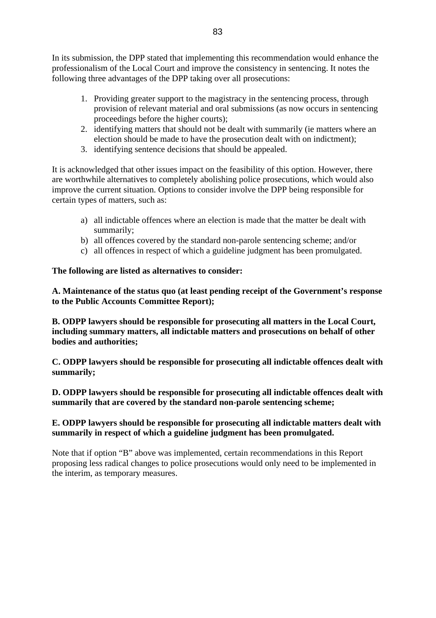In its submission, the DPP stated that implementing this recommendation would enhance the professionalism of the Local Court and improve the consistency in sentencing. It notes the following three advantages of the DPP taking over all prosecutions:

- 1. Providing greater support to the magistracy in the sentencing process, through provision of relevant material and oral submissions (as now occurs in sentencing proceedings before the higher courts);
- 2. identifying matters that should not be dealt with summarily (ie matters where an election should be made to have the prosecution dealt with on indictment);
- 3. identifying sentence decisions that should be appealed.

It is acknowledged that other issues impact on the feasibility of this option. However, there are worthwhile alternatives to completely abolishing police prosecutions, which would also improve the current situation. Options to consider involve the DPP being responsible for certain types of matters, such as:

- a) all indictable offences where an election is made that the matter be dealt with summarily;
- b) all offences covered by the standard non-parole sentencing scheme; and/or
- c) all offences in respect of which a guideline judgment has been promulgated.

# **The following are listed as alternatives to consider:**

**A. Maintenance of the status quo (at least pending receipt of the Government's response to the Public Accounts Committee Report);** 

**B. ODPP lawyers should be responsible for prosecuting all matters in the Local Court, including summary matters, all indictable matters and prosecutions on behalf of other bodies and authorities;** 

**C. ODPP lawyers should be responsible for prosecuting all indictable offences dealt with summarily;** 

**D. ODPP lawyers should be responsible for prosecuting all indictable offences dealt with summarily that are covered by the standard non-parole sentencing scheme;** 

# **E. ODPP lawyers should be responsible for prosecuting all indictable matters dealt with summarily in respect of which a guideline judgment has been promulgated.**

Note that if option "B" above was implemented, certain recommendations in this Report proposing less radical changes to police prosecutions would only need to be implemented in the interim, as temporary measures.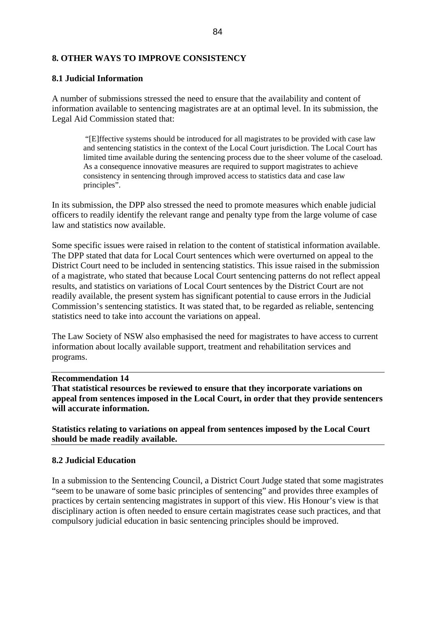#### **8. OTHER WAYS TO IMPROVE CONSISTENCY**

#### **8.1 Judicial Information**

A number of submissions stressed the need to ensure that the availability and content of information available to sentencing magistrates are at an optimal level. In its submission, the Legal Aid Commission stated that:

 "[E]ffective systems should be introduced for all magistrates to be provided with case law and sentencing statistics in the context of the Local Court jurisdiction. The Local Court has limited time available during the sentencing process due to the sheer volume of the caseload. As a consequence innovative measures are required to support magistrates to achieve consistency in sentencing through improved access to statistics data and case law principles".

In its submission, the DPP also stressed the need to promote measures which enable judicial officers to readily identify the relevant range and penalty type from the large volume of case law and statistics now available.

Some specific issues were raised in relation to the content of statistical information available. The DPP stated that data for Local Court sentences which were overturned on appeal to the District Court need to be included in sentencing statistics. This issue raised in the submission of a magistrate, who stated that because Local Court sentencing patterns do not reflect appeal results, and statistics on variations of Local Court sentences by the District Court are not readily available, the present system has significant potential to cause errors in the Judicial Commission's sentencing statistics. It was stated that, to be regarded as reliable, sentencing statistics need to take into account the variations on appeal.

The Law Society of NSW also emphasised the need for magistrates to have access to current information about locally available support, treatment and rehabilitation services and programs.

#### **Recommendation 14**

**That statistical resources be reviewed to ensure that they incorporate variations on appeal from sentences imposed in the Local Court, in order that they provide sentencers will accurate information.** 

**Statistics relating to variations on appeal from sentences imposed by the Local Court should be made readily available.**

#### **8.2 Judicial Education**

In a submission to the Sentencing Council, a District Court Judge stated that some magistrates "seem to be unaware of some basic principles of sentencing" and provides three examples of practices by certain sentencing magistrates in support of this view. His Honour's view is that disciplinary action is often needed to ensure certain magistrates cease such practices, and that compulsory judicial education in basic sentencing principles should be improved.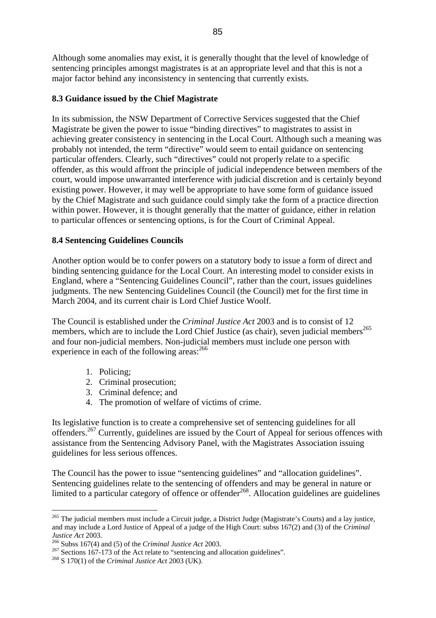Although some anomalies may exist, it is generally thought that the level of knowledge of sentencing principles amongst magistrates is at an appropriate level and that this is not a major factor behind any inconsistency in sentencing that currently exists.

## **8.3 Guidance issued by the Chief Magistrate**

In its submission, the NSW Department of Corrective Services suggested that the Chief Magistrate be given the power to issue "binding directives" to magistrates to assist in achieving greater consistency in sentencing in the Local Court. Although such a meaning was probably not intended, the term "directive" would seem to entail guidance on sentencing particular offenders. Clearly, such "directives" could not properly relate to a specific offender, as this would affront the principle of judicial independence between members of the court, would impose unwarranted interference with judicial discretion and is certainly beyond existing power. However, it may well be appropriate to have some form of guidance issued by the Chief Magistrate and such guidance could simply take the form of a practice direction within power. However, it is thought generally that the matter of guidance, either in relation to particular offences or sentencing options, is for the Court of Criminal Appeal.

## **8.4 Sentencing Guidelines Councils**

Another option would be to confer powers on a statutory body to issue a form of direct and binding sentencing guidance for the Local Court. An interesting model to consider exists in England, where a "Sentencing Guidelines Council", rather than the court, issues guidelines judgments. The new Sentencing Guidelines Council (the Council) met for the first time in March 2004, and its current chair is Lord Chief Justice Woolf.

The Council is established under the *Criminal Justice Act* 2003 and is to consist of 12 members, which are to include the Lord Chief Justice (as chair), seven judicial members<sup>[265](#page-84-0)</sup> and four non-judicial members. Non-judicial members must include one person with experience in each of the following areas:<sup>[266](#page-84-1)</sup>

1. Policing;

 $\overline{a}$ 

- 2. Criminal prosecution;
- 3. Criminal defence; and
- 4. The promotion of welfare of victims of crime.

Its legislative function is to create a comprehensive set of sentencing guidelines for all offenders.[267](#page-84-2) Currently, guidelines are issued by the Court of Appeal for serious offences with assistance from the Sentencing Advisory Panel, with the Magistrates Association issuing guidelines for less serious offences.

The Council has the power to issue "sentencing guidelines" and "allocation guidelines". Sentencing guidelines relate to the sentencing of offenders and may be general in nature or limited to a particular category of offence or offender<sup>268</sup>. Allocation guidelines are guidelines

<span id="page-84-0"></span> $^{265}$  The judicial members must include a Circuit judge, a District Judge (Magistrate's Courts) and a lay justice, and may include a Lord Justice of Appeal of a judge of the High Court: subss 167(2) and (3) of the *Criminal* 

<span id="page-84-2"></span><span id="page-84-1"></span>

*Justice Act* 2003.<br><sup>266</sup> Subss 167(4) and (5) of the *Criminal Justice Act* 2003.<br><sup>267</sup> Sections 167-173 of the Act relate to "sentencing and allocation guidelines".<br><sup>268</sup> S 170(1) of the *Criminal Justice Act* 2003 (UK)

<span id="page-84-3"></span>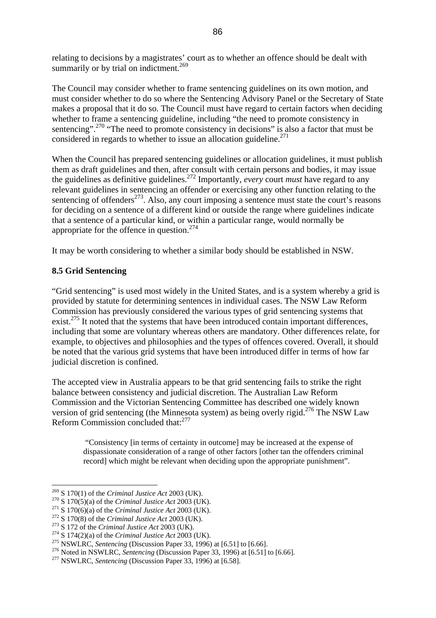relating to decisions by a magistrates' court as to whether an offence should be dealt with summarily or by trial on indictment.<sup>[269](#page-85-0)</sup>

The Council may consider whether to frame sentencing guidelines on its own motion, and must consider whether to do so where the Sentencing Advisory Panel or the Secretary of State makes a proposal that it do so. The Council must have regard to certain factors when deciding whether to frame a sentencing guideline, including "the need to promote consistency in sentencing".<sup>270</sup> "The need to promote consistency in decisions" is also a factor that must be considered in regards to whether to issue an allocation guideline.<sup>[271](#page-85-2)</sup>

When the Council has prepared sentencing guidelines or allocation guidelines, it must publish them as draft guidelines and then, after consult with certain persons and bodies, it may issue the guidelines as definitive guidelines[.272](#page-85-3) Importantly, *every* court *must* have regard to any relevant guidelines in sentencing an offender or exercising any other function relating to the sentencing of offenders<sup>273</sup>. Also, any court imposing a sentence must state the court's reasons for deciding on a sentence of a different kind or outside the range where guidelines indicate that a sentence of a particular kind, or within a particular range, would normally be appropriate for the offence in question.<sup>[274](#page-85-5)</sup>

It may be worth considering to whether a similar body should be established in NSW.

#### **8.5 Grid Sentencing**

"Grid sentencing" is used most widely in the United States, and is a system whereby a grid is provided by statute for determining sentences in individual cases. The NSW Law Reform Commission has previously considered the various types of grid sentencing systems that exist.<sup>275</sup> It noted that the systems that have been introduced contain important differences, including that some are voluntary whereas others are mandatory. Other differences relate, for example, to objectives and philosophies and the types of offences covered. Overall, it should be noted that the various grid systems that have been introduced differ in terms of how far judicial discretion is confined.

The accepted view in Australia appears to be that grid sentencing fails to strike the right balance between consistency and judicial discretion. The Australian Law Reform Commission and the Victorian Sentencing Committee has described one widely known version of grid sentencing (the Minnesota system) as being overly rigid.<sup>276</sup> The NSW Law Reform Commission concluded that:[277](#page-85-8)

 "Consistency [in terms of certainty in outcome] may be increased at the expense of dispassionate consideration of a range of other factors [other tan the offenders criminal record] which might be relevant when deciding upon the appropriate punishment".

<span id="page-85-0"></span>

<span id="page-85-1"></span>

<span id="page-85-2"></span>

<span id="page-85-3"></span>

<span id="page-85-4"></span>

<span id="page-85-5"></span>

<span id="page-85-7"></span><span id="page-85-6"></span>

<sup>&</sup>lt;sup>269</sup> S 170(1) of the *Criminal Justice Act* 2003 (UK).<br><sup>270</sup> S 170(5)(a) of the *Criminal Justice Act* 2003 (UK).<br><sup>271</sup> S 170(6)(a) of the *Criminal Justice Act* 2003 (UK).<br><sup>272</sup> S 170(8) of the *Criminal Justice Act* 20

<span id="page-85-8"></span>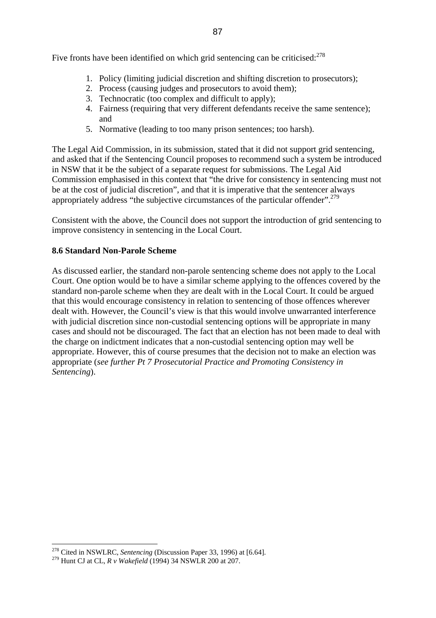Five fronts have been identified on which grid sentencing can be criticised:<sup>[278](#page-86-0)</sup>

- 1. Policy (limiting judicial discretion and shifting discretion to prosecutors);
- 2. Process (causing judges and prosecutors to avoid them);
- 3. Technocratic (too complex and difficult to apply);
- 4. Fairness (requiring that very different defendants receive the same sentence); and
- 5. Normative (leading to too many prison sentences; too harsh).

The Legal Aid Commission, in its submission, stated that it did not support grid sentencing, and asked that if the Sentencing Council proposes to recommend such a system be introduced in NSW that it be the subject of a separate request for submissions. The Legal Aid Commission emphasised in this context that "the drive for consistency in sentencing must not be at the cost of judicial discretion", and that it is imperative that the sentencer always appropriately address "the subjective circumstances of the particular offender".<sup>279</sup>

Consistent with the above, the Council does not support the introduction of grid sentencing to improve consistency in sentencing in the Local Court.

#### **8.6 Standard Non-Parole Scheme**

As discussed earlier, the standard non-parole sentencing scheme does not apply to the Local Court. One option would be to have a similar scheme applying to the offences covered by the standard non-parole scheme when they are dealt with in the Local Court. It could be argued that this would encourage consistency in relation to sentencing of those offences wherever dealt with. However, the Council's view is that this would involve unwarranted interference with judicial discretion since non-custodial sentencing options will be appropriate in many cases and should not be discouraged. The fact that an election has not been made to deal with the charge on indictment indicates that a non-custodial sentencing option may well be appropriate. However, this of course presumes that the decision not to make an election was appropriate (*see further Pt 7 Prosecutorial Practice and Promoting Consistency in Sentencing*).

<span id="page-86-0"></span><sup>278</sup> Cited in NSWLRC, *Sentencing* (Discussion Paper 33, 1996) at [6.64].

<span id="page-86-1"></span><sup>279</sup> Hunt CJ at CL, *R v Wakefield* (1994) 34 NSWLR 200 at 207.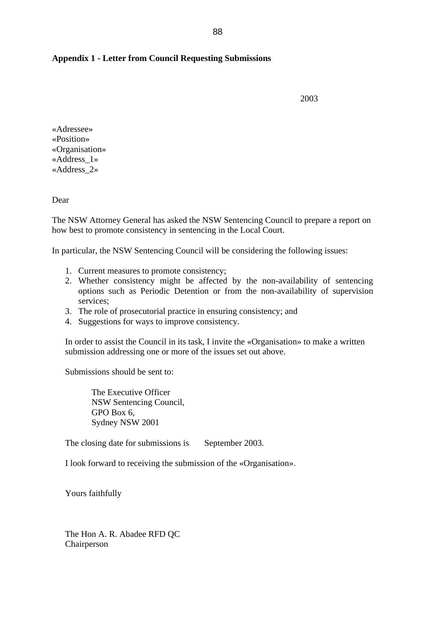#### **Appendix 1 - Letter from Council Requesting Submissions**

2003

«Adressee» «Position» «Organisation» «Address\_1» «Address\_2»

Dear

The NSW Attorney General has asked the NSW Sentencing Council to prepare a report on how best to promote consistency in sentencing in the Local Court.

In particular, the NSW Sentencing Council will be considering the following issues:

- 1. Current measures to promote consistency;
- 2. Whether consistency might be affected by the non-availability of sentencing options such as Periodic Detention or from the non-availability of supervision services;
- 3. The role of prosecutorial practice in ensuring consistency; and
- 4. Suggestions for ways to improve consistency.

In order to assist the Council in its task, I invite the «Organisation» to make a written submission addressing one or more of the issues set out above.

Submissions should be sent to:

The Executive Officer NSW Sentencing Council, GPO Box 6, Sydney NSW 2001

The closing date for submissions is September 2003.

I look forward to receiving the submission of the «Organisation».

Yours faithfully

The Hon A. R. Abadee RFD QC Chairperson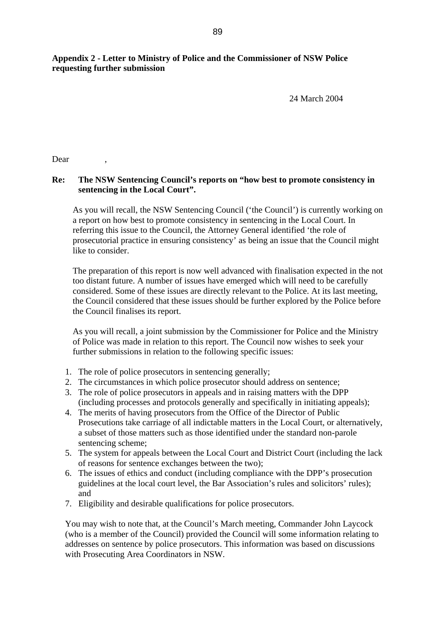# **Appendix 2 - Letter to Ministry of Police and the Commissioner of NSW Police requesting further submission**

24 March 2004

Dear ,

## **Re: The NSW Sentencing Council's reports on "how best to promote consistency in sentencing in the Local Court".**

As you will recall, the NSW Sentencing Council ('the Council') is currently working on a report on how best to promote consistency in sentencing in the Local Court. In referring this issue to the Council, the Attorney General identified 'the role of prosecutorial practice in ensuring consistency' as being an issue that the Council might like to consider.

The preparation of this report is now well advanced with finalisation expected in the not too distant future. A number of issues have emerged which will need to be carefully considered. Some of these issues are directly relevant to the Police. At its last meeting, the Council considered that these issues should be further explored by the Police before the Council finalises its report.

As you will recall, a joint submission by the Commissioner for Police and the Ministry of Police was made in relation to this report. The Council now wishes to seek your further submissions in relation to the following specific issues:

- 1. The role of police prosecutors in sentencing generally;
- 2. The circumstances in which police prosecutor should address on sentence;
- 3. The role of police prosecutors in appeals and in raising matters with the DPP (including processes and protocols generally and specifically in initiating appeals);
- 4. The merits of having prosecutors from the Office of the Director of Public Prosecutions take carriage of all indictable matters in the Local Court, or alternatively, a subset of those matters such as those identified under the standard non-parole sentencing scheme;
- 5. The system for appeals between the Local Court and District Court (including the lack of reasons for sentence exchanges between the two);
- 6. The issues of ethics and conduct (including compliance with the DPP's prosecution guidelines at the local court level, the Bar Association's rules and solicitors' rules); and
- 7. Eligibility and desirable qualifications for police prosecutors.

You may wish to note that, at the Council's March meeting, Commander John Laycock (who is a member of the Council) provided the Council will some information relating to addresses on sentence by police prosecutors. This information was based on discussions with Prosecuting Area Coordinators in NSW.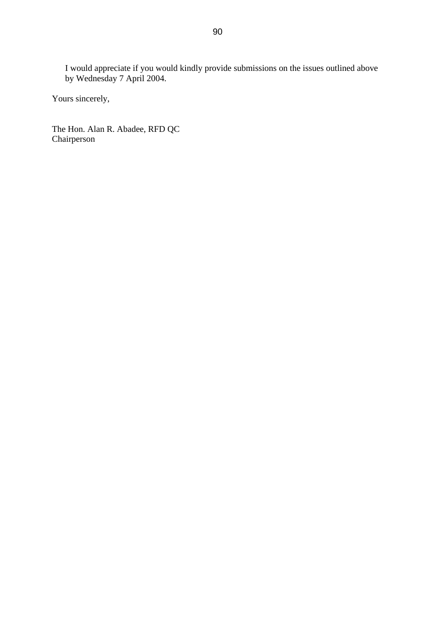I would appreciate if you would kindly provide submissions on the issues outlined above by Wednesday 7 April 2004.

Yours sincerely,

The Hon. Alan R. Abadee, RFD QC Chairperson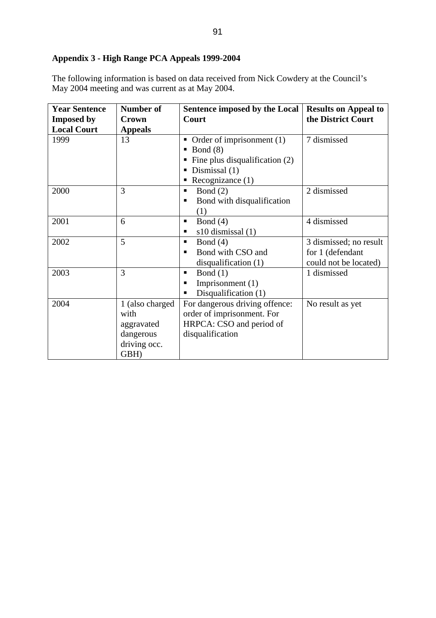# **Appendix 3 - High Range PCA Appeals 1999-2004**

The following information is based on data received from Nick Cowdery at the Council's May 2004 meeting and was current as at May 2004.

| <b>Year Sentence</b> | <b>Number of</b>                                                           | Sentence imposed by the Local                                                                                                                      | <b>Results on Appeal to</b>                                         |
|----------------------|----------------------------------------------------------------------------|----------------------------------------------------------------------------------------------------------------------------------------------------|---------------------------------------------------------------------|
| <b>Imposed by</b>    | Crown                                                                      | Court                                                                                                                                              | the District Court                                                  |
| <b>Local Court</b>   | <b>Appeals</b>                                                             |                                                                                                                                                    |                                                                     |
| 1999                 | 13                                                                         | • Order of imprisonment $(1)$<br>Bond $(8)$<br>$\blacksquare$ Fine plus disqualification (2)<br>$\blacksquare$ Dismissal (1)<br>Recognizance $(1)$ | 7 dismissed                                                         |
| 2000                 | 3                                                                          | Bond $(2)$<br>٠<br>Bond with disqualification<br>(1)                                                                                               | 2 dismissed                                                         |
| 2001                 | 6                                                                          | Bond $(4)$<br>٠<br>s10 dismissal (1)<br>٠                                                                                                          | 4 dismissed                                                         |
| 2002                 | 5                                                                          | Bond $(4)$<br>٠<br>Bond with CSO and<br>٠<br>disqualification $(1)$                                                                                | 3 dismissed; no result<br>for 1 (defendant<br>could not be located) |
| 2003                 | 3                                                                          | Bond $(1)$<br>п<br>Imprisonment $(1)$<br>Disqualification (1)<br>٠                                                                                 | 1 dismissed                                                         |
| 2004                 | 1 (also charged<br>with<br>aggravated<br>dangerous<br>driving occ.<br>GBH) | For dangerous driving offence:<br>order of imprisonment. For<br>HRPCA: CSO and period of<br>disqualification                                       | No result as yet                                                    |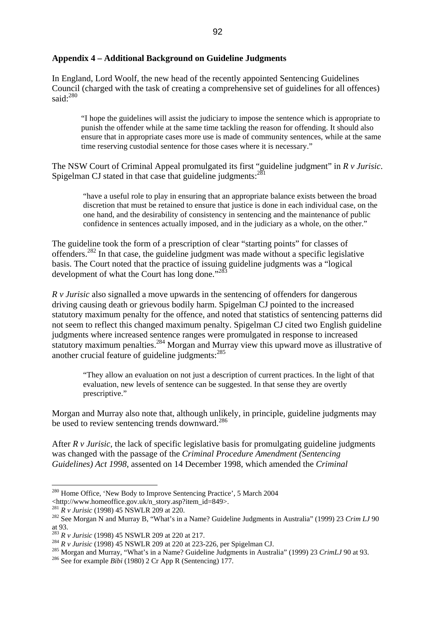#### **Appendix 4 – Additional Background on Guideline Judgments**

In England, Lord Woolf, the new head of the recently appointed Sentencing Guidelines Council (charged with the task of creating a comprehensive set of guidelines for all offences) said: $280$ 

"I hope the guidelines will assist the judiciary to impose the sentence which is appropriate to punish the offender while at the same time tackling the reason for offending. It should also ensure that in appropriate cases more use is made of community sentences, while at the same time reserving custodial sentence for those cases where it is necessary."

The NSW Court of Criminal Appeal promulgated its first "guideline judgment" in *R v Jurisic*. Spigelman CJ stated in that case that guideline judgments: $^{281}$  $^{281}$  $^{281}$ 

"have a useful role to play in ensuring that an appropriate balance exists between the broad discretion that must be retained to ensure that justice is done in each individual case, on the one hand, and the desirability of consistency in sentencing and the maintenance of public confidence in sentences actually imposed, and in the judiciary as a whole, on the other."

The guideline took the form of a prescription of clear "starting points" for classes of offenders.[282](#page-91-2) In that case, the guideline judgment was made without a specific legislative basis. The Court noted that the practice of issuing guideline judgments was a "logical development of what the Court has long done."<sup>28</sup>

*R v Jurisic* also signalled a move upwards in the sentencing of offenders for dangerous driving causing death or grievous bodily harm. Spigelman CJ pointed to the increased statutory maximum penalty for the offence, and noted that statistics of sentencing patterns did not seem to reflect this changed maximum penalty. Spigelman CJ cited two English guideline judgments where increased sentence ranges were promulgated in response to increased statutory maximum penalties.<sup>284</sup> Morgan and Murray view this upward move as illustrative of another crucial feature of guideline judgments:[285](#page-91-5)

"They allow an evaluation on not just a description of current practices. In the light of that evaluation, new levels of sentence can be suggested. In that sense they are overtly prescriptive."

Morgan and Murray also note that, although unlikely, in principle, guideline judgments may be used to review sentencing trends downward.<sup>[286](#page-91-6)</sup>

After *R v Jurisic*, the lack of specific legislative basis for promulgating guideline judgments was changed with the passage of the *Criminal Procedure Amendment (Sentencing Guidelines) Act 1998*, assented on 14 December 1998, which amended the *Criminal* 

<span id="page-91-0"></span><sup>&</sup>lt;sup>280</sup> Home Office, 'New Body to Improve Sentencing Practice', 5 March 2004 <http://www.homeoffice.gov.uk/n\_story.asp?item id=849>.

<span id="page-91-2"></span><span id="page-91-1"></span>

<sup>&</sup>lt;sup>2[81](http://www.homeoffice.gov.uk/n_story.asp?item_id=849)</sup> *R v Jurisic* (1998) 45 NSWLR 209 at 220.  $\frac{1}{282}$  See Morgan N and Murray B, "What's in a Name? Guideline Judgments in Australia" (1999) 23 *Crim LJ* 90 at 93.<br> $^{283}R$  *v Jurisic* (1998) 45 NSWLR 209 at 220 at 217.

<span id="page-91-3"></span>

<span id="page-91-5"></span><span id="page-91-4"></span>

<sup>&</sup>lt;sup>284</sup> R v Jurisic (1998) 45 NSWLR 209 at 220 at 223-226, per Spigelman CJ.<br><sup>285</sup> Morgan and Murray, "What's in a Name? Guideline Judgments in Australia" (1999) 23 CrimLJ 90 at 93.<br><sup>286</sup> See for example *Bibi* (1980) 2 Cr

<span id="page-91-6"></span>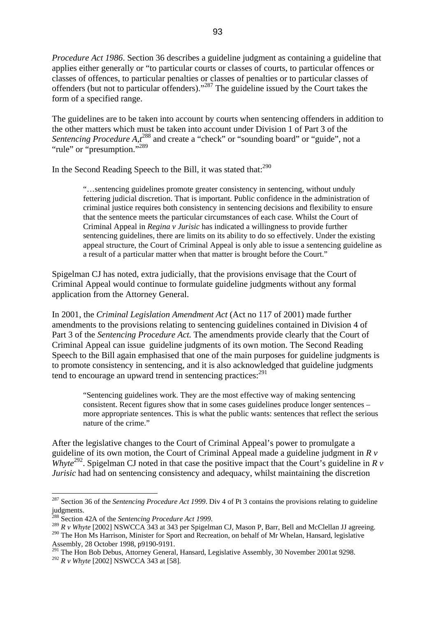*Procedure Act 1986*. Section 36 describes a guideline judgment as containing a guideline that applies either generally or "to particular courts or classes of courts, to particular offences or classes of offences, to particular penalties or classes of penalties or to particular classes of offenders (but not to particular offenders)."<sup>287</sup> The guideline issued by the Court takes the form of a specified range.

The guidelines are to be taken into account by courts when sentencing offenders in addition to the other matters which must be taken into account under Division 1 of Part 3 of the *Sentencing Procedure A,t*<sup>288</sup> and create a "check" or "sounding board" or "guide", not a "rule" or "presumption."<sup>[289](#page-92-2)</sup>

In the Second Reading Speech to the Bill, it was stated that:<sup>290</sup>

"…sentencing guidelines promote greater consistency in sentencing, without unduly fettering judicial discretion. That is important. Public confidence in the administration of criminal justice requires both consistency in sentencing decisions and flexibility to ensure that the sentence meets the particular circumstances of each case. Whilst the Court of Criminal Appeal in *Regina v Jurisic* has indicated a willingness to provide further sentencing guidelines, there are limits on its ability to do so effectively. Under the existing appeal structure, the Court of Criminal Appeal is only able to issue a sentencing guideline as a result of a particular matter when that matter is brought before the Court."

Spigelman CJ has noted, extra judicially, that the provisions envisage that the Court of Criminal Appeal would continue to formulate guideline judgments without any formal application from the Attorney General.

In 2001, the *Criminal Legislation Amendment Act* (Act no 117 of 2001) made further amendments to the provisions relating to sentencing guidelines contained in Division 4 of Part 3 of the *Sentencing Procedure Act.* The amendments provide clearly that the Court of Criminal Appeal can issue guideline judgments of its own motion. The Second Reading Speech to the Bill again emphasised that one of the main purposes for guideline judgments is to promote consistency in sentencing, and it is also acknowledged that guideline judgments tend to encourage an upward trend in sentencing practices: $2^{91}$ 

"Sentencing guidelines work. They are the most effective way of making sentencing consistent. Recent figures show that in some cases guidelines produce longer sentences – more appropriate sentences. This is what the public wants: sentences that reflect the serious nature of the crime."

After the legislative changes to the Court of Criminal Appeal's power to promulgate a guideline of its own motion, the Court of Criminal Appeal made a guideline judgment in *R v Whyte*<sup>292</sup>. Spigelman CJ noted in that case the positive impact that the Court's guideline in  $\hat{R}$  v *Jurisic* had had on sentencing consistency and adequacy, whilst maintaining the discretion

<span id="page-92-0"></span><sup>287</sup> Section 36 of the *Sentencing Procedure Act 1999*. Div 4 of Pt 3 contains the provisions relating to guideline judgments.<br><sup>288</sup> Section 42A of the *Sentencing Procedure Act 1999*.

<span id="page-92-1"></span>

<span id="page-92-2"></span><sup>289</sup> R v Whyte [2002] NSWCCA 343 at 343 per Spigelman CJ, Mason P, Barr, Bell and McClellan JJ agreeing.

<span id="page-92-3"></span><sup>&</sup>lt;sup>290</sup> The Hon Ms Harrison, Minister for Sport and Recreation, on behalf of Mr Whelan, Hansard, legislative Assembly, 28 October 1998, p9190-9191.

<span id="page-92-4"></span><sup>&</sup>lt;sup>291</sup> The Hon Bob Debus, Attorney General, Hansard, Legislative Assembly, 30 November 2001at 9298.

<span id="page-92-5"></span><sup>292</sup> *R v Whyte* [2002] NSWCCA 343 at [58].